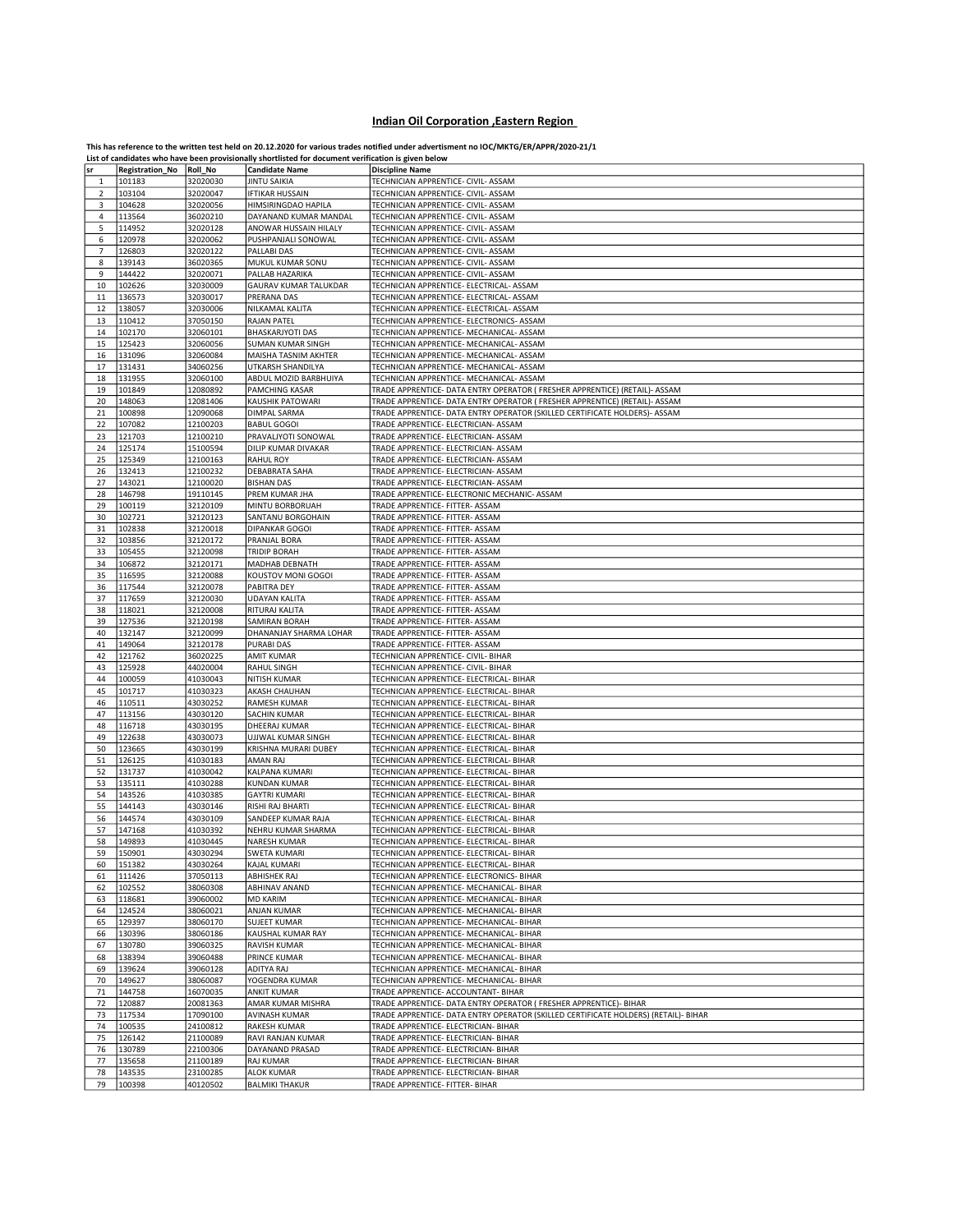## Indian Oil Corporation ,Eastern Region

This has reference to the written test held on 20.12.2020 for various trades notified under advertisment no IOC/MKTG/ER/APPR/2020-21/1<br>List of candidates who have been provisionally shortlisted for document verification is

|    |                         |          | List or candidates who nave been provisionally shortlisted for document vermication is given below |                                                                                     |
|----|-------------------------|----------|----------------------------------------------------------------------------------------------------|-------------------------------------------------------------------------------------|
| sr | Registration_No Roll_No |          | <b>Candidate Name</b>                                                                              | <b>Discipline Name</b>                                                              |
| 1  | 101183                  | 32020030 | <b>JINTU SAIKIA</b>                                                                                | TECHNICIAN APPRENTICE- CIVIL- ASSAM                                                 |
| 2  | 103104                  | 32020047 | <b>IFTIKAR HUSSAIN</b>                                                                             | TECHNICIAN APPRENTICE- CIVIL- ASSAM                                                 |
|    |                         |          |                                                                                                    |                                                                                     |
| 3  | 104628                  | 32020056 | HIMSIRINGDAO HAPILA                                                                                | TECHNICIAN APPRENTICE- CIVIL- ASSAM                                                 |
| 4  | 113564                  | 36020210 | DAYANAND KUMAR MANDAL                                                                              | TECHNICIAN APPRENTICE- CIVIL- ASSAM                                                 |
| 5  | 114952                  | 32020128 | ANOWAR HUSSAIN HILALY                                                                              | TECHNICIAN APPRENTICE- CIVIL- ASSAM                                                 |
| 6  | 120978                  | 32020062 | PUSHPANJALI SONOWAL                                                                                | TECHNICIAN APPRENTICE- CIVIL- ASSAM                                                 |
| 7  | 126803                  | 32020122 | PALLABI DAS                                                                                        | TECHNICIAN APPRENTICE- CIVIL- ASSAM                                                 |
|    |                         |          |                                                                                                    |                                                                                     |
| 8  | 139143                  | 36020365 | MUKUL KUMAR SONU                                                                                   | TECHNICIAN APPRENTICE- CIVIL- ASSAM                                                 |
| 9  | 144422                  | 32020071 | PALLAB HAZARIKA                                                                                    | TECHNICIAN APPRENTICE- CIVIL- ASSAM                                                 |
| 10 | 102626                  | 32030009 | GAURAV KUMAR TALUKDAR                                                                              | TECHNICIAN APPRENTICE- ELECTRICAL- ASSAM                                            |
| 11 | 136573                  | 32030017 | PRERANA DAS                                                                                        | TECHNICIAN APPRENTICE- ELECTRICAL- ASSAM                                            |
| 12 | 138057                  | 32030006 | NILKAMAL KALITA                                                                                    | TECHNICIAN APPRENTICE- ELECTRICAL- ASSAM                                            |
| 13 | 110412                  | 37050150 | <b>RAJAN PATEL</b>                                                                                 | TECHNICIAN APPRENTICE- ELECTRONICS- ASSAM                                           |
|    |                         |          |                                                                                                    |                                                                                     |
| 14 | 102170                  | 32060101 | <b>BHASKARJYOTI DAS</b>                                                                            | TECHNICIAN APPRENTICE- MECHANICAL- ASSAM                                            |
| 15 | 125423                  | 32060056 | <b>SUMAN KUMAR SINGH</b>                                                                           | TECHNICIAN APPRENTICE- MECHANICAL- ASSAM                                            |
| 16 | 131096                  | 32060084 | MAISHA TASNIM AKHTER                                                                               | TECHNICIAN APPRENTICE- MECHANICAL- ASSAM                                            |
| 17 | 131431                  | 34060256 | UTKARSH SHANDILYA                                                                                  | TECHNICIAN APPRENTICE- MECHANICAL- ASSAM                                            |
| 18 | 131955                  | 32060100 | ABDUL MOZID BARBHUIYA                                                                              | TECHNICIAN APPRENTICE- MECHANICAL- ASSAM                                            |
| 19 | 101849                  | 12080892 | PAMCHING KASAR                                                                                     | TRADE APPRENTICE- DATA ENTRY OPERATOR ( FRESHER APPRENTICE) (RETAIL)- ASSAM         |
|    |                         |          |                                                                                                    |                                                                                     |
| 20 | 148063                  | 12081406 | KAUSHIK PATOWARI                                                                                   | TRADE APPRENTICE- DATA ENTRY OPERATOR ( FRESHER APPRENTICE) (RETAIL)- ASSAM         |
| 21 | 100898                  | 12090068 | DIMPAL SARMA                                                                                       | TRADE APPRENTICE- DATA ENTRY OPERATOR (SKILLED CERTIFICATE HOLDERS)- ASSAM          |
| 22 | 107082                  | 12100203 | <b>BABUL GOGOI</b>                                                                                 | TRADE APPRENTICE- ELECTRICIAN- ASSAM                                                |
| 23 | 121703                  | 12100210 | PRAVALJYOTI SONOWAL                                                                                | TRADE APPRENTICE- ELECTRICIAN- ASSAM                                                |
| 24 | 125174                  | 15100594 | DILIP KUMAR DIVAKAR                                                                                | TRADE APPRENTICE- ELECTRICIAN- ASSAM                                                |
| 25 | 125349                  | 12100163 | <b>RAHUL ROY</b>                                                                                   | TRADE APPRENTICE- ELECTRICIAN- ASSAM                                                |
|    |                         | 12100232 |                                                                                                    | TRADE APPRENTICE- ELECTRICIAN- ASSAM                                                |
| 26 | 132413                  |          | DEBABRATA SAHA                                                                                     |                                                                                     |
| 27 | 143021                  | 12100020 | <b>BISHAN DAS</b>                                                                                  | TRADE APPRENTICE- ELECTRICIAN- ASSAM                                                |
| 28 | 146798                  | 19110145 | PREM KUMAR JHA                                                                                     | TRADE APPRENTICE- ELECTRONIC MECHANIC- ASSAM                                        |
| 29 | 100119                  | 32120109 | MINTU BORBORUAH                                                                                    | TRADE APPRENTICE- FITTER- ASSAM                                                     |
| 30 | 102721                  | 32120123 | SANTANU BORGOHAIN                                                                                  | TRADE APPRENTICE- FITTER- ASSAM                                                     |
| 31 | 102838                  | 32120018 | <b>DIPANKAR GOGOI</b>                                                                              | TRADE APPRENTICE- FITTER- ASSAM                                                     |
|    |                         |          |                                                                                                    |                                                                                     |
| 32 | 103856                  | 32120172 | PRANJAL BORA                                                                                       | TRADE APPRENTICE- FITTER- ASSAM                                                     |
| 33 | 105455                  | 32120098 | <b>TRIDIP BORAH</b>                                                                                | TRADE APPRENTICE- FITTER- ASSAM                                                     |
| 34 | 106872                  | 32120171 | MADHAB DEBNATH                                                                                     | TRADE APPRENTICE- FITTER- ASSAM                                                     |
| 35 | 116595                  | 32120088 | KOUSTOV MONI GOGOI                                                                                 | TRADE APPRENTICE- FITTER- ASSAM                                                     |
| 36 | 117544                  | 32120078 | PABITRA DEY                                                                                        | TRADE APPRENTICE- FITTER- ASSAM                                                     |
| 37 | 117659                  | 32120030 | <b>UDAYAN KALITA</b>                                                                               | TRADE APPRENTICE- FITTER- ASSAM                                                     |
|    |                         |          |                                                                                                    |                                                                                     |
| 38 | 118021                  | 32120008 | RITURAJ KALITA                                                                                     | TRADE APPRENTICE- FITTER- ASSAM                                                     |
| 39 | 127536                  | 32120198 | SAMIRAN BORAH                                                                                      | TRADE APPRENTICE- FITTER- ASSAM                                                     |
| 40 | 132147                  | 32120099 | DHANANJAY SHARMA LOHAR                                                                             | TRADE APPRENTICE- FITTER- ASSAM                                                     |
| 41 | 149064                  | 32120178 | <b>PURABI DAS</b>                                                                                  | TRADE APPRENTICE- FITTER- ASSAM                                                     |
| 42 | 121762                  | 36020225 | <b>AMIT KUMAR</b>                                                                                  | TECHNICIAN APPRENTICE- CIVIL- BIHAR                                                 |
|    |                         |          |                                                                                                    |                                                                                     |
| 43 | 125928                  | 44020004 | RAHUL SINGH                                                                                        | TECHNICIAN APPRENTICE- CIVIL- BIHAR                                                 |
| 44 | 100059                  | 41030043 | <b>NITISH KUMAR</b>                                                                                | TECHNICIAN APPRENTICE- ELECTRICAL- BIHAR                                            |
| 45 | 101717                  | 41030323 | AKASH CHAUHAN                                                                                      | TECHNICIAN APPRENTICE- ELECTRICAL- BIHAR                                            |
| 46 | 110511                  | 43030252 | RAMESH KUMAR                                                                                       | TECHNICIAN APPRENTICE- ELECTRICAL- BIHAR                                            |
| 47 | 113156                  | 43030120 | SACHIN KUMAR                                                                                       | TECHNICIAN APPRENTICE- ELECTRICAL- BIHAR                                            |
| 48 | 116718                  | 43030195 | DHEERAJ KUMAR                                                                                      | TECHNICIAN APPRENTICE- ELECTRICAL- BIHAR                                            |
| 49 | 122638                  | 43030073 | UJJWAL KUMAR SINGH                                                                                 | TECHNICIAN APPRENTICE- ELECTRICAL- BIHAR                                            |
|    |                         |          |                                                                                                    |                                                                                     |
| 50 | 123665                  | 43030199 | KRISHNA MURARI DUBEY                                                                               | TECHNICIAN APPRENTICE- ELECTRICAL- BIHAR                                            |
| 51 | 126125                  | 41030183 | AMAN RAJ                                                                                           | TECHNICIAN APPRENTICE- ELECTRICAL- BIHAR                                            |
| 52 | 131737                  | 41030042 | KALPANA KUMARI                                                                                     | TECHNICIAN APPRENTICE- ELECTRICAL- BIHAR                                            |
| 53 | 135111                  | 41030288 | KUNDAN KUMAR                                                                                       | TECHNICIAN APPRENTICE- ELECTRICAL- BIHAR                                            |
| 54 | 143526                  | 41030385 | <b>GAYTRI KUMARI</b>                                                                               | TECHNICIAN APPRENTICE- ELECTRICAL- BIHAR                                            |
| 55 | 144143                  | 43030146 | RISHI RAJ BHARTI                                                                                   | TECHNICIAN APPRENTICE- ELECTRICAL- BIHAR                                            |
|    |                         |          |                                                                                                    |                                                                                     |
| 56 | 144574                  | 43030109 | SANDEEP KUMAR RAJA                                                                                 | TECHNICIAN APPRENTICE- ELECTRICAL- BIHAR                                            |
| 57 | 147168                  | 41030392 | NEHRU KUMAR SHARMA                                                                                 | TECHNICIAN APPRENTICE- ELECTRICAL- BIHAR                                            |
| 58 | 149893                  | 41030445 | NARESH KUMAR                                                                                       | TECHNICIAN APPRENTICE- ELECTRICAL- BIHAR                                            |
| 59 | 150901                  | 43030294 | SWETA KUMARI                                                                                       | TECHNICIAN APPRENTICE- ELECTRICAL- BIHAR                                            |
| 60 | 151382                  | 43030264 | KAJAL KUMARI                                                                                       | TECHNICIAN APPRENTICE- ELECTRICAL- BIHAR                                            |
| 61 | 111426                  | 37050113 | ABHISHEK RAJ                                                                                       | TECHNICIAN APPRENTICE- ELECTRONICS- BIHAR                                           |
| 62 | 102552                  | 38060308 | ABHINAV ANAND                                                                                      | TECHNICIAN APPRENTICE- MECHANICAL- BIHAR                                            |
|    |                         |          |                                                                                                    |                                                                                     |
| 63 | 118681                  | 39060002 | <b>MD KARIM</b>                                                                                    | TECHNICIAN APPRENTICE- MECHANICAL- BIHAR                                            |
| 64 | 124524                  | 38060021 | ANJAN KUMAR                                                                                        | TECHNICIAN APPRENTICE- MECHANICAL- BIHAR                                            |
| 65 | 129397                  | 38060170 | <b>SUJEET KUMAR</b>                                                                                | TECHNICIAN APPRENTICE- MECHANICAL- BIHAR                                            |
| 66 | 130396                  | 38060186 | KAUSHAL KUMAR RAY                                                                                  | TECHNICIAN APPRENTICE- MECHANICAL- BIHAR                                            |
| 67 | 130780                  | 39060325 | <b>RAVISH KUMAR</b>                                                                                | TECHNICIAN APPRENTICE- MECHANICAL- BIHAR                                            |
| 68 | 138394                  | 39060488 | PRINCE KUMAR                                                                                       | TECHNICIAN APPRENTICE- MECHANICAL- BIHAR                                            |
|    | 139624                  |          | ADITYA RAJ                                                                                         | TECHNICIAN APPRENTICE- MECHANICAL- BIHAR                                            |
| 69 |                         | 39060128 |                                                                                                    |                                                                                     |
| 70 | 149627                  | 38060087 | YOGENDRA KUMAR                                                                                     | TECHNICIAN APPRENTICE- MECHANICAL- BIHAR                                            |
| 71 | 144758                  | 16070035 | <b>ANKIT KUMAR</b>                                                                                 | TRADE APPRENTICE- ACCOUNTANT- BIHAR                                                 |
| 72 | 120887                  | 20081363 | AMAR KUMAR MISHRA                                                                                  | TRADE APPRENTICE- DATA ENTRY OPERATOR ( FRESHER APPRENTICE)- BIHAR                  |
| 73 | 117534                  | 17090100 | <b>AVINASH KUMAR</b>                                                                               | TRADE APPRENTICE- DATA ENTRY OPERATOR (SKILLED CERTIFICATE HOLDERS) (RETAIL)- BIHAR |
| 74 | 100535                  | 24100812 | <b>RAKESH KUMAR</b>                                                                                | TRADE APPRENTICE- ELECTRICIAN- BIHAR                                                |
| 75 | 126142                  | 21100089 | RAVI RANJAN KUMAR                                                                                  | TRADE APPRENTICE- ELECTRICIAN- BIHAR                                                |
| 76 | 130789                  | 22100306 | DAYANAND PRASAD                                                                                    | TRADE APPRENTICE- ELECTRICIAN- BIHAR                                                |
|    |                         |          |                                                                                                    |                                                                                     |
| 77 | 135658                  | 21100189 | <b>RAJ KUMAR</b>                                                                                   | TRADE APPRENTICE- ELECTRICIAN- BIHAR                                                |
| 78 | 143535                  | 23100285 | <b>ALOK KUMAR</b>                                                                                  | TRADE APPRENTICE- ELECTRICIAN- BIHAR                                                |
| 79 | 100398                  | 40120502 | <b>BALMIKI THAKUR</b>                                                                              | TRADE APPRENTICE- FITTER- BIHAR                                                     |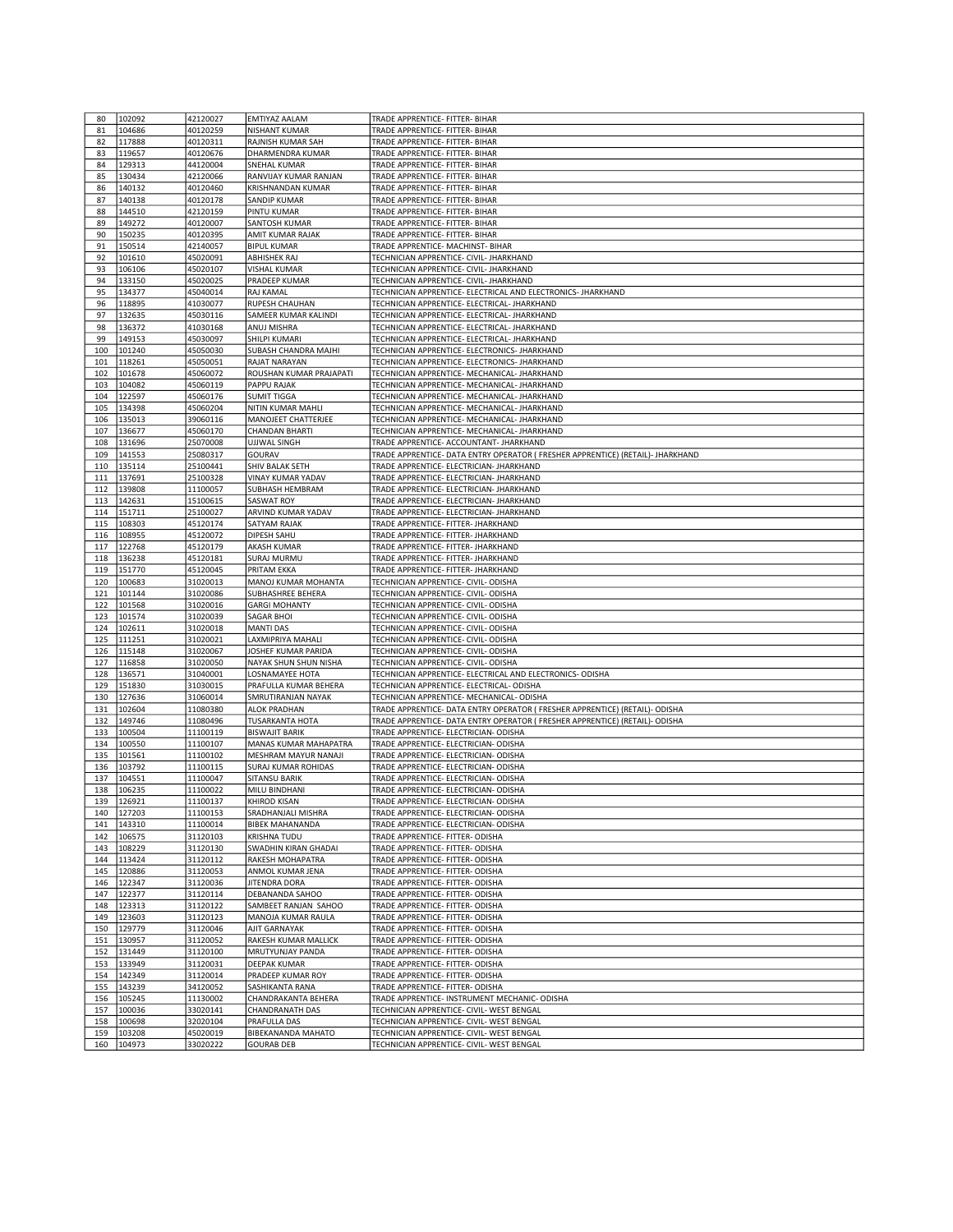| 80  | 102092 | 42120027 | <b>EMTIYAZ AALAM</b>       | TRADE APPRENTICE- FITTER- BIHAR                                                 |
|-----|--------|----------|----------------------------|---------------------------------------------------------------------------------|
| 81  | 104686 | 40120259 | <b>NISHANT KUMAR</b>       | TRADE APPRENTICE- FITTER- BIHAR                                                 |
| 82  | 117888 | 40120311 | RAJNISH KUMAR SAH          | TRADE APPRENTICE- FITTER- BIHAR                                                 |
| 83  | 119657 | 40120676 | DHARMENDRA KUMAR           | TRADE APPRENTICE- FITTER- BIHAR                                                 |
| 84  | 129313 | 44120004 | SNEHAL KUMAR               | TRADE APPRENTICE- FITTER- BIHAR                                                 |
| 85  | 130434 | 42120066 | RANVIJAY KUMAR RANJAN      | TRADE APPRENTICE- FITTER- BIHAR                                                 |
|     |        | 40120460 | <b>KRISHNANDAN KUMAR</b>   | TRADE APPRENTICE- FITTER- BIHAR                                                 |
| 86  | 140132 |          |                            |                                                                                 |
| 87  | 140138 | 40120178 | <b>SANDIP KUMAR</b>        | TRADE APPRENTICE- FITTER- BIHAR                                                 |
| 88  | 144510 | 42120159 | PINTU KUMAR                | TRADE APPRENTICE- FITTER- BIHAR                                                 |
| 89  | 149272 | 40120007 | SANTOSH KUMAR              | TRADE APPRENTICE- FITTER- BIHAR                                                 |
| 90  | 150235 | 40120395 | AMIT KUMAR RAJAK           | TRADE APPRENTICE- FITTER- BIHAR                                                 |
| 91  | 150514 | 42140057 | <b>BIPUL KUMAR</b>         | TRADE APPRENTICE- MACHINST- BIHAR                                               |
| 92  | 101610 | 45020091 | ABHISHEK RAJ               | TECHNICIAN APPRENTICE- CIVIL- JHARKHAND                                         |
| 93  | 106106 | 45020107 | <b>VISHAL KUMAR</b>        | TECHNICIAN APPRENTICE- CIVIL- JHARKHAND                                         |
| 94  | 133150 | 45020025 | PRADEEP KUMAR              | TECHNICIAN APPRENTICE- CIVIL- JHARKHAND                                         |
| 95  | 134377 | 45040014 | RAJ KAMAL                  | TECHNICIAN APPRENTICE- ELECTRICAL AND ELECTRONICS- JHARKHAND                    |
| 96  | 118895 | 41030077 | <b>RUPESH CHAUHAN</b>      | TECHNICIAN APPRENTICE- ELECTRICAL- JHARKHAND                                    |
| 97  | 132635 | 45030116 | SAMEER KUMAR KALINDI       | TECHNICIAN APPRENTICE- ELECTRICAL- JHARKHAND                                    |
| 98  | 136372 | 41030168 | ANUJ MISHRA                | TECHNICIAN APPRENTICE- ELECTRICAL- JHARKHAND                                    |
| 99  | 149153 | 45030097 | SHILPI KUMARI              | TECHNICIAN APPRENTICE- ELECTRICAL- JHARKHAND                                    |
| 100 | 101240 | 45050030 | SUBASH CHANDRA MAJHI       | TECHNICIAN APPRENTICE- ELECTRONICS- JHARKHAND                                   |
| 101 | 118261 | 45050051 | RAJAT NARAYAN              | TECHNICIAN APPRENTICE- ELECTRONICS- JHARKHAND                                   |
| 102 | 101678 | 45060072 | ROUSHAN KUMAR PRAJAPATI    | TECHNICIAN APPRENTICE- MECHANICAL- JHARKHAND                                    |
| 103 | 104082 | 45060119 | PAPPU RAJAK                | TECHNICIAN APPRENTICE- MECHANICAL- JHARKHAND                                    |
| 104 | 122597 | 45060176 | <b>SUMIT TIGGA</b>         | TECHNICIAN APPRENTICE- MECHANICAL- JHARKHAND                                    |
|     |        |          |                            |                                                                                 |
| 105 | 134398 | 45060204 | NITIN KUMAR MAHLI          | TECHNICIAN APPRENTICE- MECHANICAL- JHARKHAND                                    |
| 106 | 135013 | 39060116 | MANOJEET CHATTERJEE        | TECHNICIAN APPRENTICE- MECHANICAL- JHARKHAND                                    |
| 107 | 136677 | 45060170 | CHANDAN BHARTI             | TECHNICIAN APPRENTICE- MECHANICAL- JHARKHAND                                    |
| 108 | 131696 | 25070008 | <b>UJJWAL SINGH</b>        | TRADE APPRENTICE- ACCOUNTANT- JHARKHAND                                         |
| 109 | 141553 | 25080317 | GOURAV                     | TRADE APPRENTICE- DATA ENTRY OPERATOR ( FRESHER APPRENTICE) (RETAIL)- JHARKHAND |
| 110 | 135114 | 25100441 | SHIV BALAK SETH            | TRADE APPRENTICE- ELECTRICIAN- JHARKHAND                                        |
| 111 | 137691 | 25100328 | VINAY KUMAR YADAV          | TRADE APPRENTICE- ELECTRICIAN- JHARKHAND                                        |
| 112 | 139808 | 11100057 | SUBHASH HEMBRAM            | TRADE APPRENTICE- ELECTRICIAN- JHARKHAND                                        |
| 113 | 142631 | 15100615 | <b>SASWAT ROY</b>          | TRADE APPRENTICE- ELECTRICIAN- JHARKHAND                                        |
| 114 | 151711 | 25100027 | ARVIND KUMAR YADAV         | TRADE APPRENTICE- ELECTRICIAN- JHARKHAND                                        |
| 115 | 108303 | 45120174 | <b>SATYAM RAJAK</b>        | TRADE APPRENTICE- FITTER- JHARKHAND                                             |
| 116 | 108955 | 45120072 | <b>DIPESH SAHU</b>         | TRADE APPRENTICE- FITTER- JHARKHAND                                             |
| 117 | 122768 | 45120179 | <b>AKASH KUMAR</b>         | TRADE APPRENTICE- FITTER- JHARKHAND                                             |
| 118 | 136238 | 45120181 | <b>SURAJ MURMU</b>         | TRADE APPRENTICE- FITTER- JHARKHAND                                             |
| 119 | 151770 | 45120045 | PRITAM EKKA                | TRADE APPRENTICE- FITTER- JHARKHAND                                             |
| 120 | 100683 | 31020013 | MANOJ KUMAR MOHANTA        | TECHNICIAN APPRENTICE- CIVIL- ODISHA                                            |
| 121 | 101144 | 31020086 | SUBHASHREE BEHERA          | TECHNICIAN APPRENTICE- CIVIL- ODISHA                                            |
| 122 | 101568 | 31020016 | <b>GARGI MOHANTY</b>       | TECHNICIAN APPRENTICE- CIVIL- ODISHA                                            |
| 123 | 101574 | 31020039 | <b>SAGAR BHOI</b>          | TECHNICIAN APPRENTICE- CIVIL- ODISHA                                            |
| 124 | 102611 | 31020018 | <b>MANTI DAS</b>           | TECHNICIAN APPRENTICE- CIVIL- ODISHA                                            |
| 125 | 111251 | 31020021 | LAXMIPRIYA MAHALI          | TECHNICIAN APPRENTICE- CIVIL- ODISHA                                            |
| 126 | 115148 | 31020067 | JOSHEF KUMAR PARIDA        | TECHNICIAN APPRENTICE- CIVIL- ODISHA                                            |
| 127 | 116858 | 31020050 | NAYAK SHUN SHUN NISHA      | TECHNICIAN APPRENTICE- CIVIL- ODISHA                                            |
| 128 |        |          |                            |                                                                                 |
|     | 136571 | 31040001 | LOSNAMAYEE HOTA            | TECHNICIAN APPRENTICE- ELECTRICAL AND ELECTRONICS- ODISHA                       |
| 129 | 151830 | 31030015 | PRAFULLA KUMAR BEHERA      | TECHNICIAN APPRENTICE- ELECTRICAL- ODISHA                                       |
| 130 | 127636 | 31060014 | SMRUTIRANJAN NAYAK         | TECHNICIAN APPRENTICE- MECHANICAL- ODISHA                                       |
| 131 | 102604 | 11080380 | <b>ALOK PRADHAN</b>        | TRADE APPRENTICE- DATA ENTRY OPERATOR ( FRESHER APPRENTICE) (RETAIL)- ODISHA    |
| 132 | 149746 | 11080496 | TUSARKANTA HOTA            | TRADE APPRENTICE- DATA ENTRY OPERATOR ( FRESHER APPRENTICE) (RETAIL)- ODISHA    |
| 133 | 100504 | 11100119 | <b>BISWAJIT BARIK</b>      | TRADE APPRENTICE- ELECTRICIAN- ODISHA                                           |
| 134 | 100550 | 11100107 | MANAS KUMAR MAHAPATRA      | TRADE APPRENTICE- ELECTRICIAN- ODISHA                                           |
| 135 | 101561 | 11100102 | MESHRAM MAYUR NANAJI       | TRADE APPRENTICE- ELECTRICIAN- ODISHA                                           |
| 136 | 103792 | 11100115 | <b>SURAJ KUMAR ROHIDAS</b> | TRADE APPRENTICE- ELECTRICIAN- ODISHA                                           |
| 137 | 104551 | 11100047 | <b>SITANSU BARIK</b>       | TRADE APPRENTICE- ELECTRICIAN- ODISHA                                           |
| 138 | 106235 | 11100022 | MILU BINDHANI              | TRADE APPRENTICE- ELECTRICIAN- ODISHA                                           |
| 139 | 126921 | 11100137 | <b>KHIROD KISAN</b>        | TRADE APPRENTICE- ELECTRICIAN- ODISHA                                           |
| 140 | 127203 | 11100153 | SRADHANJALI MISHRA         | TRADE APPRENTICE- ELECTRICIAN- ODISHA                                           |
| 141 | 143310 | 11100014 | <b>BIBEK MAHANANDA</b>     | TRADE APPRENTICE- ELECTRICIAN- ODISHA                                           |
| 142 | 106575 | 31120103 | <b>KRISHNA TUDU</b>        | TRADE APPRENTICE- FITTER- ODISHA                                                |
| 143 | 108229 | 31120130 | SWADHIN KIRAN GHADAI       | TRADE APPRENTICE- FITTER- ODISHA                                                |
| 144 | 113424 | 31120112 | RAKESH MOHAPATRA           | TRADE APPRENTICE- FITTER- ODISHA                                                |
| 145 | 120886 | 31120053 | ANMOL KUMAR JENA           | TRADE APPRENTICE- FITTER- ODISHA                                                |
| 146 | 122347 | 31120036 | <b>JITENDRA DORA</b>       | TRADE APPRENTICE- FITTER- ODISHA                                                |
| 147 | 122377 | 31120114 | <b>DEBANANDA SAHOO</b>     | TRADE APPRENTICE- FITTER- ODISHA                                                |
| 148 | 123313 | 31120122 | SAMBEET RANJAN SAHOO       | TRADE APPRENTICE- FITTER- ODISHA                                                |
|     | 123603 | 31120123 |                            |                                                                                 |
| 149 |        |          | MANOJA KUMAR RAULA         | TRADE APPRENTICE- FITTER- ODISHA                                                |
| 150 | 129779 | 31120046 | AJIT GARNAYAK              | TRADE APPRENTICE- FITTER- ODISHA                                                |
| 151 | 130957 | 31120052 | RAKESH KUMAR MALLICK       | TRADE APPRENTICE- FITTER- ODISHA                                                |
| 152 | 131449 | 31120100 | MRUTYUNJAY PANDA           | TRADE APPRENTICE- FITTER- ODISHA                                                |
| 153 | 133949 | 31120031 | <b>DEEPAK KUMAR</b>        | TRADE APPRENTICE- FITTER- ODISHA                                                |
| 154 | 142349 | 31120014 | PRADEEP KUMAR ROY          | TRADE APPRENTICE- FITTER- ODISHA                                                |
| 155 | 143239 | 34120052 | <b>SASHIKANTA RANA</b>     | TRADE APPRENTICE- FITTER- ODISHA                                                |
| 156 | 105245 | 11130002 | CHANDRAKANTA BEHERA        | TRADE APPRENTICE- INSTRUMENT MECHANIC- ODISHA                                   |
|     |        |          |                            |                                                                                 |
| 157 | 100036 | 33020141 | CHANDRANATH DAS            | TECHNICIAN APPRENTICE- CIVIL- WEST BENGAL                                       |
| 158 | 100698 | 32020104 | PRAFULLA DAS               | TECHNICIAN APPRENTICE- CIVIL- WEST BENGAL                                       |
| 159 | 103208 | 45020019 | BIBEKANANDA MAHATO         | TECHNICIAN APPRENTICE- CIVIL- WEST BENGAL                                       |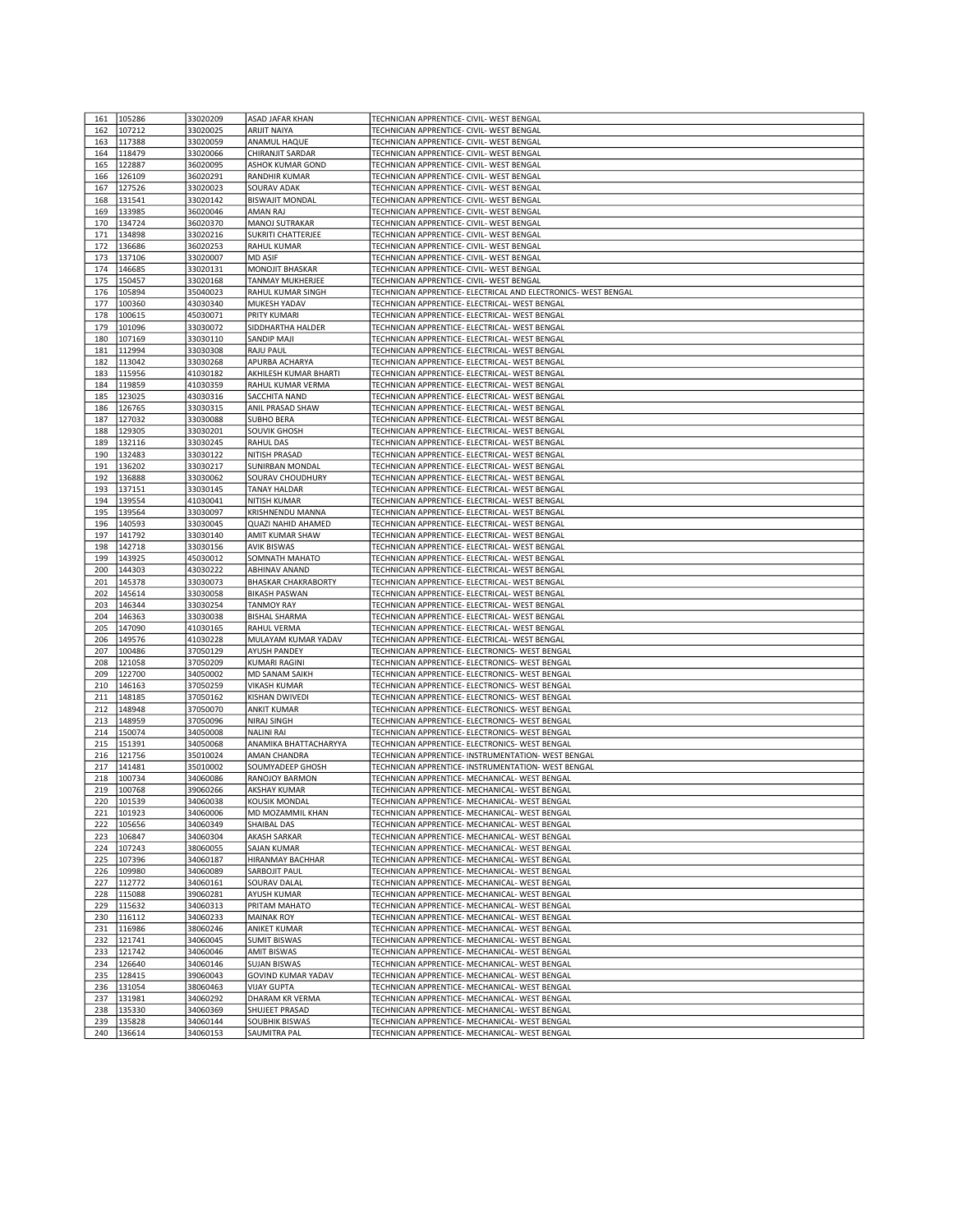| 161        |                  |                      | <b>ASAD JAFAR KHAN</b>         | TECHNICIAN APPRENTICE- CIVIL- WEST BENGAL                                                        |
|------------|------------------|----------------------|--------------------------------|--------------------------------------------------------------------------------------------------|
|            | 105286           | 33020209             |                                |                                                                                                  |
| 162        | 107212           | 33020025             | <b>ARIJIT NAIYA</b>            | TECHNICIAN APPRENTICE- CIVIL- WEST BENGAL                                                        |
| 163        | 117388           | 33020059             | ANAMUL HAQUE                   | TECHNICIAN APPRENTICE- CIVIL- WEST BENGAL                                                        |
| 164        | 118479           | 33020066             | CHIRANJIT SARDAR               | TECHNICIAN APPRENTICE- CIVIL- WEST BENGAL                                                        |
|            |                  |                      |                                |                                                                                                  |
| 165        | 122887           | 36020095             | ASHOK KUMAR GOND               | TECHNICIAN APPRENTICE- CIVIL- WEST BENGAL                                                        |
| 166        | 126109           | 36020291             | RANDHIR KUMAR                  | TECHNICIAN APPRENTICE- CIVIL- WEST BENGAL                                                        |
| 167        | 127526           | 33020023             | SOURAV ADAK                    | TECHNICIAN APPRENTICE- CIVIL- WEST BENGAL                                                        |
| 168        | 131541           | 33020142             | <b>BISWAJIT MONDAL</b>         | TECHNICIAN APPRENTICE- CIVIL- WEST BENGAL                                                        |
|            |                  |                      |                                |                                                                                                  |
| 169        | 133985           | 36020046             | AMAN RAJ                       | TECHNICIAN APPRENTICE- CIVIL- WEST BENGAL                                                        |
| 170        | 134724           | 36020370             | MANOJ SUTRAKAR                 | TECHNICIAN APPRENTICE- CIVIL- WEST BENGAL                                                        |
| 171        | 134898           | 33020216             | <b>SUKRITI CHATTERJEE</b>      | TECHNICIAN APPRENTICE- CIVIL- WEST BENGAL                                                        |
| 172        | 136686           | 36020253             | RAHUL KUMAR                    | TECHNICIAN APPRENTICE- CIVIL- WEST BENGAL                                                        |
| 173        | 137106           | 33020007             | MD ASIF                        | TECHNICIAN APPRENTICE- CIVIL- WEST BENGAL                                                        |
| 174        | 146685           | 33020131             | MONOJIT BHASKAR                | TECHNICIAN APPRENTICE- CIVIL- WEST BENGAL                                                        |
|            |                  |                      |                                |                                                                                                  |
| 175        | 150457           | 33020168             | <b>TANMAY MUKHERJEE</b>        | TECHNICIAN APPRENTICE- CIVIL- WEST BENGAL                                                        |
| 176        | 105894           | 35040023             | RAHUL KUMAR SINGH              | TECHNICIAN APPRENTICE- ELECTRICAL AND ELECTRONICS- WEST BENGAL                                   |
| 177        | 100360           | 43030340             | MUKESH YADAV                   | TECHNICIAN APPRENTICE- ELECTRICAL- WEST BENGAL                                                   |
| 178        | 100615           | 45030071             | PRITY KUMARI                   | TECHNICIAN APPRENTICE- ELECTRICAL- WEST BENGAL                                                   |
| 179        | 101096           | 33030072             | SIDDHARTHA HALDER              | TECHNICIAN APPRENTICE- ELECTRICAL- WEST BENGAL                                                   |
|            |                  |                      |                                |                                                                                                  |
| 180        | 107169           | 33030110             | SANDIP MAJI                    | TECHNICIAN APPRENTICE- ELECTRICAL- WEST BENGAL                                                   |
| 181        | 112994           | 33030308             | <b>RAJU PAUL</b>               | TECHNICIAN APPRENTICE- ELECTRICAL- WEST BENGAL                                                   |
| 182        | 113042           | 33030268             | APURBA ACHARYA                 | TECHNICIAN APPRENTICE- ELECTRICAL- WEST BENGAL                                                   |
| 183        | 115956           | 41030182             | AKHILESH KUMAR BHARTI          | TECHNICIAN APPRENTICE- ELECTRICAL- WEST BENGAL                                                   |
| 184        | 119859           | 41030359             | RAHUL KUMAR VERMA              | TECHNICIAN APPRENTICE- ELECTRICAL- WEST BENGAL                                                   |
| 185        |                  |                      | SACCHITA NAND                  |                                                                                                  |
|            | 123025           | 43030316             |                                | TECHNICIAN APPRENTICE- ELECTRICAL- WEST BENGAL                                                   |
| 186        | 126765           | 33030315             | ANIL PRASAD SHAW               | TECHNICIAN APPRENTICE- ELECTRICAL- WEST BENGAL                                                   |
| 187        | 127032           | 33030088             | <b>SUBHO BERA</b>              | TECHNICIAN APPRENTICE- ELECTRICAL- WEST BENGAL                                                   |
| 188        | 129305           | 33030201             | <b>SOUVIK GHOSH</b>            | TECHNICIAN APPRENTICE- ELECTRICAL- WEST BENGAL                                                   |
| 189        | 132116           | 33030245             | RAHUL DAS                      | TECHNICIAN APPRENTICE- ELECTRICAL- WEST BENGAL                                                   |
| 190        | 132483           | 33030122             | NITISH PRASAD                  | TECHNICIAN APPRENTICE- ELECTRICAL- WEST BENGAL                                                   |
|            |                  |                      |                                |                                                                                                  |
| 191        | 136202           | 33030217             | SUNIRBAN MONDAL                | TECHNICIAN APPRENTICE- ELECTRICAL- WEST BENGAL                                                   |
| 192        | 136888           | 33030062             | SOURAV CHOUDHURY               | TECHNICIAN APPRENTICE- ELECTRICAL- WEST BENGAL                                                   |
| 193        | 137151           | 33030145             | TANAY HALDAR                   | TECHNICIAN APPRENTICE- ELECTRICAL- WEST BENGAL                                                   |
| 194        | 139554           | 41030041             | NITISH KUMAR                   | TECHNICIAN APPRENTICE- ELECTRICAL- WEST BENGAL                                                   |
|            |                  |                      |                                |                                                                                                  |
| 195        | 139564           | 33030097             | KRISHNENDU MANNA               | TECHNICIAN APPRENTICE- ELECTRICAL- WEST BENGAL                                                   |
| 196        | 140593           | 33030045             | QUAZI NAHID AHAMED             | TECHNICIAN APPRENTICE- ELECTRICAL- WEST BENGAL                                                   |
| 197        | 141792           | 33030140             | AMIT KUMAR SHAW                | TECHNICIAN APPRENTICE- ELECTRICAL- WEST BENGAL                                                   |
| 198        | 142718           | 33030156             | <b>AVIK BISWAS</b>             | TECHNICIAN APPRENTICE- ELECTRICAL- WEST BENGAL                                                   |
| 199        | 143925           | 45030012             | SOMNATH MAHATO                 | TECHNICIAN APPRENTICE- ELECTRICAL- WEST BENGAL                                                   |
| 200        | 144303           | 43030222             | ABHINAV ANAND                  | TECHNICIAN APPRENTICE- ELECTRICAL- WEST BENGAL                                                   |
|            |                  |                      |                                |                                                                                                  |
| 201        | 145378           | 33030073             | <b>BHASKAR CHAKRABORTY</b>     | TECHNICIAN APPRENTICE- ELECTRICAL- WEST BENGAL                                                   |
| 202        | 145614           | 33030058             | <b>BIKASH PASWAN</b>           | TECHNICIAN APPRENTICE- ELECTRICAL- WEST BENGAL                                                   |
| 203        | 146344           | 33030254             | <b>TANMOY RAY</b>              | TECHNICIAN APPRENTICE- ELECTRICAL- WEST BENGAL                                                   |
| 204        | 146363           | 33030038             | <b>BISHAL SHARMA</b>           | TECHNICIAN APPRENTICE- ELECTRICAL- WEST BENGAL                                                   |
|            |                  |                      |                                |                                                                                                  |
|            |                  |                      |                                |                                                                                                  |
| 205        | 147090           | 41030165             | RAHUL VERMA                    | TECHNICIAN APPRENTICE- ELECTRICAL- WEST BENGAL                                                   |
| 206        | 149576           | 41030228             | MULAYAM KUMAR YADAV            | TECHNICIAN APPRENTICE- ELECTRICAL- WEST BENGAL                                                   |
| 207        | 100486           | 37050129             | AYUSH PANDEY                   | TECHNICIAN APPRENTICE- ELECTRONICS- WEST BENGAL                                                  |
| 208        | 121058           | 37050209             | <b>KUMARI RAGINI</b>           | TECHNICIAN APPRENTICE- ELECTRONICS- WEST BENGAL                                                  |
| 209        | 122700           | 34050002             | MD SANAM SAIKH                 | TECHNICIAN APPRENTICE- ELECTRONICS- WEST BENGAL                                                  |
| 210        | 146163           | 37050259             | <b>VIKASH KUMAR</b>            | TECHNICIAN APPRENTICE- ELECTRONICS- WEST BENGAL                                                  |
|            |                  |                      |                                |                                                                                                  |
| 211        | 148185           | 37050162             | KISHAN DWIVEDI                 | TECHNICIAN APPRENTICE- ELECTRONICS- WEST BENGAL                                                  |
| 212        | 148948           | 37050070             | <b>ANKIT KUMAR</b>             | TECHNICIAN APPRENTICE- ELECTRONICS- WEST BENGAL                                                  |
| 213        | 148959           | 37050096             | NIRAJ SINGH                    | TECHNICIAN APPRENTICE- ELECTRONICS- WEST BENGAL                                                  |
| 214        | 150074           | 34050008             | <b>NALINI RAI</b>              | TECHNICIAN APPRENTICE- ELECTRONICS- WEST BENGAL                                                  |
| 215        | 151391           | 34050068             | ANAMIKA BHATTACHARYYA          | TECHNICIAN APPRENTICE- ELECTRONICS- WEST BENGAL                                                  |
| 216        | 121756           | 35010024             | AMAN CHANDRA                   | TECHNICIAN APPRENTICE- INSTRUMENTATION- WEST BENGAL                                              |
| 217        |                  |                      |                                |                                                                                                  |
|            | 141481           | 35010002             | SOUMYADEEP GHOSH               | TECHNICIAN APPRENTICE- INSTRUMENTATION- WEST BENGAL                                              |
| 218        | 100734           | 34060086             | RANOJOY BARMON                 | TECHNICIAN APPRENTICE- MECHANICAL- WEST BENGAL                                                   |
| 219        | 100768           | 39060266             | <b>AKSHAY KUMAR</b>            | TECHNICIAN APPRENTICE- MECHANICAL- WEST BENGAL                                                   |
| 220        | 101539           | 34060038             | KOUSIK MONDAL                  | TECHNICIAN APPRENTICE- MECHANICAL- WEST BENGAL                                                   |
| 221        | 101923           | 34060006             | MD MOZAMMIL KHAN               | TECHNICIAN APPRENTICE- MECHANICAL- WEST BENGAL                                                   |
| 222        | 105656           | 34060349             | SHAIBAL DAS                    | TECHNICIAN APPRENTICE- MECHANICAL- WEST BENGAL                                                   |
| 223        | 106847           | 34060304             | <b>AKASH SARKAR</b>            | TECHNICIAN APPRENTICE- MECHANICAL- WEST BENGAL                                                   |
|            |                  |                      |                                |                                                                                                  |
| 224        | 107243           | 38060055             | SAJAN KUMAR                    | TECHNICIAN APPRENTICE- MECHANICAL- WEST BENGAL                                                   |
| 225        | 107396           | 34060187             | HIRANMAY BACHHAR               | TECHNICIAN APPRENTICE- MECHANICAL- WEST BENGAL                                                   |
| 226        | 109980           | 34060089             | SARBOJIT PAUL                  | TECHNICIAN APPRENTICE- MECHANICAL- WEST BENGAL                                                   |
| 227        | 112772           | 34060161             | SOURAV DALAL                   | TECHNICIAN APPRENTICE- MECHANICAL- WEST BENGAL                                                   |
| 228        | 115088           | 39060281             | <b>AYUSH KUMAR</b>             | TECHNICIAN APPRENTICE- MECHANICAL- WEST BENGAL                                                   |
| 229        |                  |                      |                                |                                                                                                  |
|            | 115632           | 34060313             | PRITAM MAHATO                  | TECHNICIAN APPRENTICE- MECHANICAL- WEST BENGAL                                                   |
| 230        | 116112           | 34060233             | <b>MAINAK ROY</b>              | TECHNICIAN APPRENTICE- MECHANICAL- WEST BENGAL                                                   |
| 231        | 116986           | 38060246             | ANIKET KUMAR                   | TECHNICIAN APPRENTICE- MECHANICAL- WEST BENGAL                                                   |
| 232        | 121741           | 34060045             | <b>SUMIT BISWAS</b>            | TECHNICIAN APPRENTICE- MECHANICAL- WEST BENGAL                                                   |
| 233        | 121742           | 34060046             | <b>AMIT BISWAS</b>             | TECHNICIAN APPRENTICE- MECHANICAL- WEST BENGAL                                                   |
| 234        | 126640           | 34060146             | <b>SUJAN BISWAS</b>            | TECHNICIAN APPRENTICE- MECHANICAL- WEST BENGAL                                                   |
|            |                  |                      |                                |                                                                                                  |
| 235        | 128415           | 39060043             | <b>GOVIND KUMAR YADAV</b>      | TECHNICIAN APPRENTICE- MECHANICAL- WEST BENGAL                                                   |
| 236        | 131054           | 38060463             | <b>VIJAY GUPTA</b>             | TECHNICIAN APPRENTICE- MECHANICAL- WEST BENGAL                                                   |
| 237        | 131981           | 34060292             | DHARAM KR VERMA                | TECHNICIAN APPRENTICE- MECHANICAL- WEST BENGAL                                                   |
| 238        | 135330           | 34060369             | SHUJEET PRASAD                 | TECHNICIAN APPRENTICE- MECHANICAL- WEST BENGAL                                                   |
| 239<br>240 | 135828<br>136614 | 34060144<br>34060153 | SOUBHIK BISWAS<br>SAUMITRA PAL | TECHNICIAN APPRENTICE- MECHANICAL- WEST BENGAL<br>TECHNICIAN APPRENTICE- MECHANICAL- WEST BENGAL |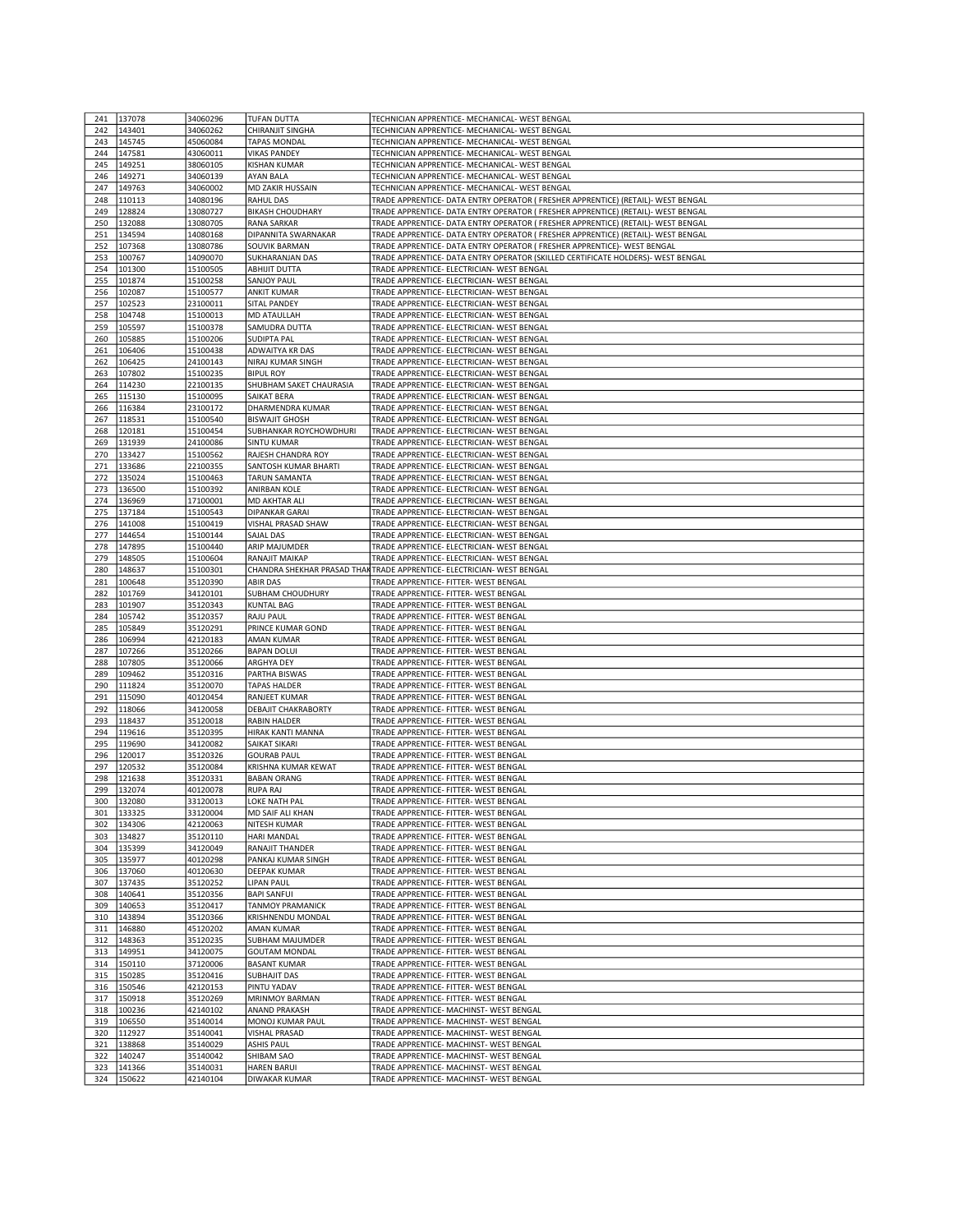| 241        | 137078           | 34060296             | <b>TUFAN DUTTA</b>                         | TECHNICIAN APPRENTICE- MECHANICAL- WEST BENGAL                                     |
|------------|------------------|----------------------|--------------------------------------------|------------------------------------------------------------------------------------|
| 242        | 143401           | 34060262             | CHIRANJIT SINGHA                           | TECHNICIAN APPRENTICE- MECHANICAL- WEST BENGAL                                     |
|            |                  |                      |                                            |                                                                                    |
| 243        | 145745           | 45060084             | <b>TAPAS MONDAL</b>                        | TECHNICIAN APPRENTICE- MECHANICAL- WEST BENGAL                                     |
| 244        | 147581           | 43060011             | <b>VIKAS PANDEY</b>                        | TECHNICIAN APPRENTICE- MECHANICAL- WEST BENGAL                                     |
| 245        | 149251           | 38060105             | <b>KISHAN KUMAR</b>                        | TECHNICIAN APPRENTICE- MECHANICAL- WEST BENGAL                                     |
| 246        | 149271           | 34060139             | <b>AYAN BALA</b>                           | TECHNICIAN APPRENTICE- MECHANICAL- WEST BENGAL                                     |
| 247        | 149763           | 34060002             | MD ZAKIR HUSSAIN                           | TECHNICIAN APPRENTICE- MECHANICAL- WEST BENGAL                                     |
| 248        | 110113           | 14080196             | <b>RAHUL DAS</b>                           | TRADE APPRENTICE- DATA ENTRY OPERATOR ( FRESHER APPRENTICE) (RETAIL)- WEST BENGAL  |
| 249        | 128824           | 13080727             | <b>BIKASH CHOUDHARY</b>                    | TRADE APPRENTICE- DATA ENTRY OPERATOR ( FRESHER APPRENTICE) (RETAIL)- WEST BENGAL  |
| 250        | 132088           | 13080705             | <b>RANA SARKAR</b>                         | TRADE APPRENTICE- DATA ENTRY OPERATOR ( FRESHER APPRENTICE) (RETAIL)- WEST BENGAL  |
| 251        | 134594           | 14080168             | <b>DIPANNITA SWARNAKAR</b>                 | TRADE APPRENTICE- DATA ENTRY OPERATOR ( FRESHER APPRENTICE) (RETAIL)- WEST BENGAL  |
|            |                  |                      |                                            |                                                                                    |
| 252        | 107368           | 13080786             | <b>SOUVIK BARMAN</b>                       | TRADE APPRENTICE- DATA ENTRY OPERATOR ( FRESHER APPRENTICE)- WEST BENGAL           |
| 253        | 100767           | 14090070             | <b>SUKHARANJAN DAS</b>                     | TRADE APPRENTICE- DATA ENTRY OPERATOR (SKILLED CERTIFICATE HOLDERS)- WEST BENGAL   |
| 254        | 101300           | 15100505             | <b>ABHIJIT DUTTA</b>                       | TRADE APPRENTICE- ELECTRICIAN- WEST BENGAL                                         |
| 255        | 101874           | 15100258             | <b>SANJOY PAUL</b>                         | TRADE APPRENTICE- ELECTRICIAN- WEST BENGAL                                         |
| 256        | 102087           | 15100577             | <b>ANKIT KUMAR</b>                         | TRADE APPRENTICE- ELECTRICIAN- WEST BENGAL                                         |
| 257        | 102523           | 23100011             | <b>SITAL PANDEY</b>                        | TRADE APPRENTICE- ELECTRICIAN- WEST BENGAL                                         |
| 258        | 104748           | 15100013             | <b>MD ATAULLAH</b>                         | TRADE APPRENTICE- ELECTRICIAN- WEST BENGAL                                         |
| 259        | 105597           | 15100378             | SAMUDRA DUTTA                              | TRADE APPRENTICE- ELECTRICIAN- WEST BENGAL                                         |
| 260        | 105885           | 15100206             | <b>SUDIPTA PAL</b>                         | TRADE APPRENTICE- ELECTRICIAN- WEST BENGAL                                         |
| 261        | 106406           | 15100438             | ADWAITYA KR DAS                            | TRADE APPRENTICE- ELECTRICIAN- WEST BENGAL                                         |
|            |                  |                      |                                            |                                                                                    |
| 262        | 106425           | 24100143             | NIRAJ KUMAR SINGH                          | TRADE APPRENTICE- ELECTRICIAN- WEST BENGAL                                         |
| 263        | 107802           | 15100235             | <b>BIPUL ROY</b>                           | TRADE APPRENTICE- ELECTRICIAN- WEST BENGAL                                         |
| 264        | 114230           | 22100135             | SHUBHAM SAKET CHAURASIA                    | TRADE APPRENTICE- ELECTRICIAN- WEST BENGAL                                         |
| 265        | 115130           | 15100095             | <b>SAIKAT BERA</b>                         | TRADE APPRENTICE- ELECTRICIAN- WEST BENGAL                                         |
| 266        | 116384           | 23100172             | DHARMENDRA KUMAR                           | TRADE APPRENTICE- ELECTRICIAN- WEST BENGAL                                         |
| 267        | 118531           | 15100540             | <b>BISWAJIT GHOSH</b>                      | TRADE APPRENTICE- ELECTRICIAN- WEST BENGAL                                         |
| 268        | 120181           | 15100454             | SUBHANKAR ROYCHOWDHURI                     | TRADE APPRENTICE- ELECTRICIAN- WEST BENGAL                                         |
| 269        | 131939           | 24100086             | <b>SINTU KUMAR</b>                         | TRADE APPRENTICE- ELECTRICIAN- WEST BENGAL                                         |
| 270        | 133427           | 15100562             | RAJESH CHANDRA ROY                         | TRADE APPRENTICE- ELECTRICIAN- WEST BENGAL                                         |
| 271        | 133686           | 22100355             | SANTOSH KUMAR BHARTI                       | TRADE APPRENTICE- ELECTRICIAN- WEST BENGAL                                         |
| 272        | 135024           | 15100463             | <b>TARUN SAMANTA</b>                       | TRADE APPRENTICE- ELECTRICIAN- WEST BENGAL                                         |
|            |                  |                      |                                            |                                                                                    |
| 273        | 136500           | 15100392             | <b>ANIRBAN KOLE</b>                        | TRADE APPRENTICE- ELECTRICIAN- WEST BENGAL                                         |
| 274        | 136969           | 17100001             | <b>MD AKHTAR ALI</b>                       | TRADE APPRENTICE- ELECTRICIAN- WEST BENGAL                                         |
| 275        | 137184           | 15100543             | <b>DIPANKAR GARAI</b>                      | TRADE APPRENTICE- ELECTRICIAN- WEST BENGAL                                         |
| 276        | 141008           | 15100419             | VISHAL PRASAD SHAW                         | TRADE APPRENTICE- ELECTRICIAN- WEST BENGAL                                         |
| 277        | 144654           | 15100144             | SAJAL DAS                                  | TRADE APPRENTICE- ELECTRICIAN- WEST BENGAL                                         |
| 278        | 147895           | 15100440             | <b>ARIP MAJUMDER</b>                       | TRADE APPRENTICE- ELECTRICIAN- WEST BENGAL                                         |
| 279        | 148505           | 15100604             | RANAJIT MAIKAP                             | TRADE APPRENTICE- ELECTRICIAN- WEST BENGAL                                         |
| 280        | 148637           | 15100301             |                                            | CHANDRA SHEKHAR PRASAD THAN TRADE APPRENTICE- ELECTRICIAN- WEST BENGAL             |
| 281        | 100648           | 35120390             | <b>ABIR DAS</b>                            | TRADE APPRENTICE- FITTER- WEST BENGAL                                              |
| 282        | 101769           | 34120101             | SUBHAM CHOUDHURY                           | TRADE APPRENTICE- FITTER- WEST BENGAL                                              |
| 283        | 101907           | 35120343             |                                            | TRADE APPRENTICE- FITTER- WEST BENGAL                                              |
|            |                  |                      |                                            |                                                                                    |
|            |                  |                      | <b>KUNTAL BAG</b>                          |                                                                                    |
| 284        | 105742           | 35120357             | <b>RAJU PAUL</b>                           | TRADE APPRENTICE- FITTER- WEST BENGAL                                              |
| 285        | 105849           | 35120291             | PRINCE KUMAR GOND                          | TRADE APPRENTICE- FITTER- WEST BENGAL                                              |
| 286        | 106994           | 42120183             | <b>AMAN KUMAR</b>                          | TRADE APPRENTICE- FITTER- WEST BENGAL                                              |
| 287        | 107266           | 35120266             | <b>BAPAN DOLUI</b>                         | TRADE APPRENTICE- FITTER- WEST BENGAL                                              |
| 288        | 107805           | 35120066             | <b>ARGHYA DEY</b>                          | TRADE APPRENTICE- FITTER- WEST BENGAL                                              |
| 289        | 109462           | 35120316             | PARTHA BISWAS                              | TRADE APPRENTICE- FITTER- WEST BENGAL                                              |
| 290        | 111824           | 35120070             | <b>TAPAS HALDER</b>                        | TRADE APPRENTICE- FITTER- WEST BENGAL                                              |
| 291        | 115090           | 40120454             | <b>RANJEET KUMAR</b>                       | TRADE APPRENTICE- FITTER- WEST BENGAL                                              |
| 292        | 118066           | 34120058             | <b>DEBAJIT CHAKRABORTY</b>                 | TRADE APPRENTICE- FITTER- WEST BENGAL                                              |
| 293        | 118437           | 35120018             | <b>RABIN HALDER</b>                        | TRADE APPRENTICE- FITTER- WEST BENGAL                                              |
| 294        | 119616           | 35120395             | HIRAK KANTI MANNA                          | TRADE APPRENTICE- FITTER- WEST BENGAL                                              |
| 295        | 119690           | 34120082             | <b>SAIKAT SIKARI</b>                       |                                                                                    |
| 296        | 120017           |                      | <b>GOURAB PAUL</b>                         | TRADE APPRENTICE- FITTER- WEST BENGAL<br>TRADE APPRENTICE- FITTER- WEST BENGAL     |
| 297        |                  | 35120326             |                                            |                                                                                    |
|            | 120532           | 35120084             | KRISHNA KUMAR KEWAT                        | TRADE APPRENTICE- FITTER- WEST BENGAL                                              |
| 298        | 121638           | 35120331             | <b>BABAN ORANG</b>                         | TRADE APPRENTICE- FITTER- WEST BENGAL                                              |
| 299        | 132074           | 40120078             | <b>RUPA RAJ</b>                            | TRADE APPRENTICE- FITTER- WEST BENGAL                                              |
| 300        | 132080           | 33120013             | LOKE NATH PAL                              | TRADE APPRENTICE- FITTER- WEST BENGAL                                              |
| 301        | 133325           | 33120004             | <b>MD SAIF ALI KHAN</b>                    | TRADE APPRENTICE- FITTER- WEST BENGAL                                              |
| 302        | 134306           | 42120063             | <b>NITESH KUMAR</b>                        | TRADE APPRENTICE- FITTER- WEST BENGAL                                              |
| 303        | 134827           | 35120110             | <b>HARI MANDAL</b>                         | TRADE APPRENTICE- FITTER- WEST BENGAL                                              |
| 304        | 135399           | 34120049             | <b>RANAJIT THANDER</b>                     | TRADE APPRENTICE- FITTER- WEST BENGAL                                              |
| 305        | 135977           | 40120298             | PANKAJ KUMAR SINGH                         | TRADE APPRENTICE- FITTER- WEST BENGAL                                              |
| 306        | 137060           | 40120630             | <b>DEEPAK KUMAR</b>                        | TRADE APPRENTICE- FITTER- WEST BENGAL                                              |
| 307        | 137435           | 35120252             | <b>LIPAN PAUL</b>                          | TRADE APPRENTICE- FITTER- WEST BENGAL                                              |
| 308        | 140641           | 35120356             | <b>BAPI SANFUI</b>                         | TRADE APPRENTICE- FITTER- WEST BENGAL                                              |
| 309        | 140653           | 35120417             | <b>TANMOY PRAMANICK</b>                    | TRADE APPRENTICE- FITTER- WEST BENGAL                                              |
| 310        | 143894           | 35120366             | KRISHNENDU MONDAL                          | TRADE APPRENTICE- FITTER- WEST BENGAL                                              |
| 311        | 146880           | 45120202             | AMAN KUMAR                                 | TRADE APPRENTICE- FITTER- WEST BENGAL                                              |
| 312        | 148363           | 35120235             | SUBHAM MAJUMDER                            | TRADE APPRENTICE- FITTER- WEST BENGAL                                              |
| 313        | 149951           | 34120075             | <b>GOUTAM MONDAL</b>                       | TRADE APPRENTICE- FITTER- WEST BENGAL                                              |
| 314        | 150110           | 37120006             | <b>BASANT KUMAR</b>                        | TRADE APPRENTICE- FITTER- WEST BENGAL                                              |
|            |                  |                      |                                            |                                                                                    |
| 315        | 150285           | 35120416             | <b>SUBHAJIT DAS</b>                        | TRADE APPRENTICE- FITTER- WEST BENGAL                                              |
| 316        | 150546           | 42120153             | PINTU YADAV                                | TRADE APPRENTICE- FITTER- WEST BENGAL                                              |
| 317        | 150918           | 35120269             | MRINMOY BARMAN                             | TRADE APPRENTICE- FITTER- WEST BENGAL                                              |
| 318        | 100236           | 42140102             | <b>ANAND PRAKASH</b>                       | TRADE APPRENTICE- MACHINST- WEST BENGAL                                            |
| 319        | 106550           | 35140014             | MONOJ KUMAR PAUL                           | TRADE APPRENTICE- MACHINST- WEST BENGAL                                            |
| 320        | 112927           | 35140041             | <b>VISHAL PRASAD</b>                       | TRADE APPRENTICE- MACHINST- WEST BENGAL                                            |
| 321        | 138868           | 35140029             | <b>ASHIS PAUL</b>                          | TRADE APPRENTICE- MACHINST- WEST BENGAL                                            |
| 322        | 140247           | 35140042             | SHIBAM SAO                                 | TRADE APPRENTICE- MACHINST- WEST BENGAL                                            |
| 323<br>324 | 141366<br>150622 | 35140031<br>42140104 | <b>HAREN BARUI</b><br><b>DIWAKAR KUMAR</b> | TRADE APPRENTICE- MACHINST- WEST BENGAL<br>TRADE APPRENTICE- MACHINST- WEST BENGAL |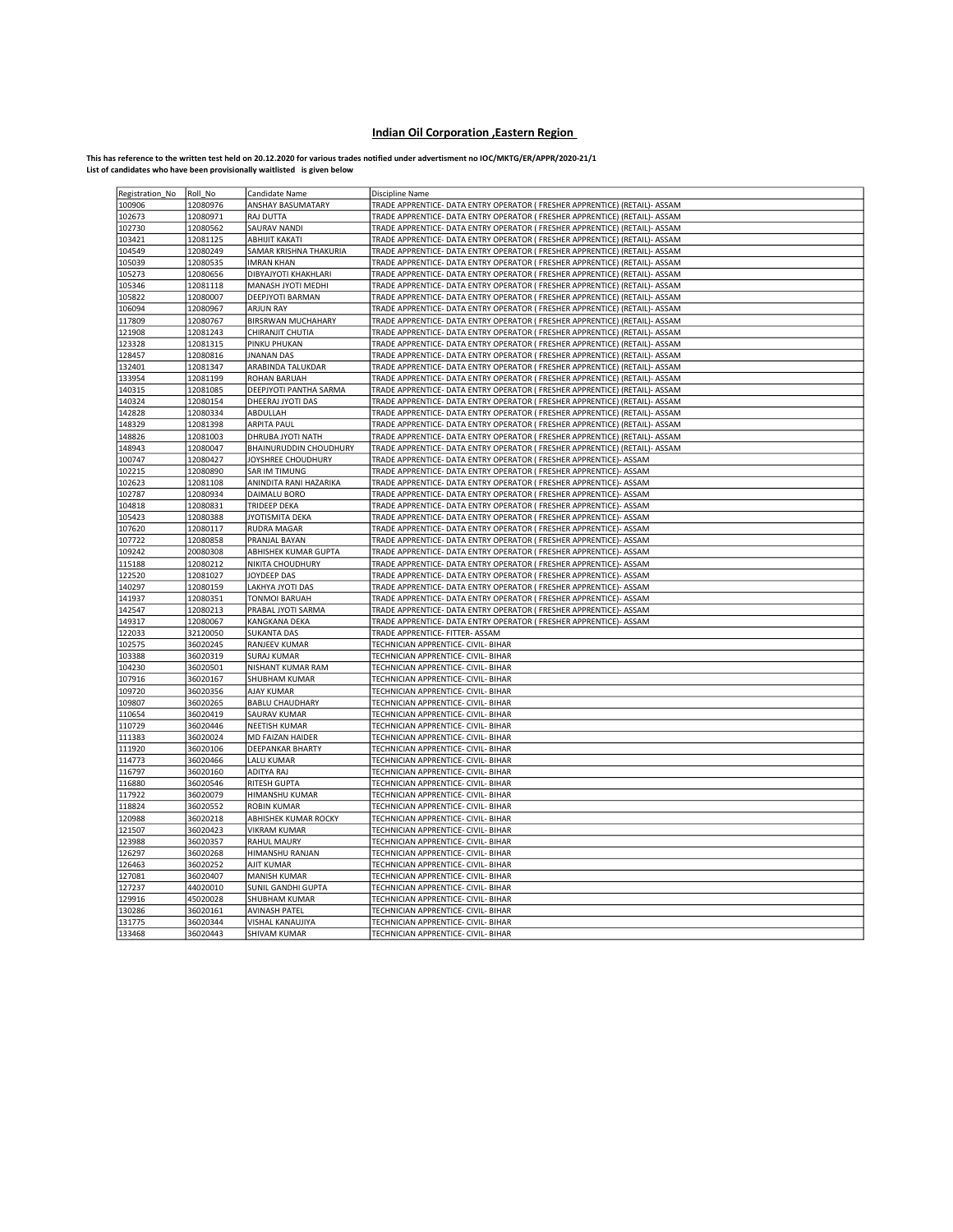## Indian Oil Corporation ,Eastern Region

This has reference to the written test held on 20.12.2020 for various trades notified under advertisment no IOC/MKTG/ER/APPR/2020-21/1<br>List of candidates who have been provisionally waitlisted is given below

| Registration_No  | Roll No              | Candidate Name                             | Discipline Name                                                                                                                          |
|------------------|----------------------|--------------------------------------------|------------------------------------------------------------------------------------------------------------------------------------------|
| 100906           | 12080976             | ANSHAY BASUMATARY                          | TRADE APPRENTICE- DATA ENTRY OPERATOR ( FRESHER APPRENTICE) (RETAIL)- ASSAM                                                              |
| 102673           | 12080971             | RAJ DUTTA                                  | TRADE APPRENTICE- DATA ENTRY OPERATOR ( FRESHER APPRENTICE) (RETAIL)- ASSAM                                                              |
| 102730           | 12080562             | SAURAV NANDI                               | TRADE APPRENTICE- DATA ENTRY OPERATOR ( FRESHER APPRENTICE) (RETAIL)- ASSAM                                                              |
| 103421           | 12081125             | ABHIJIT KAKATI                             | TRADE APPRENTICE- DATA ENTRY OPERATOR ( FRESHER APPRENTICE) (RETAIL)- ASSAM                                                              |
| 104549           | 12080249             | SAMAR KRISHNA THAKURIA                     | TRADE APPRENTICE- DATA ENTRY OPERATOR ( FRESHER APPRENTICE) (RETAIL)- ASSAM                                                              |
| 105039           | 12080535             | <b>IMRAN KHAN</b>                          | TRADE APPRENTICE- DATA ENTRY OPERATOR ( FRESHER APPRENTICE) (RETAIL)- ASSAM                                                              |
| 105273           | 12080656             | DIBYAJYOTI KHAKHLARI                       | TRADE APPRENTICE- DATA ENTRY OPERATOR ( FRESHER APPRENTICE) (RETAIL)- ASSAM                                                              |
| 105346           | 12081118             | MANASH JYOTI MEDHI                         | TRADE APPRENTICE- DATA ENTRY OPERATOR ( FRESHER APPRENTICE) (RETAIL)- ASSAM                                                              |
| 105822           | 12080007             | DEEPJYOTI BARMAN                           | TRADE APPRENTICE- DATA ENTRY OPERATOR ( FRESHER APPRENTICE) (RETAIL)- ASSAM                                                              |
| 106094           | 12080967             | <b>ARJUN RAY</b>                           | TRADE APPRENTICE- DATA ENTRY OPERATOR ( FRESHER APPRENTICE) (RETAIL)- ASSAM                                                              |
| 117809           | 12080767             | BIRSRWAN MUCHAHARY                         | TRADE APPRENTICE- DATA ENTRY OPERATOR ( FRESHER APPRENTICE) (RETAIL)- ASSAM                                                              |
| 121908           | 12081243             | CHIRANJIT CHUTIA                           | TRADE APPRENTICE- DATA ENTRY OPERATOR ( FRESHER APPRENTICE) (RETAIL)- ASSAM                                                              |
| 123328           | 12081315             | PINKU PHUKAN                               | TRADE APPRENTICE- DATA ENTRY OPERATOR ( FRESHER APPRENTICE) (RETAIL)- ASSAM                                                              |
| 128457           | 12080816             | <b>JNANAN DAS</b>                          | TRADE APPRENTICE- DATA ENTRY OPERATOR ( FRESHER APPRENTICE) (RETAIL)- ASSAM                                                              |
| 132401           | 12081347             | ARABINDA TALUKDAR                          | TRADE APPRENTICE- DATA ENTRY OPERATOR ( FRESHER APPRENTICE) (RETAIL)- ASSAM                                                              |
| 133954           | 12081199             | ROHAN BARUAH                               | TRADE APPRENTICE- DATA ENTRY OPERATOR ( FRESHER APPRENTICE) (RETAIL)- ASSAM                                                              |
| 140315           | 12081085             | DEEPJYOTI PANTHA SARMA                     | TRADE APPRENTICE- DATA ENTRY OPERATOR ( FRESHER APPRENTICE) (RETAIL)- ASSAM                                                              |
| 140324           | 12080154             | DHEERAJ JYOTI DAS                          | TRADE APPRENTICE- DATA ENTRY OPERATOR ( FRESHER APPRENTICE) (RETAIL)- ASSAM                                                              |
| 142828           | 12080334             | ABDULLAH                                   | TRADE APPRENTICE- DATA ENTRY OPERATOR ( FRESHER APPRENTICE) (RETAIL)- ASSAM                                                              |
| 148329           | 12081398             | ARPITA PAUL                                | TRADE APPRENTICE- DATA ENTRY OPERATOR ( FRESHER APPRENTICE) (RETAIL)- ASSAM                                                              |
| 148826           | 12081003             | DHRUBA JYOTI NATH                          | TRADE APPRENTICE- DATA ENTRY OPERATOR ( FRESHER APPRENTICE) (RETAIL)- ASSAM                                                              |
| 148943           | 12080047             | BHAINURUDDIN CHOUDHURY                     | TRADE APPRENTICE- DATA ENTRY OPERATOR ( FRESHER APPRENTICE) (RETAIL)- ASSAM                                                              |
| 100747           | 12080427             | JOYSHREE CHOUDHURY                         | TRADE APPRENTICE- DATA ENTRY OPERATOR ( FRESHER APPRENTICE)- ASSAM                                                                       |
| 102215           | 12080890             | <b>SAR IM TIMUNG</b>                       | TRADE APPRENTICE- DATA ENTRY OPERATOR ( FRESHER APPRENTICE)- ASSAM                                                                       |
| 102623           | 12081108             | ANINDITA RANI HAZARIKA                     | TRADE APPRENTICE- DATA ENTRY OPERATOR ( FRESHER APPRENTICE)- ASSAM                                                                       |
| 102787           | 12080934             | DAIMALU BORO                               | TRADE APPRENTICE- DATA ENTRY OPERATOR ( FRESHER APPRENTICE)- ASSAM                                                                       |
| 104818           | 12080831             | TRIDEEP DEKA                               | TRADE APPRENTICE- DATA ENTRY OPERATOR ( FRESHER APPRENTICE)- ASSAM                                                                       |
| 105423           | 12080388             | JYOTISMITA DEKA                            | TRADE APPRENTICE- DATA ENTRY OPERATOR ( FRESHER APPRENTICE)- ASSAM                                                                       |
| 107620           | 12080117             | <b>RUDRA MAGAR</b>                         | TRADE APPRENTICE- DATA ENTRY OPERATOR ( FRESHER APPRENTICE)- ASSAM                                                                       |
| 107722           | 12080858             | PRANJAL BAYAN                              | TRADE APPRENTICE- DATA ENTRY OPERATOR ( FRESHER APPRENTICE)- ASSAM                                                                       |
| 109242           | 20080308             | ABHISHEK KUMAR GUPTA                       | TRADE APPRENTICE- DATA ENTRY OPERATOR ( FRESHER APPRENTICE)- ASSAM                                                                       |
| 115188           | 12080212             | NIKITA CHOUDHURY                           | TRADE APPRENTICE- DATA ENTRY OPERATOR ( FRESHER APPRENTICE)- ASSAM                                                                       |
| 122520<br>140297 | 12081027<br>12080159 | JOYDEEP DAS<br>LAKHYA JYOTI DAS            | TRADE APPRENTICE- DATA ENTRY OPERATOR ( FRESHER APPRENTICE)- ASSAM<br>TRADE APPRENTICE- DATA ENTRY OPERATOR ( FRESHER APPRENTICE)- ASSAM |
| 141937           |                      |                                            |                                                                                                                                          |
| 142547           | 12080351<br>12080213 | <b>TONMOI BARUAH</b><br>PRABAL JYOTI SARMA | TRADE APPRENTICE- DATA ENTRY OPERATOR ( FRESHER APPRENTICE)- ASSAM<br>TRADE APPRENTICE- DATA ENTRY OPERATOR ( FRESHER APPRENTICE)- ASSAM |
| 149317           | 12080067             | KANGKANA DEKA                              | TRADE APPRENTICE- DATA ENTRY OPERATOR ( FRESHER APPRENTICE)- ASSAM                                                                       |
| 122033           | 32120050             | <b>SUKANTA DAS</b>                         | TRADE APPRENTICE- FITTER- ASSAM                                                                                                          |
| 102575           | 36020245             | RANJEEV KUMAR                              | TECHNICIAN APPRENTICE- CIVIL- BIHAR                                                                                                      |
| 103388           | 36020319             | <b>SURAJ KUMAR</b>                         | TECHNICIAN APPRENTICE- CIVIL- BIHAR                                                                                                      |
| 104230           | 36020501             | NISHANT KUMAR RAM                          | TECHNICIAN APPRENTICE- CIVIL- BIHAR                                                                                                      |
| 107916           | 36020167             | SHUBHAM KUMAR                              | TECHNICIAN APPRENTICE- CIVIL- BIHAR                                                                                                      |
| 109720           | 36020356             | AJAY KUMAR                                 | TECHNICIAN APPRENTICE- CIVIL- BIHAR                                                                                                      |
| 109807           | 36020265             | <b>BABLU CHAUDHARY</b>                     | TECHNICIAN APPRENTICE- CIVIL- BIHAR                                                                                                      |
| 110654           | 36020419             | <b>SAURAV KUMAR</b>                        | TECHNICIAN APPRENTICE- CIVIL- BIHAR                                                                                                      |
| 110729           | 36020446             | <b>NEETISH KUMAR</b>                       | TECHNICIAN APPRENTICE- CIVIL- BIHAR                                                                                                      |
| 111383           | 36020024             | MD FAIZAN HAIDER                           | TECHNICIAN APPRENTICE- CIVIL- BIHAR                                                                                                      |
| 111920           | 36020106             | DEEPANKAR BHARTY                           | TECHNICIAN APPRENTICE- CIVIL- BIHAR                                                                                                      |
| 114773           | 36020466             | LALU KUMAR                                 | TECHNICIAN APPRENTICE- CIVIL- BIHAR                                                                                                      |
| 116797           | 36020160             | ADITYA RAJ                                 | TECHNICIAN APPRENTICE- CIVIL- BIHAR                                                                                                      |
| 116880           | 36020546             | <b>RITESH GUPTA</b>                        | TECHNICIAN APPRENTICE- CIVIL- BIHAR                                                                                                      |
| 117922           | 36020079             | HIMANSHU KUMAR                             | TECHNICIAN APPRENTICE- CIVIL- BIHAR                                                                                                      |
| 118824           | 36020552             | <b>ROBIN KUMAR</b>                         | TECHNICIAN APPRENTICE- CIVIL- BIHAR                                                                                                      |
| 120988           | 36020218             | ABHISHEK KUMAR ROCKY                       | TECHNICIAN APPRENTICE- CIVIL- BIHAR                                                                                                      |
| 121507           | 36020423             | <b>VIKRAM KUMAR</b>                        | TECHNICIAN APPRENTICE- CIVIL- BIHAR                                                                                                      |
| 123988           | 36020357             | <b>RAHUL MAURY</b>                         | TECHNICIAN APPRENTICE- CIVIL- BIHAR                                                                                                      |
| 126297           | 36020268             | HIMANSHU RANJAN                            | TECHNICIAN APPRENTICE- CIVIL- BIHAR                                                                                                      |
| 126463           | 36020252             | AJIT KUMAR                                 | TECHNICIAN APPRENTICE- CIVIL- BIHAR                                                                                                      |
| 127081           | 36020407             | <b>MANISH KUMAR</b>                        | TECHNICIAN APPRENTICE- CIVIL- BIHAR                                                                                                      |
| 127237           | 44020010             | SUNIL GANDHI GUPTA                         | TECHNICIAN APPRENTICE- CIVIL- BIHAR                                                                                                      |
| 129916           | 45020028             | SHUBHAM KUMAR                              | TECHNICIAN APPRENTICE- CIVIL- BIHAR                                                                                                      |
| 130286           | 36020161             | <b>AVINASH PATEL</b>                       | TECHNICIAN APPRENTICE- CIVIL- BIHAR                                                                                                      |
| 131775           | 36020344             | VISHAL KANAUJIYA                           | TECHNICIAN APPRENTICE- CIVIL- BIHAR                                                                                                      |
| 133468           | 36020443             | SHIVAM KUMAR                               | TECHNICIAN APPRENTICE- CIVIL- BIHAR                                                                                                      |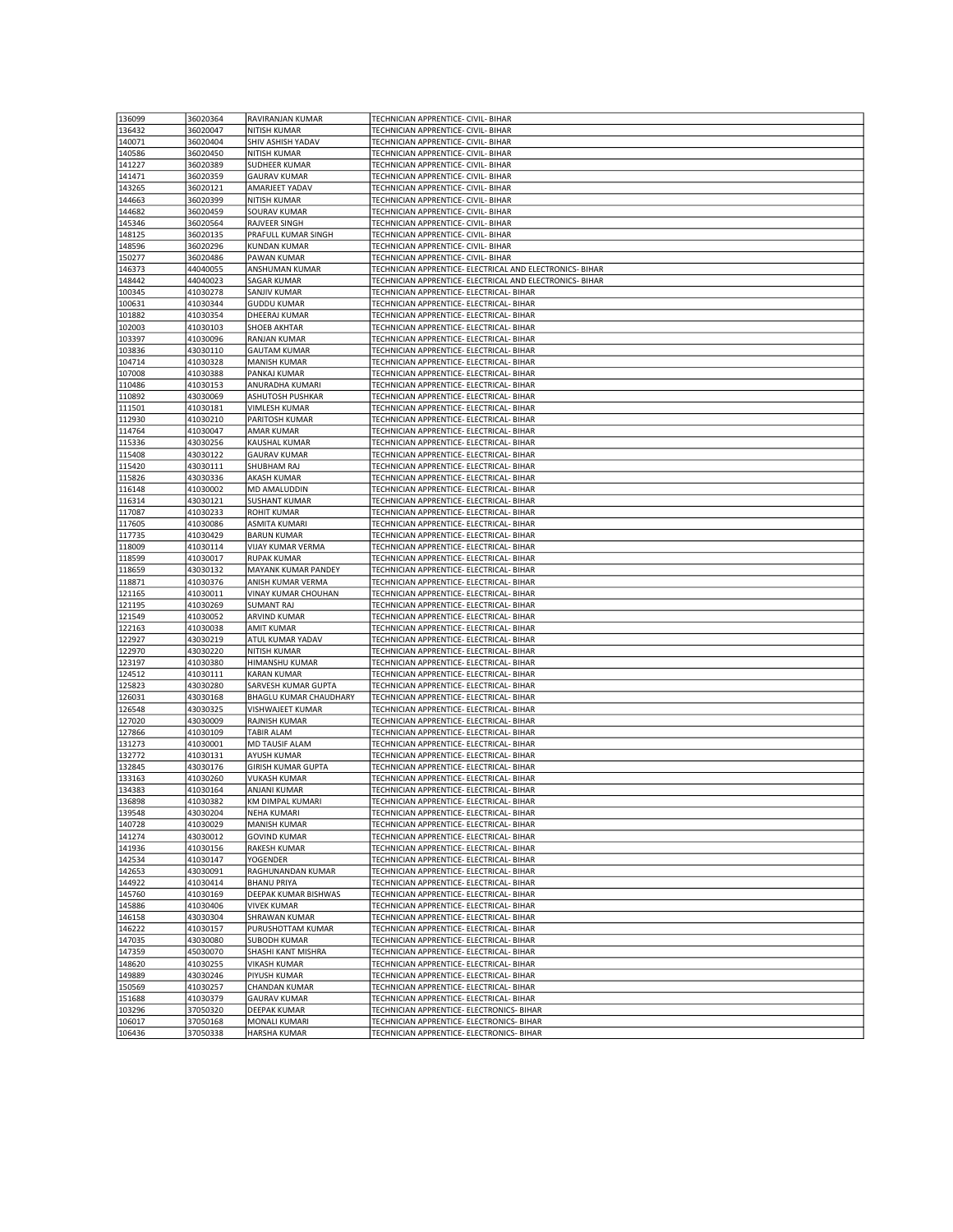| 136099           | 36020364             | RAVIRANJAN KUMAR                     | TECHNICIAN APPRENTICE- CIVIL- BIHAR                                                    |
|------------------|----------------------|--------------------------------------|----------------------------------------------------------------------------------------|
|                  |                      |                                      |                                                                                        |
| 136432           | 36020047             | NITISH KUMAR                         | TECHNICIAN APPRENTICE- CIVIL- BIHAR                                                    |
| 140071           | 36020404             | SHIV ASHISH YADAV                    | TECHNICIAN APPRENTICE- CIVIL- BIHAR                                                    |
| 140586           | 36020450             | NITISH KUMAR                         | TECHNICIAN APPRENTICE- CIVIL- BIHAR                                                    |
| 141227           | 36020389             | SUDHEER KUMAR                        | TECHNICIAN APPRENTICE- CIVIL- BIHAR                                                    |
| 141471           | 36020359             | <b>GAURAV KUMAR</b>                  | TECHNICIAN APPRENTICE- CIVIL- BIHAR                                                    |
|                  |                      |                                      |                                                                                        |
| 143265           | 36020121             | AMARJEET YADAV                       | TECHNICIAN APPRENTICE- CIVIL- BIHAR                                                    |
| 144663           | 36020399             | NITISH KUMAR                         | TECHNICIAN APPRENTICE- CIVIL- BIHAR                                                    |
| 144682           | 36020459             | SOURAV KUMAR                         | TECHNICIAN APPRENTICE- CIVIL- BIHAR                                                    |
| 145346           | 36020564             | RAJVEER SINGH                        | TECHNICIAN APPRENTICE- CIVIL- BIHAR                                                    |
| 148125           | 36020135             | PRAFULL KUMAR SINGH                  | TECHNICIAN APPRENTICE- CIVIL- BIHAR                                                    |
| 148596           | 36020296             | <b>KUNDAN KUMAR</b>                  |                                                                                        |
|                  |                      |                                      | TECHNICIAN APPRENTICE- CIVIL- BIHAR                                                    |
| 150277           | 36020486             | PAWAN KUMAR                          | TECHNICIAN APPRENTICE- CIVIL- BIHAR                                                    |
| 146373           | 44040055             | ANSHUMAN KUMAR                       | TECHNICIAN APPRENTICE- ELECTRICAL AND ELECTRONICS- BIHAR                               |
| 148442           | 44040023             | <b>SAGAR KUMAR</b>                   | TECHNICIAN APPRENTICE- ELECTRICAL AND ELECTRONICS- BIHAR                               |
| 100345           | 41030278             | SANJIV KUMAR                         | TECHNICIAN APPRENTICE- ELECTRICAL- BIHAR                                               |
| 100631           | 41030344             | <b>GUDDU KUMAR</b>                   | TECHNICIAN APPRENTICE- ELECTRICAL- BIHAR                                               |
| 101882           | 41030354             | DHEERAJ KUMAR                        | TECHNICIAN APPRENTICE- ELECTRICAL- BIHAR                                               |
|                  |                      |                                      |                                                                                        |
| 102003           | 41030103             | SHOEB AKHTAR                         | TECHNICIAN APPRENTICE- ELECTRICAL- BIHAR                                               |
| 103397           | 41030096             | <b>RANJAN KUMAR</b>                  | TECHNICIAN APPRENTICE- ELECTRICAL- BIHAR                                               |
| 103836           | 43030110             | <b>GAUTAM KUMAR</b>                  | TECHNICIAN APPRENTICE- ELECTRICAL- BIHAR                                               |
| 104714           | 41030328             | <b>MANISH KUMAR</b>                  | TECHNICIAN APPRENTICE- ELECTRICAL- BIHAR                                               |
| 107008           | 41030388             | PANKAJ KUMAR                         | TECHNICIAN APPRENTICE- ELECTRICAL- BIHAR                                               |
| 110486           | 41030153             | ANURADHA KUMARI                      | TECHNICIAN APPRENTICE- ELECTRICAL- BIHAR                                               |
|                  |                      |                                      |                                                                                        |
| 110892           | 43030069             | ASHUTOSH PUSHKAR                     | TECHNICIAN APPRENTICE- ELECTRICAL- BIHAR                                               |
| 111501           | 41030181             | VIMLESH KUMAR                        | TECHNICIAN APPRENTICE- ELECTRICAL- BIHAR                                               |
| 112930           | 41030210             | PARITOSH KUMAR                       | TECHNICIAN APPRENTICE- ELECTRICAL- BIHAR                                               |
| 114764           | 41030047             | <b>AMAR KUMAR</b>                    | TECHNICIAN APPRENTICE- ELECTRICAL- BIHAR                                               |
| 115336           | 43030256             | KAUSHAL KUMAR                        | TECHNICIAN APPRENTICE- ELECTRICAL- BIHAR                                               |
| 115408           | 43030122             | <b>GAURAV KUMAR</b>                  | TECHNICIAN APPRENTICE- ELECTRICAL- BIHAR                                               |
|                  |                      |                                      |                                                                                        |
| 115420           | 43030111             | SHUBHAM RAJ                          | TECHNICIAN APPRENTICE- ELECTRICAL- BIHAR                                               |
| 115826           | 43030336             | AKASH KUMAR                          | TECHNICIAN APPRENTICE- ELECTRICAL- BIHAR                                               |
| 116148           | 41030002             | MD AMALUDDIN                         | TECHNICIAN APPRENTICE- ELECTRICAL- BIHAR                                               |
| 116314           | 43030121             | <b>SUSHANT KUMAR</b>                 | TECHNICIAN APPRENTICE- ELECTRICAL- BIHAR                                               |
| 117087           | 41030233             | ROHIT KUMAR                          | TECHNICIAN APPRENTICE- ELECTRICAL- BIHAR                                               |
| 117605           | 41030086             | <b>ASMITA KUMARI</b>                 | TECHNICIAN APPRENTICE- ELECTRICAL- BIHAR                                               |
| 117735           | 41030429             | <b>BARUN KUMAR</b>                   | TECHNICIAN APPRENTICE- ELECTRICAL- BIHAR                                               |
| 118009           | 41030114             | <b>VIJAY KUMAR VERMA</b>             | TECHNICIAN APPRENTICE- ELECTRICAL- BIHAR                                               |
| 118599           | 41030017             | <b>RUPAK KUMAR</b>                   | TECHNICIAN APPRENTICE- ELECTRICAL- BIHAR                                               |
|                  |                      |                                      |                                                                                        |
| 118659           | 43030132             | MAYANK KUMAR PANDEY                  | TECHNICIAN APPRENTICE- ELECTRICAL- BIHAR                                               |
| 118871           | 41030376             | ANISH KUMAR VERMA                    | TECHNICIAN APPRENTICE- ELECTRICAL- BIHAR                                               |
| 121165           | 41030011             | VINAY KUMAR CHOUHAN                  | TECHNICIAN APPRENTICE- ELECTRICAL- BIHAR                                               |
| 121195           | 41030269             | <b>SUMANT RAJ</b>                    | TECHNICIAN APPRENTICE- ELECTRICAL- BIHAR                                               |
| 121549           | 41030052             | ARVIND KUMAR                         | TECHNICIAN APPRENTICE- ELECTRICAL- BIHAR                                               |
| 122163           | 41030038             | <b>AMIT KUMAR</b>                    | TECHNICIAN APPRENTICE- ELECTRICAL- BIHAR                                               |
| 122927           | 43030219             | ATUL KUMAR YADAV                     | TECHNICIAN APPRENTICE- ELECTRICAL- BIHAR                                               |
| 122970           | 43030220             | NITISH KUMAR                         | TECHNICIAN APPRENTICE- ELECTRICAL- BIHAR                                               |
| 123197           | 41030380             | HIMANSHU KUMAR                       | TECHNICIAN APPRENTICE- ELECTRICAL- BIHAR                                               |
| 124512           | 41030111             | <b>KARAN KUMAR</b>                   | TECHNICIAN APPRENTICE- ELECTRICAL- BIHAR                                               |
|                  |                      |                                      |                                                                                        |
| 125823           | 43030280             | SARVESH KUMAR GUPTA                  | TECHNICIAN APPRENTICE- ELECTRICAL- BIHAR                                               |
| 126031           | 43030168             | BHAGLU KUMAR CHAUDHARY               | TECHNICIAN APPRENTICE- ELECTRICAL- BIHAR                                               |
| 126548           | 43030325             | VISHWAJEET KUMAR                     | TECHNICIAN APPRENTICE- ELECTRICAL- BIHAR                                               |
| 127020           | 43030009             | RAJNISH KUMAR                        | TECHNICIAN APPRENTICE- ELECTRICAL- BIHAR                                               |
| 127866           | 41030109             | TABIR ALAM                           | TECHNICIAN APPRENTICE- ELECTRICAL- BIHAR                                               |
| 131273           | 41030001             | MD TAUSIF ALAM                       | TECHNICIAN APPRENTICE- ELECTRICAL- BIHAR                                               |
| 132772           | 41030131             | AYUSH KUMAR                          | TECHNICIAN APPRENTICE- ELECTRICAL- BIHAR                                               |
| 132845           | 43030176             |                                      | TECHNICIAN APPRENTICE- ELECTRICAL- BIHAR                                               |
| 133163           |                      | GIRISH KUMAR GUPTA                   |                                                                                        |
|                  |                      |                                      |                                                                                        |
|                  | 41030260             | <b>VUKASH KUMAR</b>                  | TECHNICIAN APPRENTICE- ELECTRICAL- BIHAR                                               |
| 134383           | 41030164             | ANJANI KUMAR                         | TECHNICIAN APPRENTICE- ELECTRICAL- BIHAR                                               |
| 136898           | 41030382             | KM DIMPAL KUMARI                     | TECHNICIAN APPRENTICE- ELECTRICAL- BIHAR                                               |
| 139548           | 43030204             | NEHA KUMARI                          | TECHNICIAN APPRENTICE- ELECTRICAL- BIHAR                                               |
| 140728           | 41030029             | <b>MANISH KUMAR</b>                  | TECHNICIAN APPRENTICE- ELECTRICAL- BIHAR                                               |
| 141274           | 43030012             | <b>GOVIND KUMAR</b>                  | TECHNICIAN APPRENTICE- ELECTRICAL- BIHAR                                               |
| 141936           | 41030156             | RAKESH KUMAR                         | TECHNICIAN APPRENTICE- ELECTRICAL- BIHAR                                               |
| 142534           | 41030147             | <b>YOGENDER</b>                      | TECHNICIAN APPRENTICE- ELECTRICAL- BIHAR                                               |
| 142653           | 43030091             | RAGHUNANDAN KUMAR                    | TECHNICIAN APPRENTICE- ELECTRICAL- BIHAR                                               |
| 144922           | 41030414             | <b>BHANU PRIYA</b>                   | TECHNICIAN APPRENTICE- ELECTRICAL- BIHAR                                               |
|                  |                      |                                      |                                                                                        |
| 145760           | 41030169             | DEEPAK KUMAR BISHWAS                 | TECHNICIAN APPRENTICE- ELECTRICAL- BIHAR                                               |
| 145886           | 41030406             | <b>VIVEK KUMAR</b>                   | TECHNICIAN APPRENTICE- ELECTRICAL- BIHAR                                               |
| 146158           | 43030304             | SHRAWAN KUMAR                        | TECHNICIAN APPRENTICE- ELECTRICAL- BIHAR                                               |
| 146222           | 41030157             | PURUSHOTTAM KUMAR                    | TECHNICIAN APPRENTICE- ELECTRICAL- BIHAR                                               |
| 147035           | 43030080             | <b>SUBODH KUMAR</b>                  | TECHNICIAN APPRENTICE- ELECTRICAL- BIHAR                                               |
| 147359           | 45030070             | SHASHI KANT MISHRA                   | TECHNICIAN APPRENTICE- ELECTRICAL- BIHAR                                               |
| 148620           | 41030255             | VIKASH KUMAR                         | TECHNICIAN APPRENTICE- ELECTRICAL- BIHAR                                               |
| 149889           | 43030246             | PIYUSH KUMAR                         | TECHNICIAN APPRENTICE- ELECTRICAL- BIHAR                                               |
| 150569           | 41030257             | CHANDAN KUMAR                        | TECHNICIAN APPRENTICE- ELECTRICAL- BIHAR                                               |
|                  |                      | <b>GAURAV KUMAR</b>                  |                                                                                        |
| 151688           | 41030379             |                                      | TECHNICIAN APPRENTICE- ELECTRICAL- BIHAR                                               |
| 103296           | 37050320             | DEEPAK KUMAR                         | TECHNICIAN APPRENTICE- ELECTRONICS- BIHAR                                              |
| 106017<br>106436 | 37050168<br>37050338 | MONALI KUMARI<br><b>HARSHA KUMAR</b> | TECHNICIAN APPRENTICE- ELECTRONICS- BIHAR<br>TECHNICIAN APPRENTICE- ELECTRONICS- BIHAR |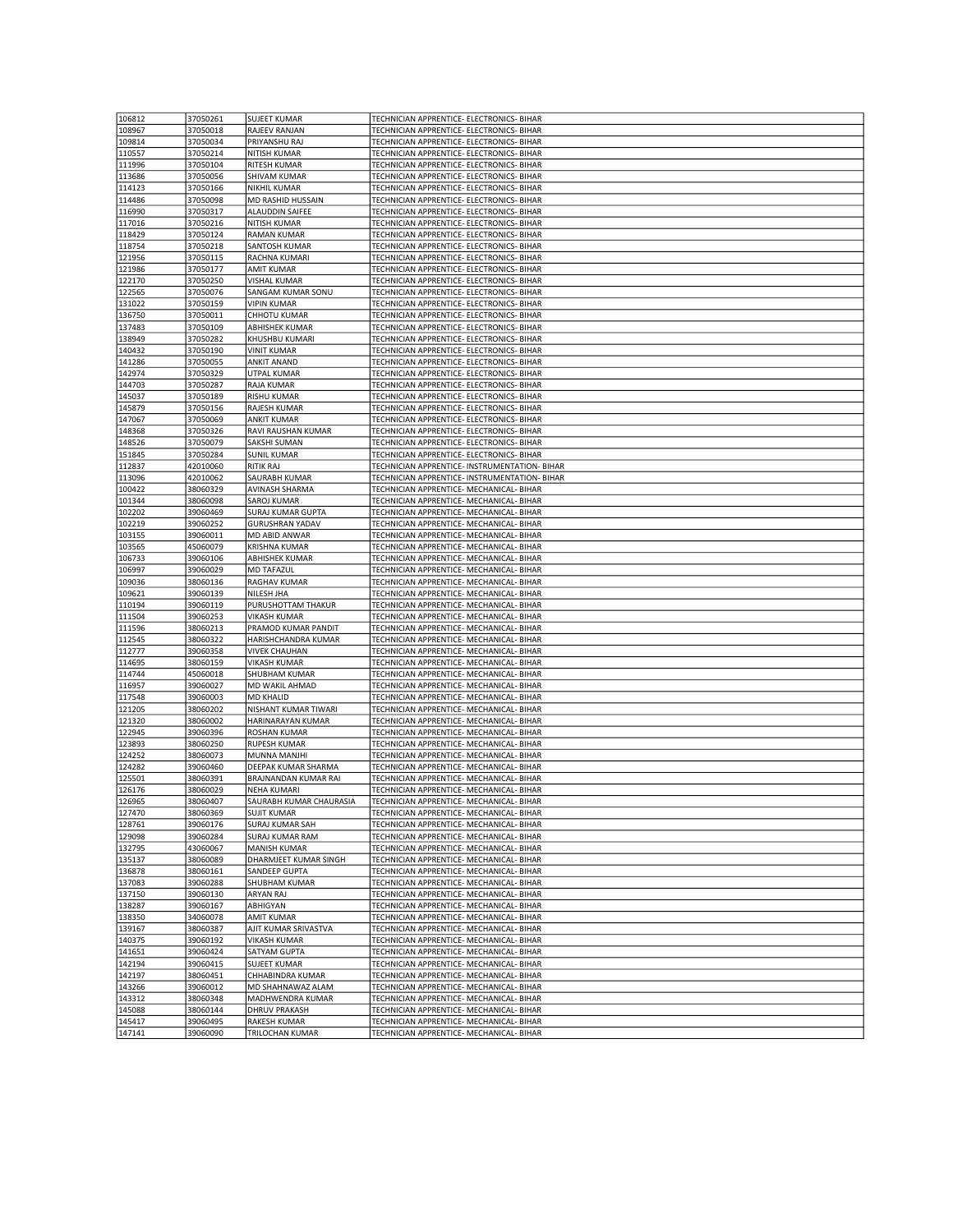| 106812           | 37050261             | <b>SUJEET KUMAR</b>             | TECHNICIAN APPRENTICE- ELECTRONICS- BIHAR                                            |
|------------------|----------------------|---------------------------------|--------------------------------------------------------------------------------------|
|                  |                      |                                 |                                                                                      |
| 108967           | 37050018             | RAJEEV RANJAN                   | TECHNICIAN APPRENTICE- ELECTRONICS- BIHAR                                            |
| 109814           | 37050034             | PRIYANSHU RAJ                   | TECHNICIAN APPRENTICE- ELECTRONICS- BIHAR                                            |
| 110557           | 37050214             | NITISH KUMAR                    | TECHNICIAN APPRENTICE- ELECTRONICS- BIHAR                                            |
| 111996           | 37050104             | RITESH KUMAR                    | TECHNICIAN APPRENTICE- ELECTRONICS- BIHAR                                            |
| 113686           | 37050056             | SHIVAM KUMAR                    | TECHNICIAN APPRENTICE- ELECTRONICS- BIHAR                                            |
|                  |                      |                                 |                                                                                      |
| 114123           | 37050166             | NIKHIL KUMAR                    | TECHNICIAN APPRENTICE- ELECTRONICS- BIHAR                                            |
| 114486           | 37050098             | MD RASHID HUSSAIN               | TECHNICIAN APPRENTICE- ELECTRONICS- BIHAR                                            |
| 116990           | 37050317             | ALAUDDIN SAIFEE                 | TECHNICIAN APPRENTICE- ELECTRONICS- BIHAR                                            |
| 117016           | 37050216             | NITISH KUMAR                    | TECHNICIAN APPRENTICE- ELECTRONICS- BIHAR                                            |
| 118429           | 37050124             | <b>RAMAN KUMAR</b>              | TECHNICIAN APPRENTICE- ELECTRONICS- BIHAR                                            |
|                  |                      |                                 |                                                                                      |
| 118754           | 37050218             | SANTOSH KUMAR                   | TECHNICIAN APPRENTICE- ELECTRONICS- BIHAR                                            |
| 121956           | 37050115             | RACHNA KUMARI                   | TECHNICIAN APPRENTICE- ELECTRONICS- BIHAR                                            |
| 121986           | 37050177             | <b>AMIT KUMAR</b>               | TECHNICIAN APPRENTICE- ELECTRONICS- BIHAR                                            |
| 122170           | 37050250             | <b>VISHAL KUMAR</b>             | TECHNICIAN APPRENTICE- ELECTRONICS- BIHAR                                            |
| 122565           | 37050076             | SANGAM KUMAR SONU               | TECHNICIAN APPRENTICE- ELECTRONICS- BIHAR                                            |
|                  |                      |                                 |                                                                                      |
| 131022           | 37050159             | <b>VIPIN KUMAR</b>              | TECHNICIAN APPRENTICE- ELECTRONICS- BIHAR                                            |
| 136750           | 37050011             | CHHOTU KUMAR                    | TECHNICIAN APPRENTICE- ELECTRONICS- BIHAR                                            |
| 137483           | 37050109             | <b>ABHISHEK KUMAR</b>           | TECHNICIAN APPRENTICE- ELECTRONICS- BIHAR                                            |
| 138949           | 37050282             | KHUSHBU KUMARI                  | TECHNICIAN APPRENTICE- ELECTRONICS- BIHAR                                            |
| 140432           | 37050190             | <b>VINIT KUMAR</b>              | TECHNICIAN APPRENTICE- ELECTRONICS- BIHAR                                            |
| 141286           | 37050055             | ANKIT ANAND                     | TECHNICIAN APPRENTICE- ELECTRONICS- BIHAR                                            |
|                  |                      |                                 |                                                                                      |
| 142974           | 37050329             | UTPAL KUMAR                     | TECHNICIAN APPRENTICE- ELECTRONICS- BIHAR                                            |
| 144703           | 37050287             | RAJA KUMAR                      | TECHNICIAN APPRENTICE- ELECTRONICS- BIHAR                                            |
| 145037           | 37050189             | RISHU KUMAR                     | TECHNICIAN APPRENTICE- ELECTRONICS- BIHAR                                            |
| 145879           | 37050156             | <b>RAJESH KUMAR</b>             | TECHNICIAN APPRENTICE- ELECTRONICS- BIHAR                                            |
| 147067           | 37050069             | <b>ANKIT KUMAR</b>              | TECHNICIAN APPRENTICE- ELECTRONICS- BIHAR                                            |
|                  |                      | RAVI RAUSHAN KUMAR              |                                                                                      |
| 148368           | 37050326             |                                 | TECHNICIAN APPRENTICE- ELECTRONICS- BIHAR                                            |
| 148526           | 37050079             | <b>SAKSHI SUMAN</b>             | TECHNICIAN APPRENTICE- ELECTRONICS- BIHAR                                            |
| 151845           | 37050284             | <b>SUNIL KUMAR</b>              | TECHNICIAN APPRENTICE- ELECTRONICS- BIHAR                                            |
| 112837           | 42010060             | <b>RITIK RAJ</b>                | TECHNICIAN APPRENTICE- INSTRUMENTATION- BIHAR                                        |
| 113096           | 42010062             | SAURABH KUMAR                   | TECHNICIAN APPRENTICE- INSTRUMENTATION- BIHAR                                        |
| 100422           |                      |                                 | TECHNICIAN APPRENTICE- MECHANICAL- BIHAR                                             |
|                  | 38060329             | AVINASH SHARMA                  |                                                                                      |
| 101344           | 38060098             | SAROJ KUMAR                     | TECHNICIAN APPRENTICE- MECHANICAL- BIHAR                                             |
| 102202           | 39060469             | <b>SURAJ KUMAR GUPTA</b>        | TECHNICIAN APPRENTICE- MECHANICAL- BIHAR                                             |
| 102219           | 39060252             | <b>GURUSHRAN YADAV</b>          | TECHNICIAN APPRENTICE- MECHANICAL- BIHAR                                             |
| 103155           | 39060011             | MD ABID ANWAR                   | TECHNICIAN APPRENTICE- MECHANICAL- BIHAR                                             |
| 103565           | 45060079             | KRISHNA KUMAR                   | TECHNICIAN APPRENTICE- MECHANICAL- BIHAR                                             |
|                  |                      |                                 |                                                                                      |
| 106733           | 39060106             | <b>ABHISHEK KUMAR</b>           | TECHNICIAN APPRENTICE- MECHANICAL- BIHAR                                             |
| 106997           | 39060029             | MD TAFAZUL                      | TECHNICIAN APPRENTICE- MECHANICAL- BIHAR                                             |
|                  |                      |                                 |                                                                                      |
| 109036           | 38060136             | RAGHAV KUMAR                    | TECHNICIAN APPRENTICE- MECHANICAL- BIHAR                                             |
| 109621           | 39060139             | NILESH JHA                      | TECHNICIAN APPRENTICE- MECHANICAL- BIHAR                                             |
|                  |                      |                                 |                                                                                      |
| 110194           | 39060119             | PURUSHOTTAM THAKUR              | TECHNICIAN APPRENTICE- MECHANICAL- BIHAR                                             |
| 111504           | 39060253             | VIKASH KUMAR                    | TECHNICIAN APPRENTICE- MECHANICAL- BIHAR                                             |
| 111596           | 38060213             | PRAMOD KUMAR PANDIT             | TECHNICIAN APPRENTICE- MECHANICAL- BIHAR                                             |
| 112545           | 38060322             | HARISHCHANDRA KUMAR             | TECHNICIAN APPRENTICE- MECHANICAL- BIHAR                                             |
| 112777           | 39060358             | <b>VIVEK CHAUHAN</b>            | TECHNICIAN APPRENTICE- MECHANICAL- BIHAR                                             |
|                  |                      |                                 |                                                                                      |
| 114695           | 38060159             | VIKASH KUMAR                    | TECHNICIAN APPRENTICE- MECHANICAL- BIHAR                                             |
| 114744           | 45060018             | SHUBHAM KUMAR                   | TECHNICIAN APPRENTICE- MECHANICAL- BIHAR                                             |
| 116957           | 39060027             | MD WAKIL AHMAD                  | TECHNICIAN APPRENTICE- MECHANICAL- BIHAR                                             |
| 117548           | 39060003             | <b>MD KHALID</b>                | TECHNICIAN APPRENTICE- MECHANICAL- BIHAR                                             |
| 121205           | 38060202             | NISHANT KUMAR TIWARI            | TECHNICIAN APPRENTICE- MECHANICAL- BIHAR                                             |
| 121320           |                      | HARINARAYAN KUMAR               | TECHNICIAN APPRENTICE- MECHANICAL- BIHAR                                             |
|                  | 38060002             |                                 | TECHNICIAN APPRENTICE- MECHANICAL- BIHAR                                             |
| 122945           | 39060396             | <b>ROSHAN KUMAR</b>             |                                                                                      |
| 123893           | 38060250             | <b>RUPESH KUMAR</b>             | TECHNICIAN APPRENTICE- MECHANICAL- BIHAR                                             |
| 124252           | 38060073             | MUNNA MANJHI                    | TECHNICIAN APPRENTICE- MECHANICAL- BIHAR                                             |
| 124282           | 39060460             | DEEPAK KUMAR SHARMA             | TECHNICIAN APPRENTICE- MECHANICAL- BIHAR                                             |
| 125501           | 38060391             | BRAJNANDAN KUMAR RAI            | TECHNICIAN APPRENTICE- MECHANICAL- BIHAR                                             |
| 126176           | 38060029             | NEHA KUMARI                     | TECHNICIAN APPRENTICE- MECHANICAL- BIHAR                                             |
|                  |                      |                                 |                                                                                      |
| 126965           | 38060407             | SAURABH KUMAR CHAURASIA         | TECHNICIAN APPRENTICE- MECHANICAL- BIHAR                                             |
| 127470           | 38060369             | <b>SUJIT KUMAR</b>              | TECHNICIAN APPRENTICE- MECHANICAL- BIHAR                                             |
| 128761           | 39060176             | <b>SURAJ KUMAR SAH</b>          | TECHNICIAN APPRENTICE- MECHANICAL- BIHAR                                             |
| 129098           | 39060284             | SURAJ KUMAR RAM                 | TECHNICIAN APPRENTICE- MECHANICAL- BIHAR                                             |
| 132795           | 43060067             | MANISH KUMAR                    | TECHNICIAN APPRENTICE- MECHANICAL- BIHAR                                             |
| 135137           | 38060089             | DHARMJEET KUMAR SINGH           | TECHNICIAN APPRENTICE- MECHANICAL- BIHAR                                             |
|                  |                      |                                 |                                                                                      |
| 136878           | 38060161             | SANDEEP GUPTA                   | TECHNICIAN APPRENTICE- MECHANICAL- BIHAR                                             |
| 137083           | 39060288             | SHUBHAM KUMAR                   | TECHNICIAN APPRENTICE- MECHANICAL- BIHAR                                             |
| 137150           | 39060130             | <b>ARYAN RAJ</b>                | TECHNICIAN APPRENTICE- MECHANICAL- BIHAR                                             |
| 138287           | 39060167             | ABHIGYAN                        | TECHNICIAN APPRENTICE- MECHANICAL- BIHAR                                             |
| 138350           | 34060078             | <b>AMIT KUMAR</b>               | TECHNICIAN APPRENTICE- MECHANICAL- BIHAR                                             |
|                  |                      |                                 |                                                                                      |
| 139167           | 38060387             | AJIT KUMAR SRIVASTVA            | TECHNICIAN APPRENTICE- MECHANICAL- BIHAR                                             |
| 140375           | 39060192             | VIKASH KUMAR                    | TECHNICIAN APPRENTICE- MECHANICAL- BIHAR                                             |
| 141651           | 39060424             | SATYAM GUPTA                    | TECHNICIAN APPRENTICE- MECHANICAL- BIHAR                                             |
| 142194           | 39060415             | <b>SUJEET KUMAR</b>             | TECHNICIAN APPRENTICE- MECHANICAL- BIHAR                                             |
| 142197           | 38060451             | CHHABINDRA KUMAR                | TECHNICIAN APPRENTICE- MECHANICAL- BIHAR                                             |
| 143266           | 39060012             | MD SHAHNAWAZ ALAM               | TECHNICIAN APPRENTICE- MECHANICAL- BIHAR                                             |
|                  |                      | MADHWENDRA KUMAR                | TECHNICIAN APPRENTICE- MECHANICAL- BIHAR                                             |
| 143312           | 38060348             |                                 |                                                                                      |
| 145088           | 38060144             | <b>DHRUV PRAKASH</b>            | TECHNICIAN APPRENTICE- MECHANICAL- BIHAR                                             |
| 145417<br>147141 | 39060495<br>39060090 | RAKESH KUMAR<br>TRILOCHAN KUMAR | TECHNICIAN APPRENTICE- MECHANICAL- BIHAR<br>TECHNICIAN APPRENTICE- MECHANICAL- BIHAR |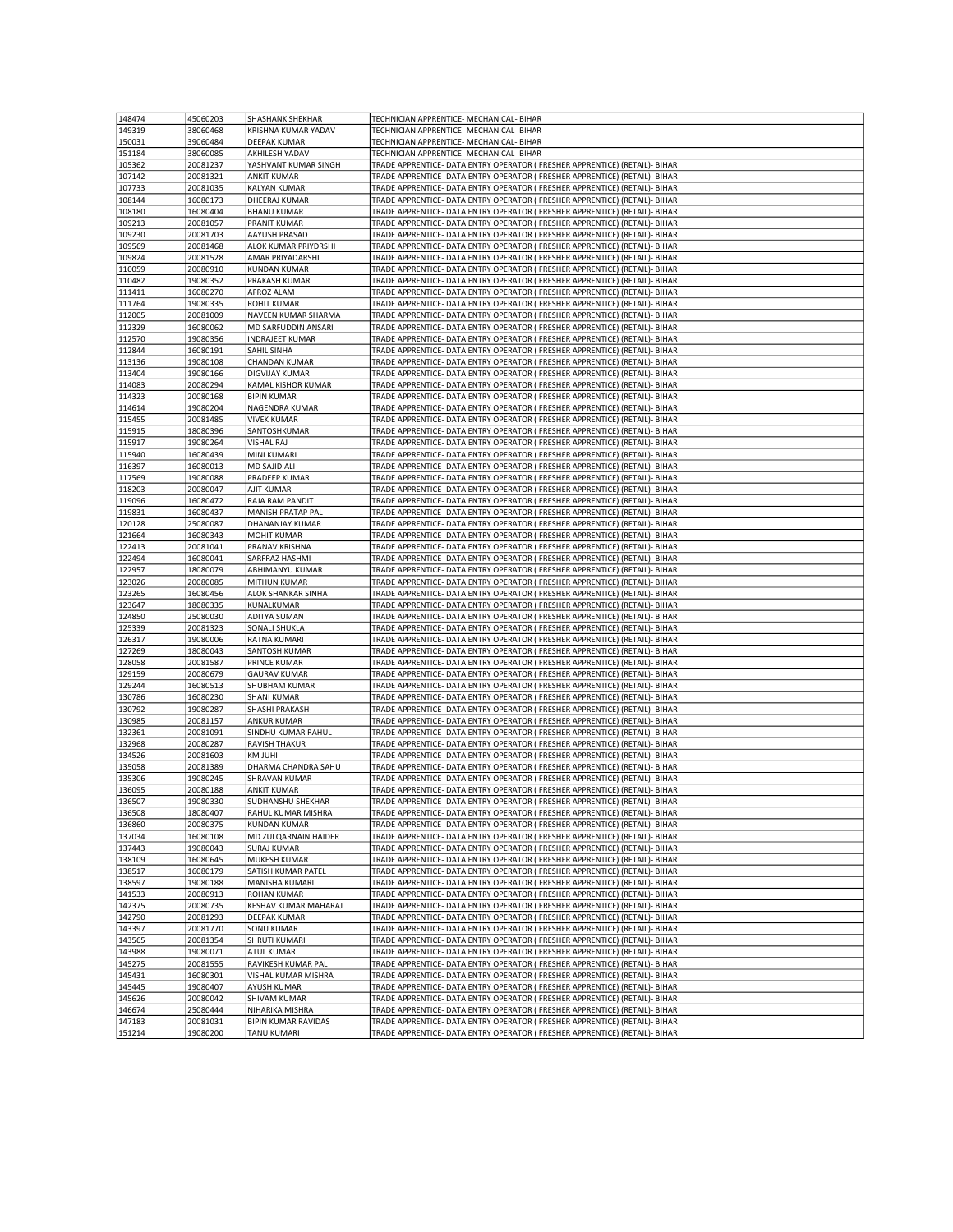| 148474 | 45060203 | <b>SHASHANK SHEKHAR</b>    | TECHNICIAN APPRENTICE- MECHANICAL- BIHAR                                    |
|--------|----------|----------------------------|-----------------------------------------------------------------------------|
|        |          |                            |                                                                             |
| 149319 | 38060468 | KRISHNA KUMAR YADAV        | TECHNICIAN APPRENTICE- MECHANICAL- BIHAR                                    |
| 150031 | 39060484 | DEEPAK KUMAR               | TECHNICIAN APPRENTICE- MECHANICAL- BIHAR                                    |
| 151184 | 38060085 | AKHILESH YADAV             | TECHNICIAN APPRENTICE- MECHANICAL- BIHAR                                    |
| 105362 | 20081237 | YASHVANT KUMAR SINGH       | TRADE APPRENTICE- DATA ENTRY OPERATOR ( FRESHER APPRENTICE) (RETAIL)- BIHAR |
| 107142 | 20081321 | <b>ANKIT KUMAR</b>         | TRADE APPRENTICE- DATA ENTRY OPERATOR ( FRESHER APPRENTICE) (RETAIL)- BIHAR |
|        | 20081035 |                            | TRADE APPRENTICE- DATA ENTRY OPERATOR ( FRESHER APPRENTICE) (RETAIL)- BIHAR |
| 107733 |          | KALYAN KUMAR               |                                                                             |
| 108144 | 16080173 | DHEERAJ KUMAR              | TRADE APPRENTICE- DATA ENTRY OPERATOR ( FRESHER APPRENTICE) (RETAIL)- BIHAR |
| 108180 | 16080404 | <b>BHANU KUMAR</b>         | TRADE APPRENTICE- DATA ENTRY OPERATOR ( FRESHER APPRENTICE) (RETAIL)- BIHAR |
| 109213 | 20081057 | PRANIT KUMAR               | TRADE APPRENTICE- DATA ENTRY OPERATOR ( FRESHER APPRENTICE) (RETAIL)- BIHAR |
| 109230 | 20081703 | AAYUSH PRASAD              | TRADE APPRENTICE- DATA ENTRY OPERATOR ( FRESHER APPRENTICE) (RETAIL)- BIHAR |
| 109569 | 20081468 | ALOK KUMAR PRIYDRSHI       | TRADE APPRENTICE- DATA ENTRY OPERATOR ( FRESHER APPRENTICE) (RETAIL)- BIHAR |
| 109824 | 20081528 | AMAR PRIYADARSHI           | TRADE APPRENTICE- DATA ENTRY OPERATOR ( FRESHER APPRENTICE) (RETAIL)- BIHAR |
| 110059 | 20080910 | <b>KUNDAN KUMAR</b>        | TRADE APPRENTICE- DATA ENTRY OPERATOR ( FRESHER APPRENTICE) (RETAIL)- BIHAR |
| 110482 | 19080352 | PRAKASH KUMAR              | TRADE APPRENTICE- DATA ENTRY OPERATOR ( FRESHER APPRENTICE) (RETAIL)- BIHAR |
|        |          |                            |                                                                             |
| 111411 | 16080270 | AFROZ ALAM                 | TRADE APPRENTICE- DATA ENTRY OPERATOR ( FRESHER APPRENTICE) (RETAIL)- BIHAR |
| 111764 | 19080335 | <b>ROHIT KUMAR</b>         | TRADE APPRENTICE- DATA ENTRY OPERATOR ( FRESHER APPRENTICE) (RETAIL)- BIHAR |
| 112005 | 20081009 | NAVEEN KUMAR SHARMA        | TRADE APPRENTICE- DATA ENTRY OPERATOR ( FRESHER APPRENTICE) (RETAIL)- BIHAR |
| 112329 | 16080062 | MD SARFUDDIN ANSARI        | TRADE APPRENTICE- DATA ENTRY OPERATOR ( FRESHER APPRENTICE) (RETAIL)- BIHAR |
| 112570 | 19080356 | <b>INDRAJEET KUMAR</b>     | TRADE APPRENTICE- DATA ENTRY OPERATOR ( FRESHER APPRENTICE) (RETAIL)- BIHAR |
| 112844 | 16080191 | SAHIL SINHA                | TRADE APPRENTICE- DATA ENTRY OPERATOR ( FRESHER APPRENTICE) (RETAIL)- BIHAR |
| 113136 | 19080108 | CHANDAN KUMAR              | TRADE APPRENTICE- DATA ENTRY OPERATOR ( FRESHER APPRENTICE) (RETAIL)- BIHAR |
| 113404 | 19080166 | DIGVIJAY KUMAR             | TRADE APPRENTICE- DATA ENTRY OPERATOR ( FRESHER APPRENTICE) (RETAIL)- BIHAR |
| 114083 | 20080294 | KAMAL KISHOR KUMAR         | TRADE APPRENTICE- DATA ENTRY OPERATOR ( FRESHER APPRENTICE) (RETAIL)- BIHAR |
|        |          |                            |                                                                             |
| 114323 | 20080168 | <b>BIPIN KUMAR</b>         | TRADE APPRENTICE- DATA ENTRY OPERATOR ( FRESHER APPRENTICE) (RETAIL)- BIHAR |
| 114614 | 19080204 | NAGENDRA KUMAR             | TRADE APPRENTICE- DATA ENTRY OPERATOR ( FRESHER APPRENTICE) (RETAIL)- BIHAR |
| 115455 | 20081485 | <b>VIVEK KUMAR</b>         | TRADE APPRENTICE- DATA ENTRY OPERATOR ( FRESHER APPRENTICE) (RETAIL)- BIHAR |
| 115915 | 18080396 | SANTOSHKUMAR               | TRADE APPRENTICE- DATA ENTRY OPERATOR ( FRESHER APPRENTICE) (RETAIL)- BIHAR |
| 115917 | 19080264 | <b>VISHAL RAJ</b>          | TRADE APPRENTICE- DATA ENTRY OPERATOR ( FRESHER APPRENTICE) (RETAIL)- BIHAR |
| 115940 | 16080439 | MINI KUMARI                | TRADE APPRENTICE- DATA ENTRY OPERATOR ( FRESHER APPRENTICE) (RETAIL)- BIHAR |
| 116397 | 16080013 | MD SAJID ALI               | TRADE APPRENTICE- DATA ENTRY OPERATOR ( FRESHER APPRENTICE) (RETAIL)- BIHAR |
| 117569 | 19080088 | PRADEEP KUMAR              | TRADE APPRENTICE- DATA ENTRY OPERATOR ( FRESHER APPRENTICE) (RETAIL)- BIHAR |
| 118203 | 20080047 | AJIT KUMAR                 | TRADE APPRENTICE- DATA ENTRY OPERATOR ( FRESHER APPRENTICE) (RETAIL)- BIHAR |
|        |          |                            |                                                                             |
| 119096 | 16080472 | RAJA RAM PANDIT            | TRADE APPRENTICE- DATA ENTRY OPERATOR ( FRESHER APPRENTICE) (RETAIL)- BIHAR |
| 119831 | 16080437 | MANISH PRATAP PAL          | TRADE APPRENTICE- DATA ENTRY OPERATOR (FRESHER APPRENTICE) (RETAIL)- BIHAR  |
| 120128 | 25080087 | DHANANJAY KUMAR            | TRADE APPRENTICE- DATA ENTRY OPERATOR ( FRESHER APPRENTICE) (RETAIL)- BIHAR |
| 121664 | 16080343 | MOHIT KUMAR                | TRADE APPRENTICE- DATA ENTRY OPERATOR ( FRESHER APPRENTICE) (RETAIL)- BIHAR |
| 122413 | 20081041 | PRANAV KRISHNA             | TRADE APPRENTICE- DATA ENTRY OPERATOR ( FRESHER APPRENTICE) (RETAIL)- BIHAR |
| 122494 | 16080041 | SARFRAZ HASHMI             | TRADE APPRENTICE- DATA ENTRY OPERATOR ( FRESHER APPRENTICE) (RETAIL)- BIHAR |
| 122957 | 18080079 | ABHIMANYU KUMAR            | TRADE APPRENTICE- DATA ENTRY OPERATOR ( FRESHER APPRENTICE) (RETAIL)- BIHAR |
| 123026 | 20080085 | MITHUN KUMAR               | TRADE APPRENTICE- DATA ENTRY OPERATOR ( FRESHER APPRENTICE) (RETAIL)- BIHAR |
| 123265 | 16080456 | ALOK SHANKAR SINHA         | TRADE APPRENTICE- DATA ENTRY OPERATOR ( FRESHER APPRENTICE) (RETAIL)- BIHAR |
|        |          |                            |                                                                             |
| 123647 | 18080335 | KUNALKUMAR                 | TRADE APPRENTICE- DATA ENTRY OPERATOR ( FRESHER APPRENTICE) (RETAIL)- BIHAR |
| 124850 | 25080030 | ADITYA SUMAN               | TRADE APPRENTICE- DATA ENTRY OPERATOR ( FRESHER APPRENTICE) (RETAIL)- BIHAR |
| 125339 | 20081323 | SONALI SHUKLA              | TRADE APPRENTICE- DATA ENTRY OPERATOR ( FRESHER APPRENTICE) (RETAIL)- BIHAR |
| 126317 | 19080006 | RATNA KUMARI               | TRADE APPRENTICE- DATA ENTRY OPERATOR ( FRESHER APPRENTICE) (RETAIL)- BIHAR |
| 127269 | 18080043 | SANTOSH KUMAR              | TRADE APPRENTICE- DATA ENTRY OPERATOR ( FRESHER APPRENTICE) (RETAIL)- BIHAR |
| 128058 | 20081587 | PRINCE KUMAR               | TRADE APPRENTICE- DATA ENTRY OPERATOR ( FRESHER APPRENTICE) (RETAIL)- BIHAR |
| 129159 | 20080679 | <b>GAURAV KUMAR</b>        | TRADE APPRENTICE- DATA ENTRY OPERATOR ( FRESHER APPRENTICE) (RETAIL)- BIHAR |
| 129244 | 16080513 | SHUBHAM KUMAR              | TRADE APPRENTICE- DATA ENTRY OPERATOR ( FRESHER APPRENTICE) (RETAIL)- BIHAR |
| 130786 | 16080230 | <b>SHANI KUMAR</b>         | TRADE APPRENTICE- DATA ENTRY OPERATOR ( FRESHER APPRENTICE) (RETAIL)- BIHAR |
|        |          |                            |                                                                             |
| 130792 | 19080287 | SHASHI PRAKASH             | TRADE APPRENTICE- DATA ENTRY OPERATOR ( FRESHER APPRENTICE) (RETAIL)- BIHAR |
| 130985 | 20081157 | <b>ANKUR KUMAR</b>         | TRADE APPRENTICE- DATA ENTRY OPERATOR ( FRESHER APPRENTICE) (RETAIL)- BIHAR |
| 132361 | 20081091 | SINDHU KUMAR RAHUL         | TRADE APPRENTICE- DATA ENTRY OPERATOR ( FRESHER APPRENTICE) (RETAIL)- BIHAR |
| 132968 | 20080287 | <b>RAVISH THAKUR</b>       | TRADE APPRENTICE- DATA ENTRY OPERATOR ( FRESHER APPRENTICE) (RETAIL)- BIHAR |
| 134526 | 20081603 | KM JUHI                    | TRADE APPRENTICE- DATA ENTRY OPERATOR ( FRESHER APPRENTICE) (RETAIL)- BIHAR |
| 135058 | 20081389 | DHARMA CHANDRA SAHU        | TRADE APPRENTICE- DATA ENTRY OPERATOR (FRESHER APPRENTICE) (RETAIL)- BIHAR  |
| 135306 | 19080245 | SHRAVAN KUMAR              | TRADE APPRENTICE- DATA ENTRY OPERATOR ( FRESHER APPRENTICE) (RETAIL)- BIHAR |
| 136095 | 20080188 | <b>ANKIT KUMAR</b>         | TRADE APPRENTICE- DATA ENTRY OPERATOR ( FRESHER APPRENTICE) (RETAIL)- BIHAR |
| 136507 | 19080330 | SUDHANSHU SHEKHAR          | TRADE APPRENTICE- DATA ENTRY OPERATOR ( FRESHER APPRENTICE) (RETAIL)- BIHAR |
| 136508 | 18080407 | RAHUL KUMAR MISHRA         | TRADE APPRENTICE- DATA ENTRY OPERATOR ( FRESHER APPRENTICE) (RETAIL)- BIHAR |
| 136860 | 20080375 | <b>KUNDAN KUMAR</b>        | TRADE APPRENTICE- DATA ENTRY OPERATOR ( FRESHER APPRENTICE) (RETAIL)- BIHAR |
| 137034 | 16080108 | MD ZULQARNAIN HAIDER       | TRADE APPRENTICE- DATA ENTRY OPERATOR ( FRESHER APPRENTICE) (RETAIL)- BIHAR |
|        |          |                            |                                                                             |
| 137443 | 19080043 | SURAJ KUMAR                | TRADE APPRENTICE- DATA ENTRY OPERATOR ( FRESHER APPRENTICE) (RETAIL)- BIHAR |
| 138109 | 16080645 | MUKESH KUMAR               | TRADE APPRENTICE- DATA ENTRY OPERATOR ( FRESHER APPRENTICE) (RETAIL)- BIHAR |
| 138517 | 16080179 | SATISH KUMAR PATEL         | TRADE APPRENTICE- DATA ENTRY OPERATOR ( FRESHER APPRENTICE) (RETAIL)- BIHAR |
| 138597 | 19080188 | MANISHA KUMARI             | TRADE APPRENTICE- DATA ENTRY OPERATOR ( FRESHER APPRENTICE) (RETAIL)- BIHAR |
| 141533 | 20080913 | ROHAN KUMAR                | TRADE APPRENTICE- DATA ENTRY OPERATOR ( FRESHER APPRENTICE) (RETAIL)- BIHAR |
| 142375 | 20080735 | KESHAV KUMAR MAHARAJ       | TRADE APPRENTICE- DATA ENTRY OPERATOR ( FRESHER APPRENTICE) (RETAIL)- BIHAR |
| 142790 | 20081293 | <b>DEEPAK KUMAR</b>        | TRADE APPRENTICE- DATA ENTRY OPERATOR ( FRESHER APPRENTICE) (RETAIL)- BIHAR |
| 143397 | 20081770 | <b>SONU KUMAR</b>          | TRADE APPRENTICE- DATA ENTRY OPERATOR ( FRESHER APPRENTICE) (RETAIL)- BIHAR |
| 143565 | 20081354 | SHRUTI KUMARI              | TRADE APPRENTICE- DATA ENTRY OPERATOR ( FRESHER APPRENTICE) (RETAIL)- BIHAR |
| 143988 | 19080071 | <b>ATUL KUMAR</b>          | TRADE APPRENTICE- DATA ENTRY OPERATOR ( FRESHER APPRENTICE) (RETAIL)- BIHAR |
|        |          |                            |                                                                             |
| 145275 | 20081555 | RAVIKESH KUMAR PAL         | TRADE APPRENTICE- DATA ENTRY OPERATOR ( FRESHER APPRENTICE) (RETAIL)- BIHAR |
| 145431 | 16080301 | VISHAL KUMAR MISHRA        | TRADE APPRENTICE- DATA ENTRY OPERATOR ( FRESHER APPRENTICE) (RETAIL)- BIHAR |
| 145445 | 19080407 | <b>AYUSH KUMAR</b>         | TRADE APPRENTICE- DATA ENTRY OPERATOR ( FRESHER APPRENTICE) (RETAIL)- BIHAR |
| 145626 | 20080042 | SHIVAM KUMAR               | TRADE APPRENTICE- DATA ENTRY OPERATOR ( FRESHER APPRENTICE) (RETAIL)- BIHAR |
| 146674 | 25080444 | NIHARIKA MISHRA            | TRADE APPRENTICE- DATA ENTRY OPERATOR ( FRESHER APPRENTICE) (RETAIL)- BIHAR |
| 147183 | 20081031 | <b>BIPIN KUMAR RAVIDAS</b> | TRADE APPRENTICE- DATA ENTRY OPERATOR ( FRESHER APPRENTICE) (RETAIL)- BIHAR |
| 151214 | 19080200 | TANU KUMARI                | TRADE APPRENTICE- DATA ENTRY OPERATOR ( FRESHER APPRENTICE) (RETAIL)- BIHAR |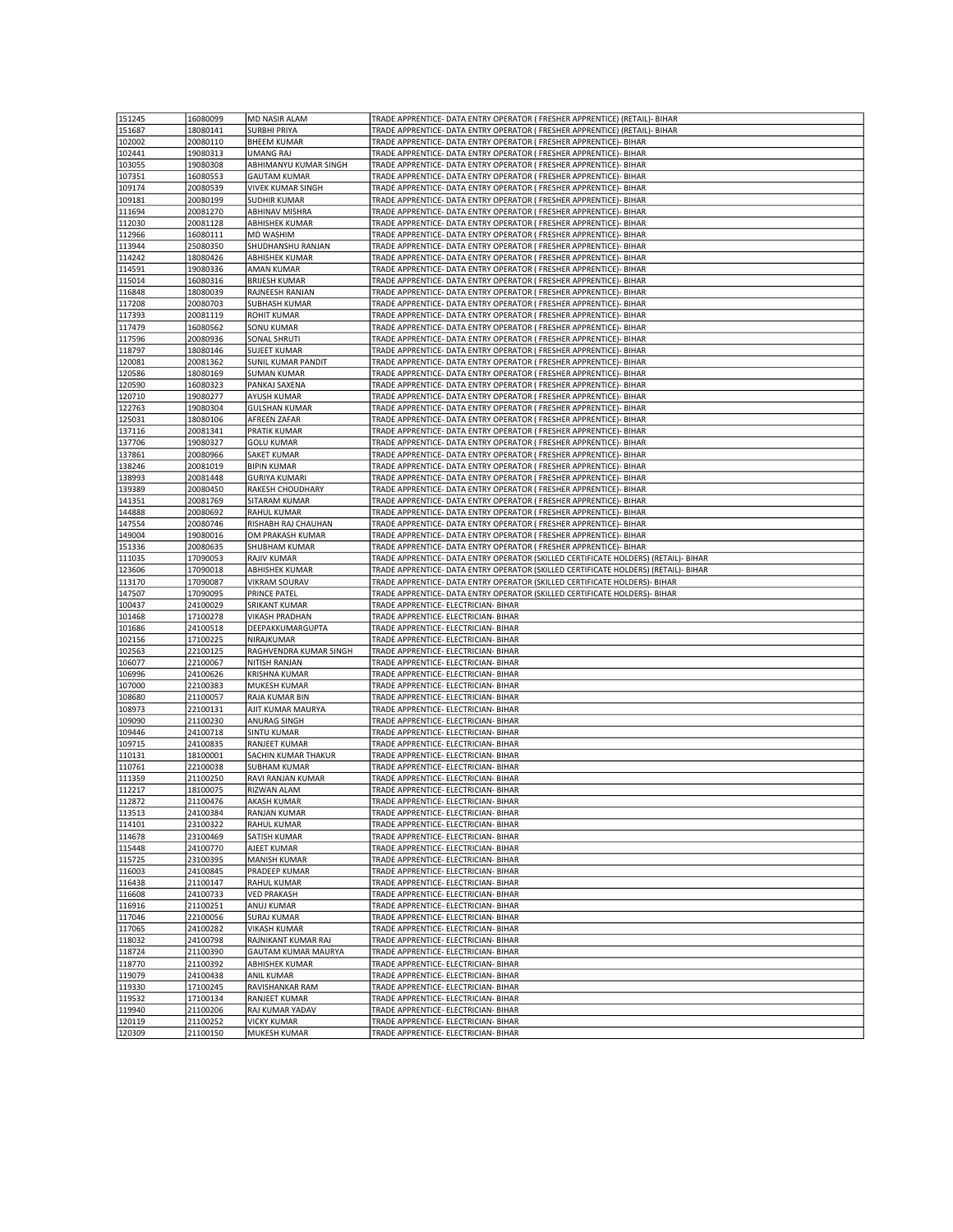| 151245           |                      |                                    |                                                                                     |
|------------------|----------------------|------------------------------------|-------------------------------------------------------------------------------------|
|                  | 16080099             | MD NASIR ALAM                      | TRADE APPRENTICE- DATA ENTRY OPERATOR ( FRESHER APPRENTICE) (RETAIL)- BIHAR         |
| 151687           | 18080141             | <b>SURBHI PRIYA</b>                | TRADE APPRENTICE- DATA ENTRY OPERATOR ( FRESHER APPRENTICE) (RETAIL)- BIHAR         |
| 102002           | 20080110             | <b>BHEEM KUMAR</b>                 | TRADE APPRENTICE- DATA ENTRY OPERATOR ( FRESHER APPRENTICE)- BIHAR                  |
| 102441           | 19080313             | <b>UMANG RAJ</b>                   | TRADE APPRENTICE- DATA ENTRY OPERATOR ( FRESHER APPRENTICE)- BIHAR                  |
| 103055           | 19080308             | ABHIMANYU KUMAR SINGH              | TRADE APPRENTICE- DATA ENTRY OPERATOR ( FRESHER APPRENTICE)- BIHAR                  |
| 107351           | 16080553             | <b>GAUTAM KUMAR</b>                | TRADE APPRENTICE- DATA ENTRY OPERATOR ( FRESHER APPRENTICE)- BIHAR                  |
|                  |                      |                                    |                                                                                     |
| 109174           | 20080539             | VIVEK KUMAR SINGH                  | TRADE APPRENTICE- DATA ENTRY OPERATOR ( FRESHER APPRENTICE)- BIHAR                  |
| 109181           | 20080199             | <b>SUDHIR KUMAR</b>                | TRADE APPRENTICE- DATA ENTRY OPERATOR ( FRESHER APPRENTICE)- BIHAR                  |
| 111694           | 20081270             | ABHINAV MISHRA                     | TRADE APPRENTICE- DATA ENTRY OPERATOR ( FRESHER APPRENTICE)- BIHAR                  |
| 112030           | 20081128             | ABHISHEK KUMAR                     | TRADE APPRENTICE- DATA ENTRY OPERATOR ( FRESHER APPRENTICE)- BIHAR                  |
| 112966           | 16080111             | MD WASHIM                          | TRADE APPRENTICE- DATA ENTRY OPERATOR ( FRESHER APPRENTICE)- BIHAR                  |
| 113944           | 25080350             | SHUDHANSHU RANJAN                  | TRADE APPRENTICE- DATA ENTRY OPERATOR ( FRESHER APPRENTICE)- BIHAR                  |
|                  |                      |                                    |                                                                                     |
| 114242           | 18080426             | ABHISHEK KUMAR                     | TRADE APPRENTICE- DATA ENTRY OPERATOR ( FRESHER APPRENTICE)- BIHAR                  |
| 114591           | 19080336             | AMAN KUMAR                         | TRADE APPRENTICE- DATA ENTRY OPERATOR ( FRESHER APPRENTICE)- BIHAR                  |
| 115014           | 16080316             | <b>BRIJESH KUMAR</b>               | TRADE APPRENTICE- DATA ENTRY OPERATOR ( FRESHER APPRENTICE)- BIHAR                  |
| 116848           | 18080039             | RAJNEESH RANJAN                    | TRADE APPRENTICE- DATA ENTRY OPERATOR ( FRESHER APPRENTICE)- BIHAR                  |
| 117208           | 20080703             | <b>SUBHASH KUMAR</b>               | TRADE APPRENTICE- DATA ENTRY OPERATOR ( FRESHER APPRENTICE)- BIHAR                  |
| 117393           | 20081119             | <b>ROHIT KUMAR</b>                 | TRADE APPRENTICE- DATA ENTRY OPERATOR ( FRESHER APPRENTICE)- BIHAR                  |
| 117479           | 16080562             | SONU KUMAR                         | TRADE APPRENTICE- DATA ENTRY OPERATOR ( FRESHER APPRENTICE)- BIHAR                  |
|                  |                      |                                    |                                                                                     |
| 117596           | 20080936             | SONAL SHRUTI                       | TRADE APPRENTICE- DATA ENTRY OPERATOR ( FRESHER APPRENTICE)- BIHAR                  |
| 118797           | 18080146             | <b>SUJEET KUMAR</b>                | TRADE APPRENTICE- DATA ENTRY OPERATOR ( FRESHER APPRENTICE)- BIHAR                  |
| 120081           | 20081362             | SUNIL KUMAR PANDIT                 | TRADE APPRENTICE- DATA ENTRY OPERATOR ( FRESHER APPRENTICE)- BIHAR                  |
| 120586           | 18080169             | <b>SUMAN KUMAR</b>                 | TRADE APPRENTICE- DATA ENTRY OPERATOR ( FRESHER APPRENTICE)- BIHAR                  |
| 120590           | 16080323             | PANKAJ SAXENA                      | TRADE APPRENTICE- DATA ENTRY OPERATOR ( FRESHER APPRENTICE)- BIHAR                  |
| 120710           | 19080277             | <b>AYUSH KUMAR</b>                 |                                                                                     |
|                  |                      |                                    | TRADE APPRENTICE- DATA ENTRY OPERATOR ( FRESHER APPRENTICE)- BIHAR                  |
| 122763           | 19080304             | <b>GULSHAN KUMAR</b>               | TRADE APPRENTICE- DATA ENTRY OPERATOR ( FRESHER APPRENTICE)- BIHAR                  |
| 125031           | 18080106             | AFREEN ZAFAR                       | TRADE APPRENTICE- DATA ENTRY OPERATOR ( FRESHER APPRENTICE)- BIHAR                  |
| 137116           | 20081341             | PRATIK KUMAR                       | TRADE APPRENTICE- DATA ENTRY OPERATOR ( FRESHER APPRENTICE)- BIHAR                  |
| 137706           | 19080327             | <b>GOLU KUMAR</b>                  | TRADE APPRENTICE- DATA ENTRY OPERATOR ( FRESHER APPRENTICE)- BIHAR                  |
| 137861           | 20080966             | SAKET KUMAR                        | TRADE APPRENTICE- DATA ENTRY OPERATOR ( FRESHER APPRENTICE)- BIHAR                  |
| 138246           | 20081019             | <b>BIPIN KUMAR</b>                 | TRADE APPRENTICE- DATA ENTRY OPERATOR ( FRESHER APPRENTICE)- BIHAR                  |
| 138993           | 20081448             | <b>GURIYA KUMARI</b>               | TRADE APPRENTICE- DATA ENTRY OPERATOR ( FRESHER APPRENTICE)- BIHAR                  |
|                  |                      |                                    |                                                                                     |
| 139389           | 20080450             | RAKESH CHOUDHARY                   | TRADE APPRENTICE- DATA ENTRY OPERATOR ( FRESHER APPRENTICE)- BIHAR                  |
| 141351           | 20081769             | SITARAM KUMAR                      | TRADE APPRENTICE- DATA ENTRY OPERATOR ( FRESHER APPRENTICE)- BIHAR                  |
| 144888           | 20080692             | <b>RAHUL KUMAR</b>                 | TRADE APPRENTICE- DATA ENTRY OPERATOR ( FRESHER APPRENTICE)- BIHAR                  |
| 147554           | 20080746             | RISHABH RAJ CHAUHAN                | TRADE APPRENTICE- DATA ENTRY OPERATOR ( FRESHER APPRENTICE)- BIHAR                  |
| 149004           | 19080016             | OM PRAKASH KUMAR                   | TRADE APPRENTICE- DATA ENTRY OPERATOR ( FRESHER APPRENTICE)- BIHAR                  |
| 151336           | 20080635             | SHUBHAM KUMAR                      | TRADE APPRENTICE- DATA ENTRY OPERATOR ( FRESHER APPRENTICE)- BIHAR                  |
| 111035           | 17090053             | RAJIV KUMAR                        | TRADE APPRENTICE- DATA ENTRY OPERATOR (SKILLED CERTIFICATE HOLDERS) (RETAIL)- BIHAR |
| 123606           | 17090018             | <b>ABHISHEK KUMAR</b>              | TRADE APPRENTICE- DATA ENTRY OPERATOR (SKILLED CERTIFICATE HOLDERS) (RETAIL)- BIHAR |
|                  |                      |                                    |                                                                                     |
|                  |                      |                                    |                                                                                     |
| 113170           | 17090087             | <b>VIKRAM SOURAV</b>               | TRADE APPRENTICE- DATA ENTRY OPERATOR (SKILLED CERTIFICATE HOLDERS)- BIHAR          |
| 147507           | 17090095             | PRINCE PATEL                       | TRADE APPRENTICE- DATA ENTRY OPERATOR (SKILLED CERTIFICATE HOLDERS)- BIHAR          |
| 100437           | 24100029             | SRIKANT KUMAR                      | TRADE APPRENTICE- ELECTRICIAN- BIHAR                                                |
| 101468           | 17100278             | <b>VIKASH PRADHAN</b>              | TRADE APPRENTICE- ELECTRICIAN- BIHAR                                                |
| 101686           | 24100518             | DEEPAKKUMARGUPTA                   | TRADE APPRENTICE- ELECTRICIAN- BIHAR                                                |
| 102156           | 17100225             | NIRAJKUMAR                         | TRADE APPRENTICE- ELECTRICIAN- BIHAR                                                |
| 102563           | 22100125             | RAGHVENDRA KUMAR SINGH             | TRADE APPRENTICE- ELECTRICIAN- BIHAR                                                |
| 106077           | 22100067             | NITISH RANJAN                      | TRADE APPRENTICE- ELECTRICIAN- BIHAR                                                |
|                  |                      |                                    |                                                                                     |
| 106996           | 24100626             | <b>KRISHNA KUMAR</b>               | TRADE APPRENTICE- ELECTRICIAN- BIHAR                                                |
| 107000           | 22100383             | MUKESH KUMAR                       | TRADE APPRENTICE- ELECTRICIAN- BIHAR                                                |
| 108680           | 21100057             | RAJA KUMAR BIN                     | TRADE APPRENTICE- ELECTRICIAN- BIHAR                                                |
| 108973           | 22100131             | AJIT KUMAR MAURYA                  | TRADE APPRENTICE- ELECTRICIAN- BIHAR                                                |
| 109090           | 21100230             | ANURAG SINGH                       | TRADE APPRENTICE- ELECTRICIAN- BIHAR                                                |
| 109446           | 24100718             | <b>SINTU KUMAR</b>                 | TRADE APPRENTICE- ELECTRICIAN- BIHAR                                                |
| 109715           | 24100835             | RANJEET KUMAR                      | TRADE APPRENTICE- ELECTRICIAN- BIHAR                                                |
| 110131           | 18100001             | SACHIN KUMAR THAKUR                | TRADE APPRENTICE- ELECTRICIAN- BIHAR                                                |
| 110761           | 22100038             | <b>SUBHAM KUMAR</b>                | TRADE APPRENTICE- ELECTRICIAN- BIHAR                                                |
|                  | 21100250             |                                    | TRADE APPRENTICE- ELECTRICIAN- BIHAR                                                |
| 111359           |                      | RAVI RANJAN KUMAR                  |                                                                                     |
| 112217           | 18100075             | RIZWAN ALAM                        | TRADE APPRENTICE- ELECTRICIAN- BIHAR                                                |
| 112872           | 21100476             | AKASH KUMAR                        | TRADE APPRENTICE- ELECTRICIAN- BIHAR                                                |
| 113513           | 24100384             | <b>RANJAN KUMAR</b>                | TRADE APPRENTICE- ELECTRICIAN- BIHAR                                                |
| 114101           | 23100322             | RAHUL KUMAR                        | TRADE APPRENTICE- ELECTRICIAN- BIHAR                                                |
| 114678           | 23100469             | SATISH KUMAR                       | TRADE APPRENTICE- ELECTRICIAN- BIHAR                                                |
| 115448           | 24100770             | AJEET KUMAR                        | TRADE APPRENTICE- ELECTRICIAN- BIHAR                                                |
| 115725           | 23100395             | <b>MANISH KUMAR</b>                | TRADE APPRENTICE- ELECTRICIAN- BIHAR                                                |
| 116003           | 24100845             | PRADEEP KUMAR                      | TRADE APPRENTICE- ELECTRICIAN- BIHAR                                                |
|                  |                      |                                    |                                                                                     |
| 116438           | 21100147             | <b>RAHUL KUMAR</b>                 | TRADE APPRENTICE- ELECTRICIAN- BIHAR                                                |
| 116608           | 24100733             | <b>VED PRAKASH</b>                 | TRADE APPRENTICE- ELECTRICIAN- BIHAR                                                |
| 116916           | 21100251             | ANUJ KUMAR                         | TRADE APPRENTICE- ELECTRICIAN- BIHAR                                                |
| 117046           | 22100056             | <b>SURAJ KUMAR</b>                 | TRADE APPRENTICE- ELECTRICIAN- BIHAR                                                |
| 117065           | 24100282             | <b>VIKASH KUMAR</b>                | TRADE APPRENTICE- ELECTRICIAN- BIHAR                                                |
| 118032           | 24100798             | RAJNIKANT KUMAR RAJ                | TRADE APPRENTICE- ELECTRICIAN- BIHAR                                                |
| 118724           | 21100390             | <b>GAUTAM KUMAR MAURYA</b>         | TRADE APPRENTICE- ELECTRICIAN- BIHAR                                                |
| 118770           | 21100392             | <b>ABHISHEK KUMAR</b>              | TRADE APPRENTICE- ELECTRICIAN- BIHAR                                                |
| 119079           |                      | <b>ANIL KUMAR</b>                  | TRADE APPRENTICE- ELECTRICIAN- BIHAR                                                |
|                  | 24100438             |                                    |                                                                                     |
| 119330           | 17100245             | RAVISHANKAR RAM                    | TRADE APPRENTICE- ELECTRICIAN- BIHAR                                                |
| 119532           | 17100134             | RANJEET KUMAR                      | TRADE APPRENTICE- ELECTRICIAN- BIHAR                                                |
| 119940           | 21100206             | RAJ KUMAR YADAV                    | TRADE APPRENTICE- ELECTRICIAN- BIHAR                                                |
| 120119<br>120309 | 21100252<br>21100150 | <b>VICKY KUMAR</b><br>MUKESH KUMAR | TRADE APPRENTICE- ELECTRICIAN- BIHAR<br>TRADE APPRENTICE- ELECTRICIAN- BIHAR        |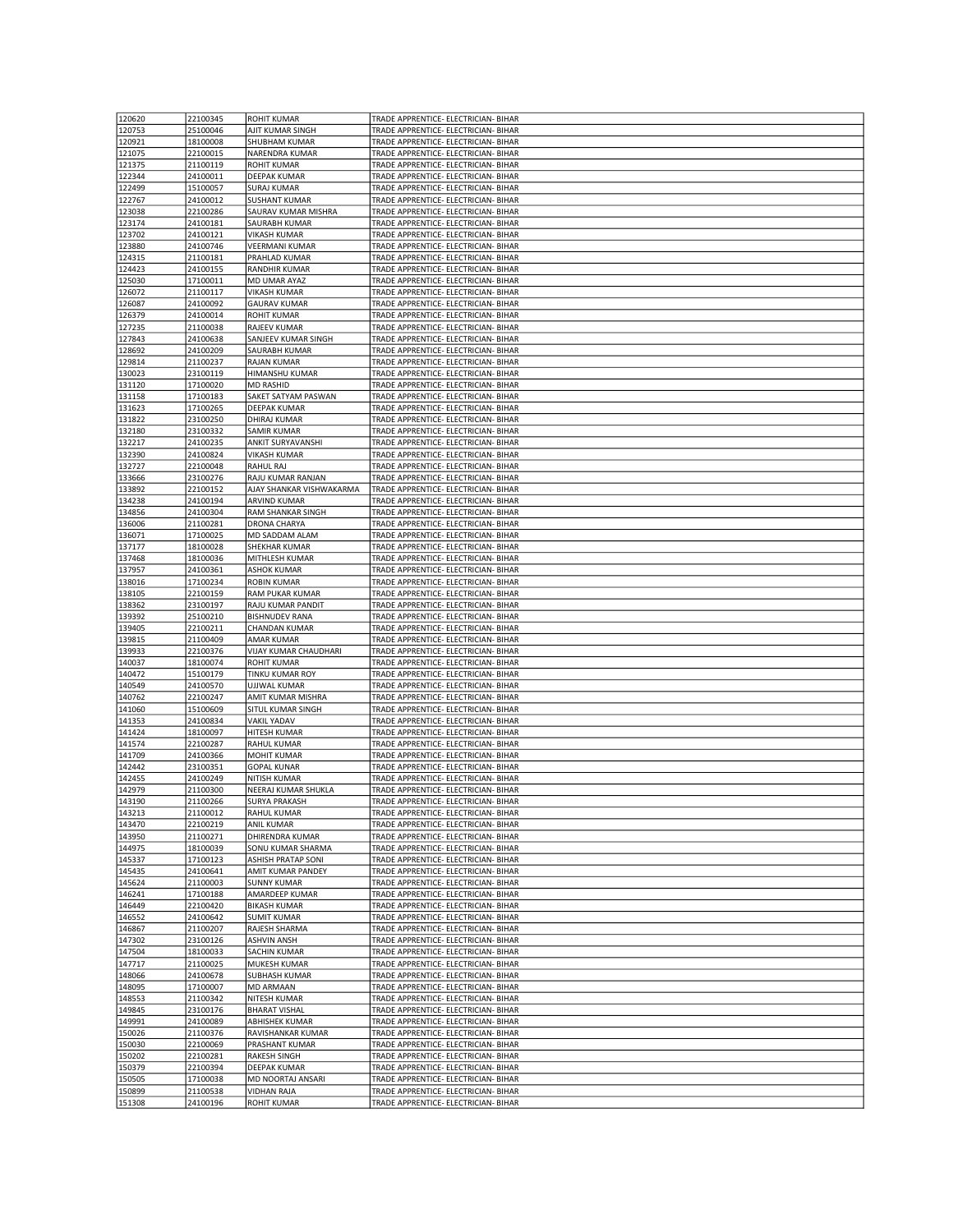| 120620 | 22100345 | <b>ROHIT KUMAR</b>       | TRADE APPRENTICE- ELECTRICIAN- BIHAR |
|--------|----------|--------------------------|--------------------------------------|
|        |          |                          |                                      |
| 120753 | 25100046 | AJIT KUMAR SINGH         | TRADE APPRENTICE- ELECTRICIAN- BIHAR |
| 120921 | 18100008 | SHUBHAM KUMAR            | TRADE APPRENTICE- ELECTRICIAN- BIHAR |
| 121075 | 22100015 | NARENDRA KUMAR           | TRADE APPRENTICE- ELECTRICIAN- BIHAR |
| 121375 | 21100119 | <b>ROHIT KUMAR</b>       | TRADE APPRENTICE- ELECTRICIAN- BIHAR |
|        |          |                          |                                      |
| 122344 | 24100011 | DEEPAK KUMAR             | TRADE APPRENTICE- ELECTRICIAN- BIHAR |
| 122499 | 15100057 | <b>SURAJ KUMAR</b>       | TRADE APPRENTICE- ELECTRICIAN- BIHAR |
| 122767 | 24100012 | <b>SUSHANT KUMAR</b>     | TRADE APPRENTICE- ELECTRICIAN- BIHAR |
| 123038 | 22100286 | SAURAV KUMAR MISHRA      | TRADE APPRENTICE- ELECTRICIAN- BIHAR |
|        |          |                          |                                      |
| 123174 | 24100181 | SAURABH KUMAR            | TRADE APPRENTICE- ELECTRICIAN- BIHAR |
| 123702 | 24100121 | <b>VIKASH KUMAR</b>      | TRADE APPRENTICE- ELECTRICIAN- BIHAR |
| 123880 | 24100746 | <b>VEERMANI KUMAR</b>    | TRADE APPRENTICE- ELECTRICIAN- BIHAR |
| 124315 | 21100181 | PRAHLAD KUMAR            | TRADE APPRENTICE- ELECTRICIAN- BIHAR |
|        |          |                          | TRADE APPRENTICE- ELECTRICIAN- BIHAR |
| 124423 | 24100155 | RANDHIR KUMAR            |                                      |
| 125030 | 17100011 | MD UMAR AYAZ             | TRADE APPRENTICE- ELECTRICIAN- BIHAR |
| 126072 | 21100117 | <b>VIKASH KUMAR</b>      | TRADE APPRENTICE- ELECTRICIAN- BIHAR |
| 126087 | 24100092 | <b>GAURAV KUMAR</b>      | TRADE APPRENTICE- ELECTRICIAN- BIHAR |
| 126379 | 24100014 | ROHIT KUMAR              | TRADE APPRENTICE- ELECTRICIAN- BIHAR |
|        |          |                          |                                      |
| 127235 | 21100038 | RAJEEV KUMAR             | TRADE APPRENTICE- ELECTRICIAN- BIHAR |
| 127843 | 24100638 | SANJEEV KUMAR SINGH      | TRADE APPRENTICE- ELECTRICIAN- BIHAR |
| 128692 | 24100209 | SAURABH KUMAR            | TRADE APPRENTICE- ELECTRICIAN- BIHAR |
| 129814 | 21100237 | <b>RAJAN KUMAR</b>       | TRADE APPRENTICE- ELECTRICIAN- BIHAR |
|        |          |                          |                                      |
| 130023 | 23100119 | HIMANSHU KUMAR           | TRADE APPRENTICE- ELECTRICIAN- BIHAR |
| 131120 | 17100020 | MD RASHID                | TRADE APPRENTICE- ELECTRICIAN- BIHAR |
| 131158 | 17100183 | SAKET SATYAM PASWAN      | TRADE APPRENTICE- ELECTRICIAN- BIHAR |
| 131623 | 17100265 | DEEPAK KUMAR             | TRADE APPRENTICE- ELECTRICIAN- BIHAR |
|        |          |                          |                                      |
| 131822 | 23100250 | DHIRAJ KUMAR             | TRADE APPRENTICE- ELECTRICIAN- BIHAR |
| 132180 | 23100332 | SAMIR KUMAR              | TRADE APPRENTICE- ELECTRICIAN- BIHAR |
| 132217 | 24100235 | ANKIT SURYAVANSHI        | TRADE APPRENTICE- ELECTRICIAN- BIHAR |
| 132390 | 24100824 | <b>VIKASH KUMAR</b>      | TRADE APPRENTICE- ELECTRICIAN- BIHAR |
|        |          |                          |                                      |
| 132727 | 22100048 | RAHUL RAJ                | TRADE APPRENTICE- ELECTRICIAN- BIHAR |
| 133666 | 23100276 | RAJU KUMAR RANJAN        | TRADE APPRENTICE- ELECTRICIAN- BIHAR |
| 133892 | 22100152 | AJAY SHANKAR VISHWAKARMA | TRADE APPRENTICE- ELECTRICIAN- BIHAR |
| 134238 | 24100194 | ARVIND KUMAR             | TRADE APPRENTICE- ELECTRICIAN- BIHAR |
|        |          |                          |                                      |
| 134856 | 24100304 | RAM SHANKAR SINGH        | TRADE APPRENTICE- ELECTRICIAN- BIHAR |
| 136006 | 21100281 | DRONA CHARYA             | TRADE APPRENTICE- ELECTRICIAN- BIHAR |
| 136071 | 17100025 | MD SADDAM ALAM           | TRADE APPRENTICE- ELECTRICIAN- BIHAR |
| 137177 | 18100028 | SHEKHAR KUMAR            | TRADE APPRENTICE- ELECTRICIAN- BIHAR |
|        |          |                          |                                      |
| 137468 | 18100036 | MITHLESH KUMAR           | TRADE APPRENTICE- ELECTRICIAN- BIHAR |
| 137957 | 24100361 | <b>ASHOK KUMAR</b>       | TRADE APPRENTICE- ELECTRICIAN- BIHAR |
| 138016 | 17100234 | <b>ROBIN KUMAR</b>       | TRADE APPRENTICE- ELECTRICIAN- BIHAR |
| 138105 | 22100159 | RAM PUKAR KUMAR          | TRADE APPRENTICE- ELECTRICIAN- BIHAR |
|        |          | RAJU KUMAR PANDIT        |                                      |
| 138362 | 23100197 |                          | TRADE APPRENTICE- ELECTRICIAN- BIHAR |
| 139392 | 25100210 | <b>BISHNUDEV RANA</b>    | TRADE APPRENTICE- ELECTRICIAN- BIHAR |
| 139405 | 22100211 | CHANDAN KUMAR            | TRADE APPRENTICE- ELECTRICIAN- BIHAR |
| 139815 | 21100409 | AMAR KUMAR               | TRADE APPRENTICE- ELECTRICIAN- BIHAR |
|        |          |                          |                                      |
| 139933 | 22100376 | VIJAY KUMAR CHAUDHARI    | TRADE APPRENTICE- ELECTRICIAN- BIHAR |
| 140037 | 18100074 | <b>ROHIT KUMAR</b>       | TRADE APPRENTICE- ELECTRICIAN- BIHAR |
| 140472 | 15100179 | TINKU KUMAR ROY          | TRADE APPRENTICE- ELECTRICIAN- BIHAR |
| 140549 | 24100570 | UJJWAL KUMAR             | TRADE APPRENTICE- ELECTRICIAN- BIHAR |
| 140762 | 22100247 | AMIT KUMAR MISHRA        | TRADE APPRENTICE- ELECTRICIAN- BIHAR |
|        |          |                          |                                      |
| 141060 | 15100609 | SITUL KUMAR SINGH        | TRADE APPRENTICE- ELECTRICIAN- BIHAR |
| 141353 | 24100834 | <b>VAKIL YADAV</b>       | TRADE APPRENTICE- ELECTRICIAN- BIHAR |
| 141424 | 18100097 | HITESH KUMAR             | TRADE APPRENTICE- ELECTRICIAN- BIHAR |
| 141574 | 22100287 | RAHUL KUMAR              | TRADE APPRENTICE- ELECTRICIAN- BIHAR |
|        |          |                          | TRADE APPRENTICE- ELECTRICIAN- BIHAR |
| 141709 | 24100366 | <b>MOHIT KUMAR</b>       |                                      |
| 142442 | 23100351 | <b>GOPAL KUNAR</b>       | TRADE APPRENTICE- ELECTRICIAN- BIHAR |
| 142455 | 24100249 | NITISH KUMAR             | TRADE APPRENTICE- ELECTRICIAN- BIHAR |
| 142979 | 21100300 | NEERAJ KUMAR SHUKLA      | TRADE APPRENTICE- ELECTRICIAN- BIHAR |
| 143190 | 21100266 | <b>SURYA PRAKASH</b>     | TRADE APPRENTICE- ELECTRICIAN- BIHAR |
|        |          |                          |                                      |
| 143213 | 21100012 | RAHUL KUMAR              | TRADE APPRENTICE- ELECTRICIAN- BIHAR |
| 143470 | 22100219 | ANIL KUMAR               | TRADE APPRENTICE- ELECTRICIAN- BIHAR |
| 143950 | 21100271 | DHIRENDRA KUMAR          | TRADE APPRENTICE- ELECTRICIAN- BIHAR |
| 144975 | 18100039 | SONU KUMAR SHARMA        | TRADE APPRENTICE- ELECTRICIAN- BIHAR |
| 145337 | 17100123 | ASHISH PRATAP SONI       | TRADE APPRENTICE- ELECTRICIAN- BIHAR |
|        |          |                          |                                      |
| 145435 | 24100641 | AMIT KUMAR PANDEY        | TRADE APPRENTICE- ELECTRICIAN- BIHAR |
| 145624 | 21100003 | <b>SUNNY KUMAR</b>       | TRADE APPRENTICE- ELECTRICIAN- BIHAR |
| 146241 | 17100188 | AMARDEEP KUMAR           | TRADE APPRENTICE- ELECTRICIAN- BIHAR |
| 146449 | 22100420 | <b>BIKASH KUMAR</b>      | TRADE APPRENTICE- ELECTRICIAN- BIHAR |
|        |          |                          |                                      |
| 146552 | 24100642 | <b>SUMIT KUMAR</b>       | TRADE APPRENTICE- ELECTRICIAN- BIHAR |
| 146867 | 21100207 | RAJESH SHARMA            | TRADE APPRENTICE- ELECTRICIAN- BIHAR |
| 147302 | 23100126 | <b>ASHVIN ANSH</b>       | TRADE APPRENTICE- ELECTRICIAN- BIHAR |
| 147504 | 18100033 | SACHIN KUMAR             | TRADE APPRENTICE- ELECTRICIAN- BIHAR |
| 147717 | 21100025 | MUKESH KUMAR             | TRADE APPRENTICE- ELECTRICIAN- BIHAR |
|        |          |                          |                                      |
| 148066 | 24100678 | <b>SUBHASH KUMAR</b>     | TRADE APPRENTICE- ELECTRICIAN- BIHAR |
| 148095 | 17100007 | MD ARMAAN                | TRADE APPRENTICE- ELECTRICIAN- BIHAR |
| 148553 | 21100342 | <b>NITESH KUMAR</b>      | TRADE APPRENTICE- ELECTRICIAN- BIHAR |
| 149845 | 23100176 | <b>BHARAT VISHAL</b>     | TRADE APPRENTICE- ELECTRICIAN- BIHAR |
|        |          |                          |                                      |
| 149991 | 24100089 | ABHISHEK KUMAR           | TRADE APPRENTICE- ELECTRICIAN- BIHAR |
| 150026 | 21100376 | RAVISHANKAR KUMAR        | TRADE APPRENTICE- ELECTRICIAN- BIHAR |
| 150030 | 22100069 | PRASHANT KUMAR           | TRADE APPRENTICE- ELECTRICIAN- BIHAR |
| 150202 | 22100281 | RAKESH SINGH             | TRADE APPRENTICE- ELECTRICIAN- BIHAR |
| 150379 |          |                          | TRADE APPRENTICE- ELECTRICIAN- BIHAR |
|        |          |                          |                                      |
|        | 22100394 | DEEPAK KUMAR             |                                      |
| 150505 | 17100038 | MD NOORTAJ ANSARI        | TRADE APPRENTICE- ELECTRICIAN- BIHAR |
| 150899 | 21100538 | <b>VIDHAN RAJA</b>       | TRADE APPRENTICE- ELECTRICIAN- BIHAR |
| 151308 | 24100196 | ROHIT KUMAR              | TRADE APPRENTICE- ELECTRICIAN- BIHAR |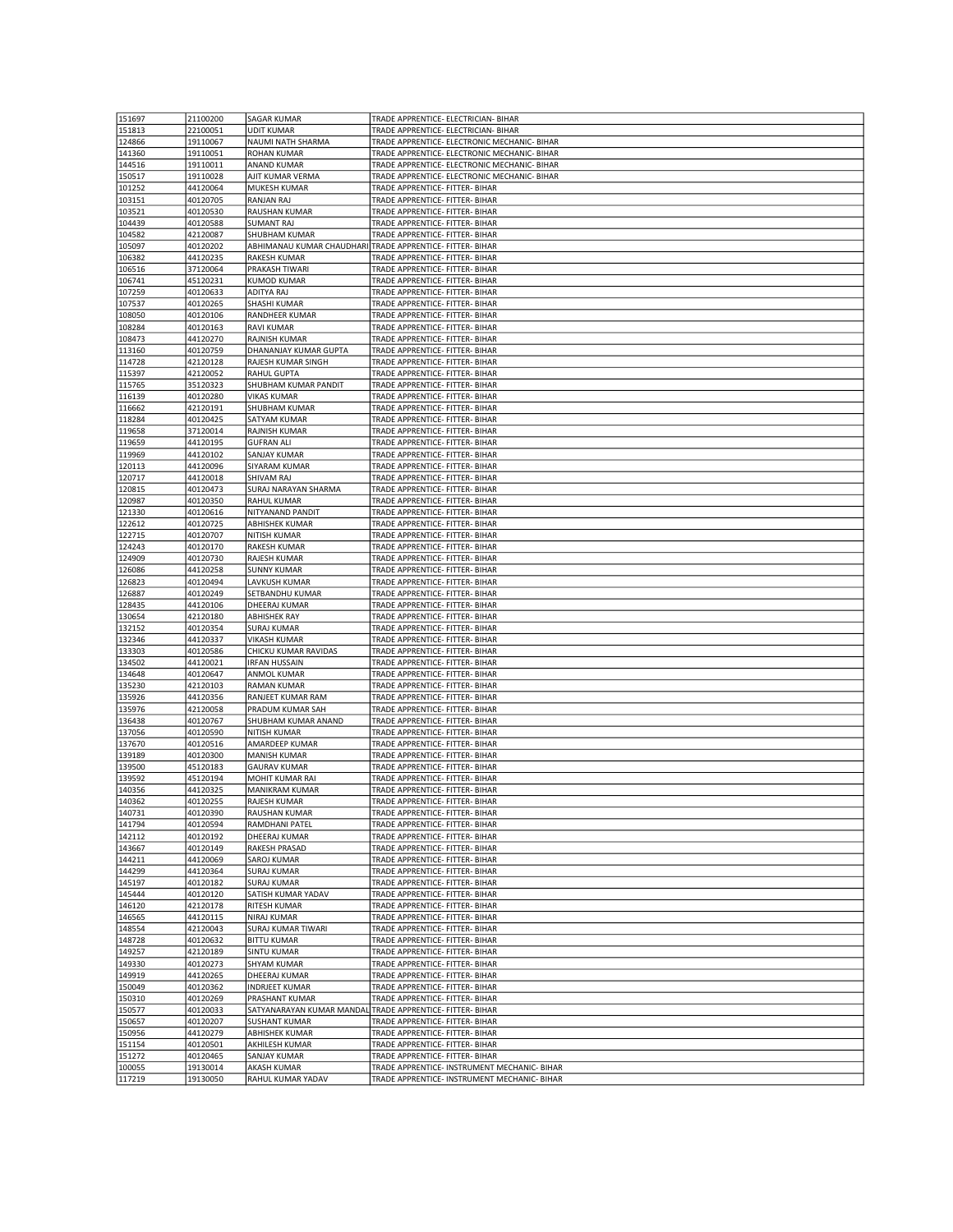| 151697           | 21100200 | <b>SAGAR KUMAR</b>    | TRADE APPRENTICE- ELECTRICIAN- BIHAR                      |
|------------------|----------|-----------------------|-----------------------------------------------------------|
| 151813           | 22100051 | <b>UDIT KUMAR</b>     | TRADE APPRENTICE- ELECTRICIAN- BIHAR                      |
|                  |          |                       |                                                           |
| 124866           | 19110067 | NAUMI NATH SHARMA     | TRADE APPRENTICE- ELECTRONIC MECHANIC- BIHAR              |
| 141360           | 19110051 | ROHAN KUMAR           | TRADE APPRENTICE- ELECTRONIC MECHANIC- BIHAR              |
| 144516           | 19110011 | ANAND KUMAR           | TRADE APPRENTICE- ELECTRONIC MECHANIC- BIHAR              |
| 150517           | 19110028 | AJIT KUMAR VERMA      | TRADE APPRENTICE- ELECTRONIC MECHANIC- BIHAR              |
| 101252           | 44120064 | MUKESH KUMAR          | TRADE APPRENTICE- FITTER- BIHAR                           |
| 103151           | 40120705 | RANJAN RAJ            | TRADE APPRENTICE- FITTER- BIHAR                           |
| 103521           | 40120530 | RAUSHAN KUMAR         | TRADE APPRENTICE- FITTER- BIHAR                           |
| 104439           | 40120588 | <b>SUMANT RAJ</b>     | TRADE APPRENTICE- FITTER- BIHAR                           |
|                  |          |                       |                                                           |
| 104582           | 42120087 | SHUBHAM KUMAR         | TRADE APPRENTICE- FITTER- BIHAR                           |
| 105097           | 40120202 |                       | ABHIMANAU KUMAR CHAUDHARI TRADE APPRENTICE- FITTER- BIHAR |
| 106382           | 44120235 | <b>RAKESH KUMAR</b>   | TRADE APPRENTICE- FITTER- BIHAR                           |
| 106516           | 37120064 | PRAKASH TIWARI        | TRADE APPRENTICE- FITTER- BIHAR                           |
| 106741           | 45120231 | <b>KUMOD KUMAR</b>    | TRADE APPRENTICE- FITTER- BIHAR                           |
| 107259           | 40120633 | ADITYA RAJ            | TRADE APPRENTICE- FITTER- BIHAR                           |
| 107537           | 40120265 | <b>SHASHI KUMAR</b>   | TRADE APPRENTICE- FITTER- BIHAR                           |
| 108050           | 40120106 | RANDHEER KUMAR        | TRADE APPRENTICE- FITTER- BIHAR                           |
| 108284           | 40120163 | <b>RAVI KUMAR</b>     | TRADE APPRENTICE- FITTER- BIHAR                           |
|                  |          |                       |                                                           |
| 108473           | 44120270 | RAJNISH KUMAR         | TRADE APPRENTICE- FITTER- BIHAR                           |
| 113160           | 40120759 | DHANANJAY KUMAR GUPTA | TRADE APPRENTICE- FITTER- BIHAR                           |
| 114728           | 42120128 | RAJESH KUMAR SINGH    | TRADE APPRENTICE- FITTER- BIHAR                           |
| 115397           | 42120052 | RAHUL GUPTA           | TRADE APPRENTICE- FITTER- BIHAR                           |
| 115765           | 35120323 | SHUBHAM KUMAR PANDIT  | TRADE APPRENTICE- FITTER- BIHAR                           |
| 116139           | 40120280 | <b>VIKAS KUMAR</b>    | TRADE APPRENTICE- FITTER- BIHAR                           |
| 116662           | 42120191 | SHUBHAM KUMAR         | TRADE APPRENTICE- FITTER- BIHAR                           |
| 118284           | 40120425 | SATYAM KUMAR          | TRADE APPRENTICE- FITTER- BIHAR                           |
| 119658           | 37120014 | RAJNISH KUMAR         | TRADE APPRENTICE- FITTER- BIHAR                           |
|                  |          | <b>GUFRAN ALI</b>     |                                                           |
| 119659           | 44120195 |                       | TRADE APPRENTICE- FITTER- BIHAR                           |
| 119969           | 44120102 | SANJAY KUMAR          | TRADE APPRENTICE- FITTER- BIHAR                           |
| 120113           | 44120096 | SIYARAM KUMAR         | TRADE APPRENTICE- FITTER- BIHAR                           |
| 120717           | 44120018 | SHIVAM RAJ            | TRADE APPRENTICE- FITTER- BIHAR                           |
| 120815           | 40120473 | SURAJ NARAYAN SHARMA  | TRADE APPRENTICE- FITTER- BIHAR                           |
| 120987           | 40120350 | RAHUL KUMAR           | TRADE APPRENTICE- FITTER- BIHAR                           |
| 121330           | 40120616 | NITYANAND PANDIT      | TRADE APPRENTICE- FITTER- BIHAR                           |
| 122612           | 40120725 | <b>ABHISHEK KUMAR</b> | TRADE APPRENTICE- FITTER- BIHAR                           |
| 122715           | 40120707 | NITISH KUMAR          | TRADE APPRENTICE- FITTER- BIHAR                           |
| 124243           | 40120170 | RAKESH KUMAR          | TRADE APPRENTICE- FITTER- BIHAR                           |
| 124909           | 40120730 | RAJESH KUMAR          | TRADE APPRENTICE- FITTER- BIHAR                           |
| 126086           | 44120258 | <b>SUNNY KUMAR</b>    | TRADE APPRENTICE- FITTER- BIHAR                           |
| 126823           | 40120494 | LAVKUSH KUMAR         | TRADE APPRENTICE- FITTER- BIHAR                           |
| 126887           | 40120249 | SETBANDHU KUMAR       | TRADE APPRENTICE- FITTER- BIHAR                           |
|                  |          |                       |                                                           |
|                  |          |                       |                                                           |
| 128435           | 44120106 | DHEERAJ KUMAR         | TRADE APPRENTICE- FITTER- BIHAR                           |
| 130654           | 42120180 | <b>ABHISHEK RAY</b>   | TRADE APPRENTICE- FITTER- BIHAR                           |
| 132152           | 40120354 | <b>SURAJ KUMAR</b>    | TRADE APPRENTICE- FITTER- BIHAR                           |
| 132346           | 44120337 | <b>VIKASH KUMAR</b>   | TRADE APPRENTICE- FITTER- BIHAR                           |
| 133303           | 40120586 | CHICKU KUMAR RAVIDAS  | TRADE APPRENTICE- FITTER- BIHAR                           |
| 134502           | 44120021 | IRFAN HUSSAIN         | TRADE APPRENTICE- FITTER- BIHAR                           |
| 134648           | 40120647 | ANMOL KUMAR           | TRADE APPRENTICE- FITTER- BIHAR                           |
| 135230           | 42120103 | RAMAN KUMAR           | TRADE APPRENTICE- FITTER- BIHAR                           |
| 135926           | 44120356 | RANJEET KUMAR RAM     | TRADE APPRENTICE- FITTER- BIHAR                           |
| 135976           | 42120058 | PRADUM KUMAR SAH      | TRADE APPRENTICE- FITTER- BIHAR                           |
|                  |          |                       |                                                           |
| 136438           | 40120767 | SHUBHAM KUMAR ANAND   | TRADE APPRENTICE- FITTER- BIHAR                           |
| 137056           | 40120590 | NITISH KUMAR          | TRADE APPRENTICE- FITTER- BIHAR                           |
| 137670           | 40120516 | AMARDEEP KUMAR        | TRADE APPRENTICE- FITTER- BIHAR                           |
| 139189           | 40120300 | MANISH KUMAR          | TRADE APPRENTICE- FITTER- BIHAR                           |
| 139500           | 45120183 | <b>GAURAV KUMAR</b>   | TRADE APPRENTICE- FITTER- BIHAR                           |
| 139592           | 45120194 | MOHIT KUMAR RAI       | TRADE APPRENTICE- FITTER- BIHAR                           |
| 140356           | 44120325 | <b>MANIKRAM KUMAR</b> | TRADE APPRENTICE- FITTER- BIHAR                           |
| 140362           | 40120255 | RAJESH KUMAR          | TRADE APPRENTICE- FITTER- BIHAR                           |
| 140731           | 40120390 | RAUSHAN KUMAR         | TRADE APPRENTICE- FITTER- BIHAR                           |
| 141794           | 40120594 | RAMDHANI PATEL        | TRADE APPRENTICE- FITTER- BIHAR                           |
| 142112           | 40120192 | DHEERAJ KUMAR         | TRADE APPRENTICE- FITTER- BIHAR                           |
| 143667           | 40120149 | RAKESH PRASAD         | TRADE APPRENTICE- FITTER- BIHAR                           |
|                  | 44120069 | <b>SAROJ KUMAR</b>    | TRADE APPRENTICE- FITTER- BIHAR                           |
| 144211<br>144299 | 44120364 | <b>SURAJ KUMAR</b>    | TRADE APPRENTICE- FITTER- BIHAR                           |
|                  |          |                       | TRADE APPRENTICE- FITTER- BIHAR                           |
| 145197           | 40120182 | <b>SURAJ KUMAR</b>    |                                                           |
| 145444           | 40120120 | SATISH KUMAR YADAV    | TRADE APPRENTICE- FITTER- BIHAR                           |
| 146120           | 42120178 | RITESH KUMAR          | TRADE APPRENTICE- FITTER- BIHAR                           |
| 146565           | 44120115 | NIRAJ KUMAR           | TRADE APPRENTICE- FITTER- BIHAR                           |
| 148554           | 42120043 | SURAJ KUMAR TIWARI    | TRADE APPRENTICE- FITTER- BIHAR                           |
| 148728           | 40120632 | <b>BITTU KUMAR</b>    | TRADE APPRENTICE- FITTER- BIHAR                           |
| 149257           | 42120189 | <b>SINTU KUMAR</b>    | TRADE APPRENTICE- FITTER- BIHAR                           |
| 149330           | 40120273 | SHYAM KUMAR           | TRADE APPRENTICE- FITTER- BIHAR                           |
| 149919           | 44120265 | DHEERAJ KUMAR         | TRADE APPRENTICE- FITTER- BIHAR                           |
| 150049           | 40120362 | <b>INDRJEET KUMAR</b> | TRADE APPRENTICE- FITTER- BIHAR                           |
| 150310           | 40120269 | PRASHANT KUMAR        | TRADE APPRENTICE- FITTER- BIHAR                           |
| 150577           | 40120033 |                       | SATYANARAYAN KUMAR MANDAL TRADE APPRENTICE- FITTER- BIHAR |
| 150657           | 40120207 | <b>SUSHANT KUMAR</b>  | TRADE APPRENTICE- FITTER- BIHAR                           |
| 150956           | 44120279 | <b>ABHISHEK KUMAR</b> | TRADE APPRENTICE- FITTER- BIHAR                           |
| 151154           | 40120501 | AKHILESH KUMAR        | TRADE APPRENTICE- FITTER- BIHAR                           |
| 151272           | 40120465 | SANJAY KUMAR          | TRADE APPRENTICE- FITTER- BIHAR                           |
| 100055           | 19130014 | AKASH KUMAR           | TRADE APPRENTICE- INSTRUMENT MECHANIC- BIHAR              |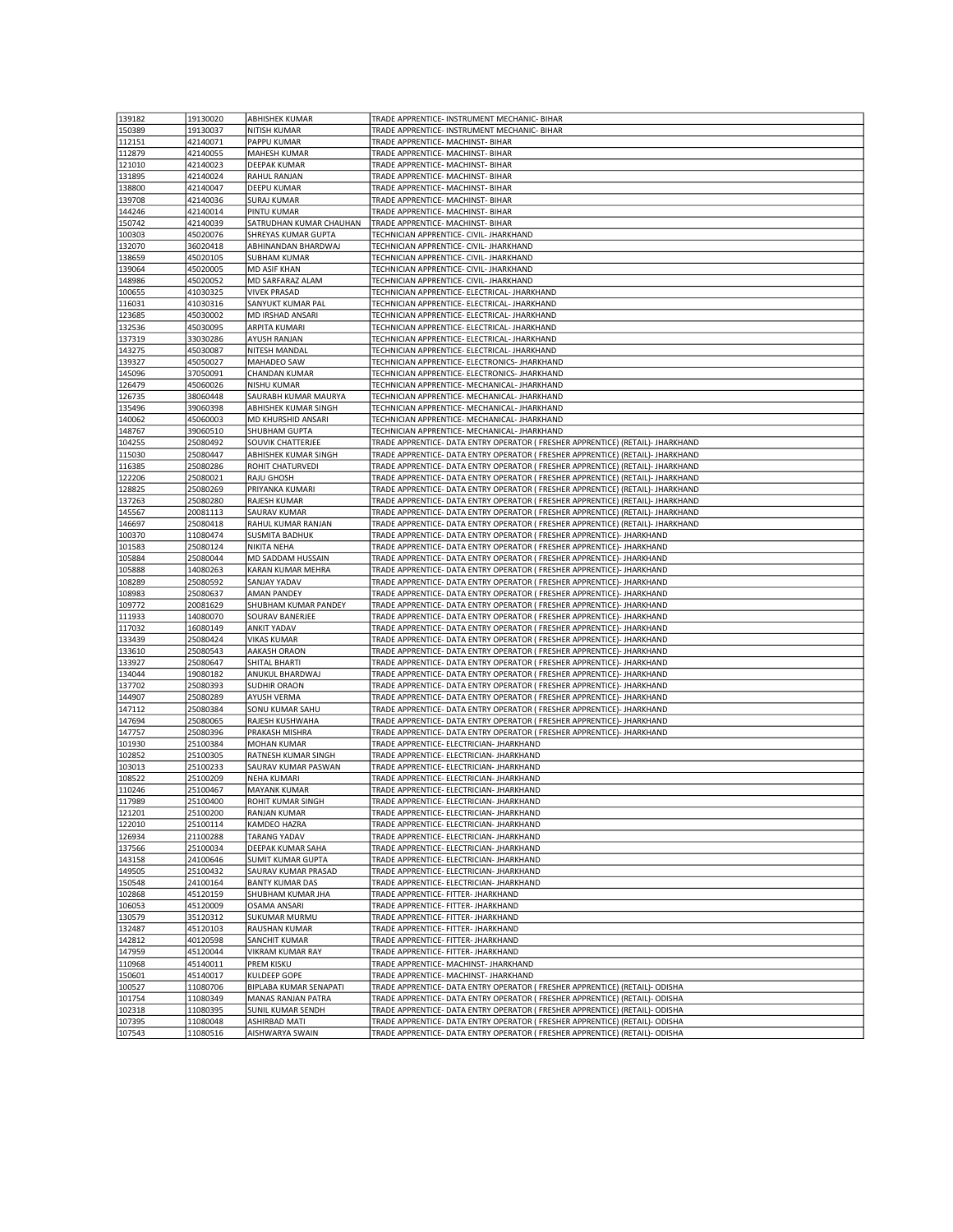| 139182           | 19130020             | <b>ABHISHEK KUMAR</b>                   | TRADE APPRENTICE- INSTRUMENT MECHANIC- BIHAR                                                                                                                 |
|------------------|----------------------|-----------------------------------------|--------------------------------------------------------------------------------------------------------------------------------------------------------------|
|                  |                      |                                         |                                                                                                                                                              |
| 150389           | 19130037             | NITISH KUMAR                            | TRADE APPRENTICE- INSTRUMENT MECHANIC- BIHAR                                                                                                                 |
| 112151           | 42140071             | PAPPU KUMAR                             | TRADE APPRENTICE- MACHINST- BIHAR                                                                                                                            |
| 112879           | 42140055             | <b>MAHESH KUMAR</b>                     | TRADE APPRENTICE- MACHINST- BIHAR                                                                                                                            |
| 121010           | 42140023             | DEEPAK KUMAR                            | TRADE APPRENTICE- MACHINST- BIHAR                                                                                                                            |
| 131895           | 42140024             | RAHUL RANJAN                            | TRADE APPRENTICE- MACHINST- BIHAR                                                                                                                            |
|                  |                      |                                         |                                                                                                                                                              |
| 138800           | 42140047             | DEEPU KUMAR                             | TRADE APPRENTICE- MACHINST- BIHAR                                                                                                                            |
| 139708           | 42140036             | <b>SURAJ KUMAR</b>                      | TRADE APPRENTICE- MACHINST- BIHAR                                                                                                                            |
| 144246           | 42140014             | PINTU KUMAR                             | TRADE APPRENTICE- MACHINST- BIHAR                                                                                                                            |
| 150742           | 42140039             | SATRUDHAN KUMAR CHAUHAN                 | TRADE APPRENTICE- MACHINST- BIHAR                                                                                                                            |
| 100303           | 45020076             | SHREYAS KUMAR GUPTA                     | TECHNICIAN APPRENTICE- CIVIL- JHARKHAND                                                                                                                      |
| 132070           | 36020418             | ABHINANDAN BHARDWAJ                     | TECHNICIAN APPRENTICE- CIVIL- JHARKHAND                                                                                                                      |
|                  |                      |                                         |                                                                                                                                                              |
| 138659           | 45020105             | <b>SUBHAM KUMAR</b>                     | TECHNICIAN APPRENTICE- CIVIL- JHARKHAND                                                                                                                      |
| 139064           | 45020005             | MD ASIF KHAN                            | TECHNICIAN APPRENTICE- CIVIL- JHARKHAND                                                                                                                      |
| 148986           | 45020052             | MD SARFARAZ ALAM                        | TECHNICIAN APPRENTICE- CIVIL- JHARKHAND                                                                                                                      |
| 100655           | 41030325             | <b>VIVEK PRASAD</b>                     | TECHNICIAN APPRENTICE- ELECTRICAL- JHARKHAND                                                                                                                 |
| 116031           | 41030316             | SANYUKT KUMAR PAL                       | TECHNICIAN APPRENTICE- ELECTRICAL- JHARKHAND                                                                                                                 |
| 123685           | 45030002             | MD IRSHAD ANSARI                        | TECHNICIAN APPRENTICE- ELECTRICAL- JHARKHAND                                                                                                                 |
|                  |                      |                                         |                                                                                                                                                              |
| 132536           | 45030095             | ARPITA KUMARI                           | TECHNICIAN APPRENTICE- ELECTRICAL- JHARKHAND                                                                                                                 |
| 137319           | 33030286             | AYUSH RANJAN                            | TECHNICIAN APPRENTICE- ELECTRICAL- JHARKHAND                                                                                                                 |
| 143275           | 45030087             | NITESH MANDAL                           | TECHNICIAN APPRENTICE- ELECTRICAL- JHARKHAND                                                                                                                 |
| 139327           | 45050027             | MAHADEO SAW                             | TECHNICIAN APPRENTICE- ELECTRONICS- JHARKHAND                                                                                                                |
| 145096           | 37050091             | CHANDAN KUMAR                           | TECHNICIAN APPRENTICE- ELECTRONICS- JHARKHAND                                                                                                                |
| 126479           | 45060026             | NISHU KUMAR                             | TECHNICIAN APPRENTICE- MECHANICAL- JHARKHAND                                                                                                                 |
|                  |                      |                                         |                                                                                                                                                              |
| 126735           | 38060448             | SAURABH KUMAR MAURYA                    | TECHNICIAN APPRENTICE- MECHANICAL- JHARKHAND                                                                                                                 |
| 135496           | 39060398             | ABHISHEK KUMAR SINGH                    | TECHNICIAN APPRENTICE- MECHANICAL- JHARKHAND                                                                                                                 |
| 140062           | 45060003             | MD KHURSHID ANSARI                      | TECHNICIAN APPRENTICE- MECHANICAL- JHARKHAND                                                                                                                 |
| 148767           | 39060510             | SHUBHAM GUPTA                           | TECHNICIAN APPRENTICE- MECHANICAL- JHARKHAND                                                                                                                 |
| 104255           | 25080492             | SOUVIK CHATTERJEE                       | TRADE APPRENTICE- DATA ENTRY OPERATOR ( FRESHER APPRENTICE) (RETAIL)- JHARKHAND                                                                              |
| 115030           | 25080447             | ABHISHEK KUMAR SINGH                    | TRADE APPRENTICE- DATA ENTRY OPERATOR ( FRESHER APPRENTICE) (RETAIL)- JHARKHAND                                                                              |
| 116385           | 25080286             | ROHIT CHATURVEDI                        | TRADE APPRENTICE- DATA ENTRY OPERATOR ( FRESHER APPRENTICE) (RETAIL)- JHARKHAND                                                                              |
|                  |                      |                                         |                                                                                                                                                              |
| 122206           | 25080021             | RAJU GHOSH                              | TRADE APPRENTICE- DATA ENTRY OPERATOR ( FRESHER APPRENTICE) (RETAIL)- JHARKHAND                                                                              |
| 128825           | 25080269             | PRIYANKA KUMARI                         | TRADE APPRENTICE- DATA ENTRY OPERATOR ( FRESHER APPRENTICE) (RETAIL)- JHARKHAND                                                                              |
| 137263           | 25080280             | RAJESH KUMAR                            | TRADE APPRENTICE- DATA ENTRY OPERATOR ( FRESHER APPRENTICE) (RETAIL)- JHARKHAND                                                                              |
| 145567           | 20081113             | SAURAV KUMAR                            | TRADE APPRENTICE- DATA ENTRY OPERATOR ( FRESHER APPRENTICE) (RETAIL)- JHARKHAND                                                                              |
| 146697           | 25080418             | RAHUL KUMAR RANJAN                      | TRADE APPRENTICE- DATA ENTRY OPERATOR ( FRESHER APPRENTICE) (RETAIL)- JHARKHAND                                                                              |
| 100370           | 11080474             | <b>SUSMITA BADHUK</b>                   | TRADE APPRENTICE- DATA ENTRY OPERATOR ( FRESHER APPRENTICE)- JHARKHAND                                                                                       |
| 101583           | 25080124             | NIKITA NEHA                             | TRADE APPRENTICE- DATA ENTRY OPERATOR ( FRESHER APPRENTICE)- JHARKHAND                                                                                       |
| 105884           | 25080044             | MD SADDAM HUSSAIN                       | TRADE APPRENTICE- DATA ENTRY OPERATOR ( FRESHER APPRENTICE)- JHARKHAND                                                                                       |
|                  |                      |                                         |                                                                                                                                                              |
| 105888           | 14080263             | KARAN KUMAR MEHRA                       | TRADE APPRENTICE- DATA ENTRY OPERATOR ( FRESHER APPRENTICE)- JHARKHAND                                                                                       |
|                  |                      |                                         |                                                                                                                                                              |
| 108289           | 25080592             | SANJAY YADAV                            | TRADE APPRENTICE- DATA ENTRY OPERATOR ( FRESHER APPRENTICE)- JHARKHAND                                                                                       |
| 108983           | 25080637             | <b>AMAN PANDEY</b>                      | TRADE APPRENTICE- DATA ENTRY OPERATOR ( FRESHER APPRENTICE)- JHARKHAND                                                                                       |
| 109772           | 20081629             | SHUBHAM KUMAR PANDEY                    | TRADE APPRENTICE- DATA ENTRY OPERATOR ( FRESHER APPRENTICE)- JHARKHAND                                                                                       |
| 111933           | 14080070             | SOURAV BANERJEE                         | TRADE APPRENTICE- DATA ENTRY OPERATOR ( FRESHER APPRENTICE)- JHARKHAND                                                                                       |
| 117032           | 16080149             | <b>ANKIT YADAV</b>                      | TRADE APPRENTICE- DATA ENTRY OPERATOR ( FRESHER APPRENTICE)- JHARKHAND                                                                                       |
|                  |                      |                                         |                                                                                                                                                              |
| 133439           | 25080424             | <b>VIKAS KUMAR</b>                      | TRADE APPRENTICE- DATA ENTRY OPERATOR ( FRESHER APPRENTICE)- JHARKHAND                                                                                       |
| 133610           | 25080543             | AAKASH ORAON                            | TRADE APPRENTICE- DATA ENTRY OPERATOR ( FRESHER APPRENTICE)- JHARKHAND                                                                                       |
| 133927           | 25080647             | SHITAL BHARTI                           | TRADE APPRENTICE- DATA ENTRY OPERATOR ( FRESHER APPRENTICE)- JHARKHAND                                                                                       |
| 134044           | 19080182             | ANUKUL BHARDWAJ                         | TRADE APPRENTICE- DATA ENTRY OPERATOR ( FRESHER APPRENTICE)- JHARKHAND                                                                                       |
| 137702           | 25080393             | <b>SUDHIR ORAON</b>                     | TRADE APPRENTICE- DATA ENTRY OPERATOR ( FRESHER APPRENTICE)- JHARKHAND                                                                                       |
| 144907           | 25080289             | AYUSH VERMA                             | TRADE APPRENTICE- DATA ENTRY OPERATOR ( FRESHER APPRENTICE)- JHARKHAND                                                                                       |
| 147112           | 25080384             | SONU KUMAR SAHU                         | TRADE APPRENTICE- DATA ENTRY OPERATOR ( FRESHER APPRENTICE)- JHARKHAND                                                                                       |
| 147694           | 25080065             | RAJESH KUSHWAHA                         | TRADE APPRENTICE- DATA ENTRY OPERATOR ( FRESHER APPRENTICE)- JHARKHAND                                                                                       |
| 147757           | 25080396             | PRAKASH MISHRA                          | TRADE APPRENTICE- DATA ENTRY OPERATOR ( FRESHER APPRENTICE)- JHARKHAND                                                                                       |
| 101930           | 25100384             | <b>MOHAN KUMAR</b>                      | TRADE APPRENTICE- ELECTRICIAN- JHARKHAND                                                                                                                     |
|                  |                      |                                         |                                                                                                                                                              |
| 102852           | 25100305             | RATNESH KUMAR SINGH                     | TRADE APPRENTICE- ELECTRICIAN- JHARKHAND                                                                                                                     |
| 103013           | 25100233             | SAURAV KUMAR PASWAN                     | TRADE APPRENTICE- ELECTRICIAN- JHARKHAND                                                                                                                     |
| 108522           | 25100209             | <b>NEHA KUMARI</b>                      | TRADE APPRENTICE- ELECTRICIAN- JHARKHAND                                                                                                                     |
| 110246           | 25100467             | MAYANK KUMAR                            | TRADE APPRENTICE- ELECTRICIAN- JHARKHAND                                                                                                                     |
| 117989           | 25100400             | ROHIT KUMAR SINGH                       | TRADE APPRENTICE- ELECTRICIAN- JHARKHAND                                                                                                                     |
| 121201           | 25100200             | RANJAN KUMAR                            | TRADE APPRENTICE- ELECTRICIAN- JHARKHAND                                                                                                                     |
| 122010           | 25100114             | KAMDEO HAZRA                            | TRADE APPRENTICE- ELECTRICIAN- JHARKHAND                                                                                                                     |
| 126934           | 21100288             | <b>TARANG YADAV</b>                     | TRADE APPRENTICE- ELECTRICIAN- JHARKHAND                                                                                                                     |
|                  |                      |                                         |                                                                                                                                                              |
| 137566           | 25100034             | DEEPAK KUMAR SAHA                       | TRADE APPRENTICE- ELECTRICIAN- JHARKHAND                                                                                                                     |
| 143158           | 24100646             | <b>SUMIT KUMAR GUPTA</b>                | TRADE APPRENTICE- ELECTRICIAN- JHARKHAND                                                                                                                     |
| 149505           | 25100432             | SAURAV KUMAR PRASAD                     | TRADE APPRENTICE- ELECTRICIAN- JHARKHAND                                                                                                                     |
| 150548           | 24100164             | <b>BANTY KUMAR DAS</b>                  | TRADE APPRENTICE- ELECTRICIAN- JHARKHAND                                                                                                                     |
| 102868           | 45120159             | SHUBHAM KUMAR JHA                       | TRADE APPRENTICE- FITTER- JHARKHAND                                                                                                                          |
| 106053           | 45120009             | OSAMA ANSARI                            | TRADE APPRENTICE- FITTER- JHARKHAND                                                                                                                          |
| 130579           | 35120312             | SUKUMAR MURMU                           | TRADE APPRENTICE- FITTER- JHARKHAND                                                                                                                          |
| 132487           | 45120103             | RAUSHAN KUMAR                           | TRADE APPRENTICE- FITTER- JHARKHAND                                                                                                                          |
| 142812           | 40120598             | <b>SANCHIT KUMAR</b>                    | TRADE APPRENTICE- FITTER- JHARKHAND                                                                                                                          |
|                  |                      | VIKRAM KUMAR RAY                        | TRADE APPRENTICE- FITTER- JHARKHAND                                                                                                                          |
| 147959           | 45120044             |                                         |                                                                                                                                                              |
| 110968           | 45140011             | PREM KISKU                              | TRADE APPRENTICE- MACHINST- JHARKHAND                                                                                                                        |
| 150601           | 45140017             | KULDEEP GOPE                            | TRADE APPRENTICE- MACHINST- JHARKHAND                                                                                                                        |
| 100527           | 11080706             | BIPLABA KUMAR SENAPATI                  | TRADE APPRENTICE- DATA ENTRY OPERATOR ( FRESHER APPRENTICE) (RETAIL)- ODISHA                                                                                 |
| 101754           | 11080349             | MANAS RANJAN PATRA                      | TRADE APPRENTICE- DATA ENTRY OPERATOR ( FRESHER APPRENTICE) (RETAIL)- ODISHA                                                                                 |
| 102318           | 11080395             | SUNIL KUMAR SENDH                       | TRADE APPRENTICE- DATA ENTRY OPERATOR ( FRESHER APPRENTICE) (RETAIL)- ODISHA                                                                                 |
| 107395<br>107543 | 11080048<br>11080516 | <b>ASHIRBAD MATI</b><br>AISHWARYA SWAIN | TRADE APPRENTICE- DATA ENTRY OPERATOR ( FRESHER APPRENTICE) (RETAIL)- ODISHA<br>TRADE APPRENTICE- DATA ENTRY OPERATOR ( FRESHER APPRENTICE) (RETAIL)- ODISHA |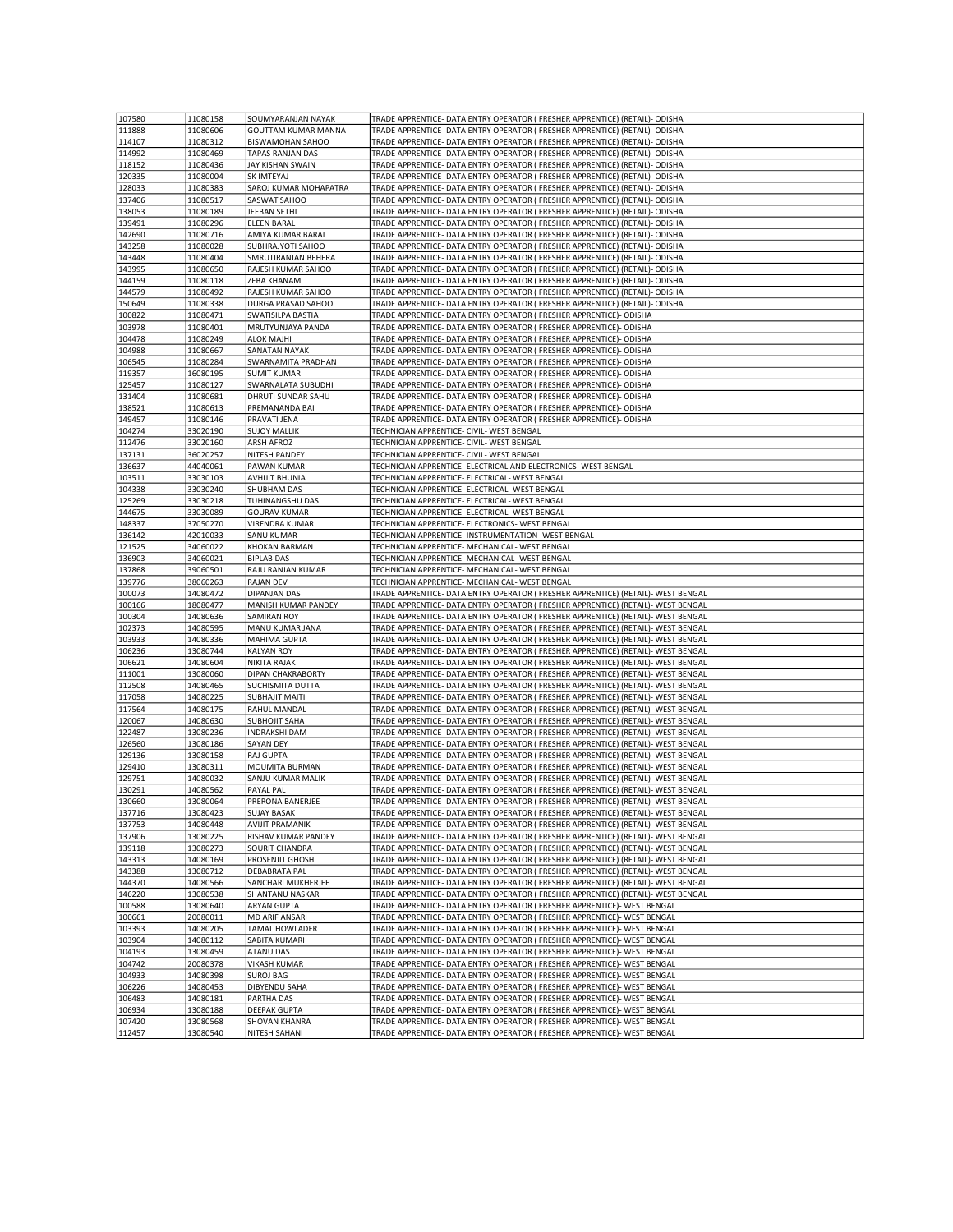| 107580 |          |                            |                                                                                   |
|--------|----------|----------------------------|-----------------------------------------------------------------------------------|
|        | 11080158 | SOUMYARANJAN NAYAK         | TRADE APPRENTICE- DATA ENTRY OPERATOR ( FRESHER APPRENTICE) (RETAIL)- ODISHA      |
| 111888 | 11080606 | <b>GOUTTAM KUMAR MANNA</b> | TRADE APPRENTICE- DATA ENTRY OPERATOR ( FRESHER APPRENTICE) (RETAIL)- ODISHA      |
| 114107 | 11080312 | <b>BISWAMOHAN SAHOO</b>    | TRADE APPRENTICE- DATA ENTRY OPERATOR ( FRESHER APPRENTICE) (RETAIL)- ODISHA      |
| 114992 | 11080469 | TAPAS RANJAN DAS           | TRADE APPRENTICE- DATA ENTRY OPERATOR ( FRESHER APPRENTICE) (RETAIL)- ODISHA      |
|        |          |                            |                                                                                   |
| 118152 | 11080436 | JAY KISHAN SWAIN           | TRADE APPRENTICE- DATA ENTRY OPERATOR ( FRESHER APPRENTICE) (RETAIL)- ODISHA      |
| 120335 | 11080004 | SK IMTEYAJ                 | TRADE APPRENTICE- DATA ENTRY OPERATOR ( FRESHER APPRENTICE) (RETAIL)- ODISHA      |
| 128033 | 11080383 | SAROJ KUMAR MOHAPATRA      | TRADE APPRENTICE- DATA ENTRY OPERATOR ( FRESHER APPRENTICE) (RETAIL)- ODISHA      |
| 137406 | 11080517 | SASWAT SAHOO               | TRADE APPRENTICE- DATA ENTRY OPERATOR ( FRESHER APPRENTICE) (RETAIL)- ODISHA      |
|        |          |                            |                                                                                   |
| 138053 | 11080189 | JEEBAN SETHI               | TRADE APPRENTICE- DATA ENTRY OPERATOR ( FRESHER APPRENTICE) (RETAIL)- ODISHA      |
| 139491 | 11080296 | <b>ELEEN BARAL</b>         | TRADE APPRENTICE- DATA ENTRY OPERATOR ( FRESHER APPRENTICE) (RETAIL)- ODISHA      |
| 142690 | 11080716 | AMIYA KUMAR BARAL          | TRADE APPRENTICE- DATA ENTRY OPERATOR ( FRESHER APPRENTICE) (RETAIL)- ODISHA      |
| 143258 | 11080028 | SUBHRAJYOTI SAHOO          | TRADE APPRENTICE- DATA ENTRY OPERATOR ( FRESHER APPRENTICE) (RETAIL)- ODISHA      |
|        |          |                            |                                                                                   |
| 143448 | 11080404 | SMRUTIRANJAN BEHERA        | TRADE APPRENTICE- DATA ENTRY OPERATOR ( FRESHER APPRENTICE) (RETAIL)- ODISHA      |
| 143995 | 11080650 | RAJESH KUMAR SAHOO         | TRADE APPRENTICE- DATA ENTRY OPERATOR ( FRESHER APPRENTICE) (RETAIL)- ODISHA      |
| 144159 | 11080118 | ZEBA KHANAM                | TRADE APPRENTICE- DATA ENTRY OPERATOR ( FRESHER APPRENTICE) (RETAIL)- ODISHA      |
| 144579 | 11080492 | RAJESH KUMAR SAHOO         | TRADE APPRENTICE- DATA ENTRY OPERATOR ( FRESHER APPRENTICE) (RETAIL)- ODISHA      |
|        |          |                            |                                                                                   |
| 150649 | 11080338 | DURGA PRASAD SAHOO         | TRADE APPRENTICE- DATA ENTRY OPERATOR ( FRESHER APPRENTICE) (RETAIL)- ODISHA      |
| 100822 | 11080471 | SWATISILPA BASTIA          | TRADE APPRENTICE- DATA ENTRY OPERATOR ( FRESHER APPRENTICE)- ODISHA               |
| 103978 | 11080401 | MRUTYUNJAYA PANDA          | TRADE APPRENTICE- DATA ENTRY OPERATOR ( FRESHER APPRENTICE)- ODISHA               |
| 104478 | 11080249 | <b>ALOK MAJHI</b>          | TRADE APPRENTICE- DATA ENTRY OPERATOR ( FRESHER APPRENTICE)- ODISHA               |
|        |          |                            |                                                                                   |
| 104988 | 11080667 | <b>SANATAN NAYAK</b>       | TRADE APPRENTICE- DATA ENTRY OPERATOR ( FRESHER APPRENTICE)- ODISHA               |
| 106545 | 11080284 | SWARNAMITA PRADHAN         | TRADE APPRENTICE- DATA ENTRY OPERATOR ( FRESHER APPRENTICE)- ODISHA               |
| 119357 | 16080195 | <b>SUMIT KUMAR</b>         | TRADE APPRENTICE- DATA ENTRY OPERATOR ( FRESHER APPRENTICE)- ODISHA               |
| 125457 | 11080127 | SWARNALATA SUBUDHI         | TRADE APPRENTICE- DATA ENTRY OPERATOR ( FRESHER APPRENTICE)- ODISHA               |
|        |          |                            |                                                                                   |
| 131404 | 11080681 | DHRUTI SUNDAR SAHU         | TRADE APPRENTICE- DATA ENTRY OPERATOR ( FRESHER APPRENTICE)- ODISHA               |
| 138521 | 11080613 | PREMANANDA BAI             | TRADE APPRENTICE- DATA ENTRY OPERATOR ( FRESHER APPRENTICE)- ODISHA               |
| 149457 | 11080146 | PRAVATI JENA               | TRADE APPRENTICE- DATA ENTRY OPERATOR ( FRESHER APPRENTICE)- ODISHA               |
|        |          |                            | TECHNICIAN APPRENTICE- CIVIL- WEST BENGAL                                         |
| 104274 | 33020190 | <b>SUJOY MALLIK</b>        |                                                                                   |
| 112476 | 33020160 | <b>ARSH AFROZ</b>          | TECHNICIAN APPRENTICE- CIVIL- WEST BENGAL                                         |
| 137131 | 36020257 | NITESH PANDEY              | TECHNICIAN APPRENTICE- CIVIL- WEST BENGAL                                         |
| 136637 | 44040061 | <b>PAWAN KUMAR</b>         | TECHNICIAN APPRENTICE- ELECTRICAL AND ELECTRONICS- WEST BENGAL                    |
|        |          |                            |                                                                                   |
| 103511 | 33030103 | <b>AVHIJIT BHUNIA</b>      | TECHNICIAN APPRENTICE- ELECTRICAL- WEST BENGAL                                    |
| 104338 | 33030240 | SHUBHAM DAS                | TECHNICIAN APPRENTICE- ELECTRICAL- WEST BENGAL                                    |
| 125269 | 33030218 | TUHINANGSHU DAS            | TECHNICIAN APPRENTICE- ELECTRICAL- WEST BENGAL                                    |
| 144675 | 33030089 | <b>GOURAV KUMAR</b>        | TECHNICIAN APPRENTICE- ELECTRICAL- WEST BENGAL                                    |
|        |          |                            |                                                                                   |
| 148337 | 37050270 | <b>VIRENDRA KUMAR</b>      | TECHNICIAN APPRENTICE- ELECTRONICS- WEST BENGAL                                   |
| 136142 | 42010033 | <b>SANU KUMAR</b>          | TECHNICIAN APPRENTICE- INSTRUMENTATION- WEST BENGAL                               |
| 121525 | 34060022 | KHOKAN BARMAN              | TECHNICIAN APPRENTICE- MECHANICAL- WEST BENGAL                                    |
|        |          | <b>BIPLAB DAS</b>          |                                                                                   |
| 136903 | 34060021 |                            | TECHNICIAN APPRENTICE- MECHANICAL- WEST BENGAL                                    |
| 137868 | 39060501 | RAJU RANJAN KUMAR          | TECHNICIAN APPRENTICE- MECHANICAL- WEST BENGAL                                    |
| 139776 | 38060263 | <b>RAJAN DEV</b>           | TECHNICIAN APPRENTICE- MECHANICAL- WEST BENGAL                                    |
| 100073 | 14080472 | <b>DIPANJAN DAS</b>        | TRADE APPRENTICE- DATA ENTRY OPERATOR ( FRESHER APPRENTICE) (RETAIL)- WEST BENGAL |
|        |          |                            |                                                                                   |
| 100166 | 18080477 | MANISH KUMAR PANDEY        | TRADE APPRENTICE- DATA ENTRY OPERATOR ( FRESHER APPRENTICE) (RETAIL)- WEST BENGAL |
| 100304 | 14080636 | <b>SAMIRAN ROY</b>         | TRADE APPRENTICE- DATA ENTRY OPERATOR ( FRESHER APPRENTICE) (RETAIL)- WEST BENGAL |
| 102373 | 14080595 | MANU KUMAR JANA            | TRADE APPRENTICE- DATA ENTRY OPERATOR ( FRESHER APPRENTICE) (RETAIL)- WEST BENGAL |
|        |          |                            | TRADE APPRENTICE- DATA ENTRY OPERATOR ( FRESHER APPRENTICE) (RETAIL)- WEST BENGAL |
| 103933 | 14080336 | <b>MAHIMA GUPTA</b>        |                                                                                   |
| 106236 | 13080744 | <b>KALYAN ROY</b>          | TRADE APPRENTICE- DATA ENTRY OPERATOR ( FRESHER APPRENTICE) (RETAIL)- WEST BENGAL |
| 106621 | 14080604 | NIKITA RAJAK               | TRADE APPRENTICE- DATA ENTRY OPERATOR ( FRESHER APPRENTICE) (RETAIL)- WEST BENGAL |
|        |          |                            |                                                                                   |
|        |          |                            |                                                                                   |
| 111001 | 13080060 | DIPAN CHAKRABORTY          | TRADE APPRENTICE- DATA ENTRY OPERATOR ( FRESHER APPRENTICE) (RETAIL)- WEST BENGAL |
| 112508 | 14080465 | SUCHISMITA DUTTA           | TRADE APPRENTICE- DATA ENTRY OPERATOR ( FRESHER APPRENTICE) (RETAIL)- WEST BENGAL |
| 117058 | 14080225 | <b>SUBHAJIT MAITI</b>      | TRADE APPRENTICE- DATA ENTRY OPERATOR ( FRESHER APPRENTICE) (RETAIL)- WEST BENGAL |
| 117564 | 14080175 | RAHUL MANDAI               | TRADE APPRENTICE- DATA ENTRY OPERATOR ( FRESHER APPRENTICE) (RETAIL)- WEST BENGAL |
|        |          |                            |                                                                                   |
| 120067 | 14080630 | <b>SUBHOJIT SAHA</b>       | TRADE APPRENTICE- DATA ENTRY OPERATOR ( FRESHER APPRENTICE) (RETAIL)- WEST BENGAL |
| 122487 | 13080236 | <b>INDRAKSHI DAM</b>       | TRADE APPRENTICE- DATA ENTRY OPERATOR ( FRESHER APPRENTICE) (RETAIL)- WEST BENGAL |
| 126560 | 13080186 | <b>SAYAN DEY</b>           | TRADE APPRENTICE- DATA ENTRY OPERATOR ( FRESHER APPRENTICE) (RETAIL)- WEST BENGAL |
| 129136 | 13080158 | <b>RAJ GUPTA</b>           | TRADE APPRENTICE- DATA ENTRY OPERATOR ( FRESHER APPRENTICE) (RETAIL)- WEST BENGAL |
|        |          |                            |                                                                                   |
| 129410 | 13080311 | MOUMITA BURMAN             | TRADE APPRENTICE- DATA ENTRY OPERATOR ( FRESHER APPRENTICE) (RETAIL)- WEST BENGAL |
| 129751 | 14080032 | SANJU KUMAR MALIK          | TRADE APPRENTICE- DATA ENTRY OPERATOR ( FRESHER APPRENTICE) (RETAIL)- WEST BENGAL |
| 130291 | 14080562 | PAYAL PAL                  | TRADE APPRENTICE- DATA ENTRY OPERATOR ( FRESHER APPRENTICE) (RETAIL)- WEST BENGAL |
| 130660 | 13080064 | PRERONA BANERJEE           | TRADE APPRENTICE- DATA ENTRY OPERATOR ( FRESHER APPRENTICE) (RETAIL)- WEST BENGAL |
|        |          |                            |                                                                                   |
| 137716 | 13080423 | <b>SUJAY BASAK</b>         | TRADE APPRENTICE- DATA ENTRY OPERATOR ( FRESHER APPRENTICE) (RETAIL)- WEST BENGAL |
| 137753 | 14080448 | <b>AVIJIT PRAMANIK</b>     | TRADE APPRENTICE- DATA ENTRY OPERATOR ( FRESHER APPRENTICE) (RETAIL)- WEST BENGAL |
| 137906 | 13080225 | RISHAV KUMAR PANDEY        | TRADE APPRENTICE- DATA ENTRY OPERATOR ( FRESHER APPRENTICE) (RETAIL)- WEST BENGAL |
| 139118 | 13080273 | SOURIT CHANDRA             | TRADE APPRENTICE- DATA ENTRY OPERATOR ( FRESHER APPRENTICE) (RETAIL)- WEST BENGAL |
|        |          |                            |                                                                                   |
| 143313 | 14080169 | PROSENJIT GHOSH            | TRADE APPRENTICE- DATA ENTRY OPERATOR ( FRESHER APPRENTICE) (RETAIL)- WEST BENGAL |
| 143388 | 13080712 | <b>DEBABRATA PAL</b>       | TRADE APPRENTICE- DATA ENTRY OPERATOR ( FRESHER APPRENTICE) (RETAIL)- WEST BENGAL |
| 144370 | 14080566 | SANCHARI MUKHERJEE         | TRADE APPRENTICE- DATA ENTRY OPERATOR ( FRESHER APPRENTICE) (RETAIL)- WEST BENGAL |
| 146220 | 13080538 | SHANTANU NASKAR            | TRADE APPRENTICE- DATA ENTRY OPERATOR ( FRESHER APPRENTICE) (RETAIL)- WEST BENGAL |
|        |          |                            |                                                                                   |
| 100588 | 13080640 | <b>ARYAN GUPTA</b>         | TRADE APPRENTICE- DATA ENTRY OPERATOR ( FRESHER APPRENTICE)- WEST BENGAL          |
| 100661 | 20080011 | MD ARIF ANSARI             | TRADE APPRENTICE- DATA ENTRY OPERATOR ( FRESHER APPRENTICE)- WEST BENGAL          |
| 103393 | 14080205 | TAMAL HOWLADER             | TRADE APPRENTICE- DATA ENTRY OPERATOR ( FRESHER APPRENTICE)- WEST BENGAL          |
|        |          |                            |                                                                                   |
| 103904 | 14080112 | SABITA KUMARI              | TRADE APPRENTICE- DATA ENTRY OPERATOR ( FRESHER APPRENTICE)- WEST BENGAL          |
| 104193 | 13080459 | <b>ATANU DAS</b>           | TRADE APPRENTICE- DATA ENTRY OPERATOR ( FRESHER APPRENTICE)- WEST BENGAL          |
| 104742 | 20080378 | <b>VIKASH KUMAR</b>        | TRADE APPRENTICE- DATA ENTRY OPERATOR ( FRESHER APPRENTICE)- WEST BENGAL          |
| 104933 | 14080398 | <b>SUROJ BAG</b>           | TRADE APPRENTICE- DATA ENTRY OPERATOR ( FRESHER APPRENTICE)- WEST BENGAL          |
|        |          |                            |                                                                                   |
| 106226 | 14080453 | <b>DIBYENDU SAHA</b>       | TRADE APPRENTICE- DATA ENTRY OPERATOR ( FRESHER APPRENTICE)- WEST BENGAL          |
| 106483 | 14080181 | PARTHA DAS                 | TRADE APPRENTICE- DATA ENTRY OPERATOR ( FRESHER APPRENTICE)- WEST BENGAL          |
| 106934 | 13080188 | <b>DEEPAK GUPTA</b>        | TRADE APPRENTICE- DATA ENTRY OPERATOR ( FRESHER APPRENTICE)- WEST BENGAL          |
| 107420 | 13080568 | SHOVAN KHANRA              | TRADE APPRENTICE- DATA ENTRY OPERATOR ( FRESHER APPRENTICE)- WEST BENGAL          |
| 112457 | 13080540 | NITESH SAHANI              | TRADE APPRENTICE- DATA ENTRY OPERATOR ( FRESHER APPRENTICE)- WEST BENGAL          |